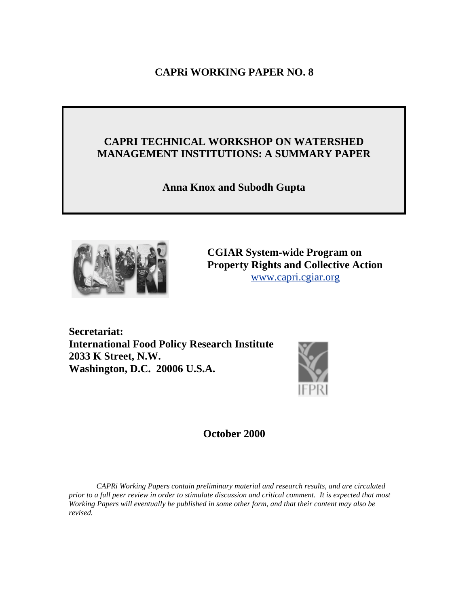# **CAPRi WORKING PAPER NO. 8**

# **CAPRI TECHNICAL WORKSHOP ON WATERSHED MANAGEMENT INSTITUTIONS: A SUMMARY PAPER**

**Anna Knox and Subodh Gupta** 



**CGIAR System-wide Program on Property Rights and Collective Action** [www.capri.cgiar.org](http://www.capri.cgiar.org)

**Secretariat: International Food Policy Research Institute 2033 K Street, N.W. Washington, D.C. 20006 U.S.A.**



**October 2000** 

*CAPRi Working Papers contain preliminary material and research results, and are circulated prior to a full peer review in order to stimulate discussion and critical comment. It is expected that most Working Papers will eventually be published in some other form, and that their content may also be revised.*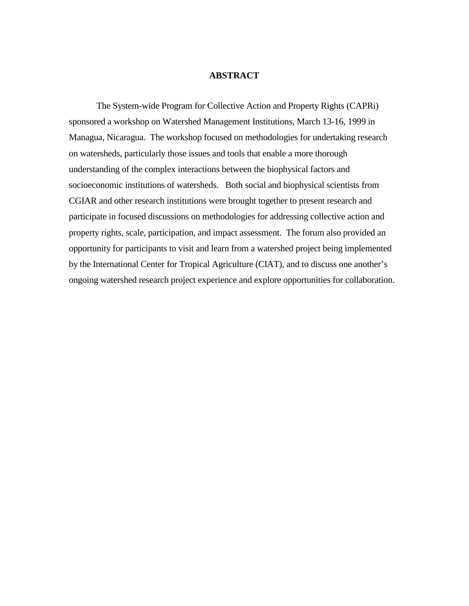## **ABSTRACT**

The System-wide Program for Collective Action and Property Rights (CAPRi) sponsored a workshop on Watershed Management Institutions, March 13-16, 1999 in Managua, Nicaragua. The workshop focused on methodologies for undertaking research on watersheds, particularly those issues and tools that enable a more thorough understanding of the complex interactions between the biophysical factors and socioeconomic institutions of watersheds. Both social and biophysical scientists from CGIAR and other research institutions were brought together to present research and participate in focused discussions on methodologies for addressing collective action and property rights, scale, participation, and impact assessment. The forum also provided an opportunity for participants to visit and learn from a watershed project being implemented by the International Center for Tropical Agriculture (CIAT), and to discuss one another's ongoing watershed research project experience and explore opportunities for collaboration.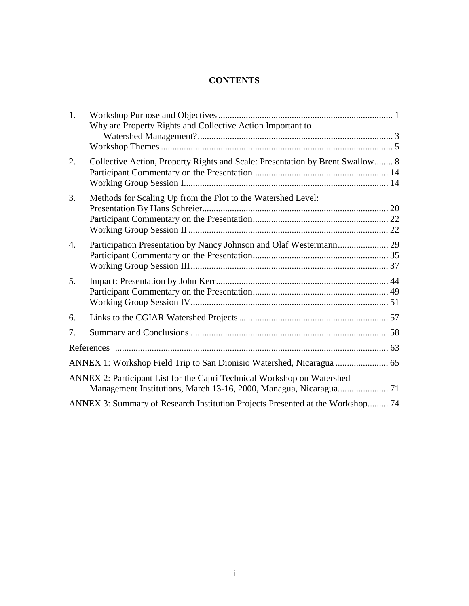# **CONTENTS**

| Why are Property Rights and Collective Action Important to                     |                                                                         |
|--------------------------------------------------------------------------------|-------------------------------------------------------------------------|
|                                                                                |                                                                         |
|                                                                                |                                                                         |
| Collective Action, Property Rights and Scale: Presentation by Brent Swallow 8  |                                                                         |
|                                                                                |                                                                         |
| Methods for Scaling Up from the Plot to the Watershed Level:                   |                                                                         |
|                                                                                |                                                                         |
|                                                                                |                                                                         |
|                                                                                |                                                                         |
| Participation Presentation by Nancy Johnson and Olaf Westermann 29             |                                                                         |
|                                                                                |                                                                         |
|                                                                                |                                                                         |
|                                                                                |                                                                         |
|                                                                                |                                                                         |
|                                                                                |                                                                         |
|                                                                                |                                                                         |
|                                                                                |                                                                         |
|                                                                                |                                                                         |
|                                                                                |                                                                         |
|                                                                                |                                                                         |
|                                                                                |                                                                         |
| ANNEX 3: Summary of Research Institution Projects Presented at the Workshop 74 |                                                                         |
|                                                                                | ANNEX 2: Participant List for the Capri Technical Workshop on Watershed |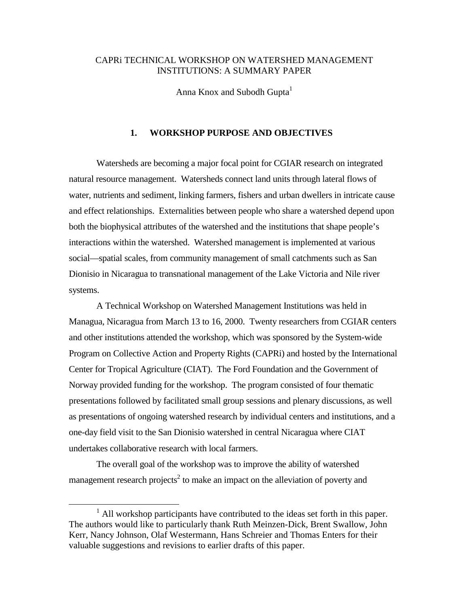# <span id="page-3-0"></span>CAPRi TECHNICAL WORKSHOP ON WATERSHED MANAGEMENT INSTITUTIONS: A SUMMARY PAPER

Anna Knox and Subodh Gupta<sup>1</sup>

## **1. WORKSHOP PURPOSE AND OBJECTIVES**

Watersheds are becoming a major focal point for CGIAR research on integrated natural resource management. Watersheds connect land units through lateral flows of water, nutrients and sediment, linking farmers, fishers and urban dwellers in intricate cause and effect relationships. Externalities between people who share a watershed depend upon both the biophysical attributes of the watershed and the institutions that shape people's interactions within the watershed. Watershed management is implemented at various social—spatial scales, from community management of small catchments such as San Dionisio in Nicaragua to transnational management of the Lake Victoria and Nile river systems.

A Technical Workshop on Watershed Management Institutions was held in Managua, Nicaragua from March 13 to 16, 2000. Twenty researchers from CGIAR centers and other institutions attended the workshop, which was sponsored by the System-wide Program on Collective Action and Property Rights (CAPRi) and hosted by the International Center for Tropical Agriculture (CIAT). The Ford Foundation and the Government of Norway provided funding for the workshop. The program consisted of four thematic presentations followed by facilitated small group sessions and plenary discussions, as well as presentations of ongoing watershed research by individual centers and institutions, and a one-day field visit to the San Dionisio watershed in central Nicaragua where CIAT undertakes collaborative research with local farmers.

The overall goal of the workshop was to improve the ability of watershed management research projects<sup>2</sup> to make an impact on the alleviation of poverty and

 $\frac{1}{1}$ <sup>1</sup> All workshop participants have contributed to the ideas set forth in this paper. The authors would like to particularly thank Ruth Meinzen-Dick, Brent Swallow, John Kerr, Nancy Johnson, Olaf Westermann, Hans Schreier and Thomas Enters for their valuable suggestions and revisions to earlier drafts of this paper.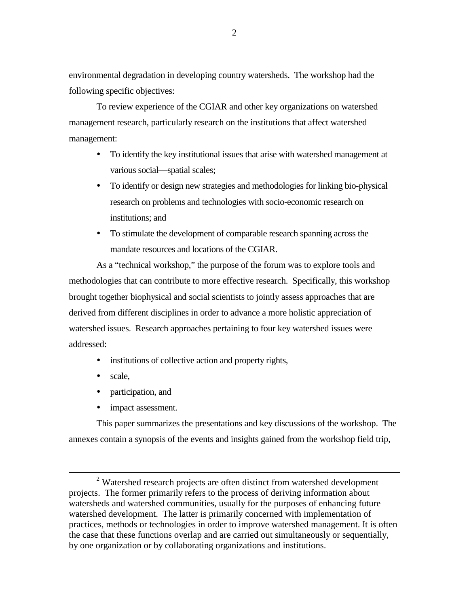environmental degradation in developing country watersheds. The workshop had the following specific objectives:

To review experience of the CGIAR and other key organizations on watershed management research, particularly research on the institutions that affect watershed management:

- ! To identify the key institutional issues that arise with watershed management at various social—spatial scales;
- ! To identify or design new strategies and methodologies for linking bio-physical research on problems and technologies with socio-economic research on institutions; and
- ! To stimulate the development of comparable research spanning across the mandate resources and locations of the CGIAR.

As a "technical workshop," the purpose of the forum was to explore tools and methodologies that can contribute to more effective research. Specifically, this workshop brought together biophysical and social scientists to jointly assess approaches that are derived from different disciplines in order to advance a more holistic appreciation of watershed issues. Research approaches pertaining to four key watershed issues were addressed:

- institutions of collective action and property rights,
- scale,
- participation, and
- impact assessment.

This paper summarizes the presentations and key discussions of the workshop. The annexes contain a synopsis of the events and insights gained from the workshop field trip,

 <sup>2</sup> <sup>2</sup> Watershed research projects are often distinct from watershed development projects. The former primarily refers to the process of deriving information about watersheds and watershed communities, usually for the purposes of enhancing future watershed development. The latter is primarily concerned with implementation of practices, methods or technologies in order to improve watershed management. It is often the case that these functions overlap and are carried out simultaneously or sequentially, by one organization or by collaborating organizations and institutions.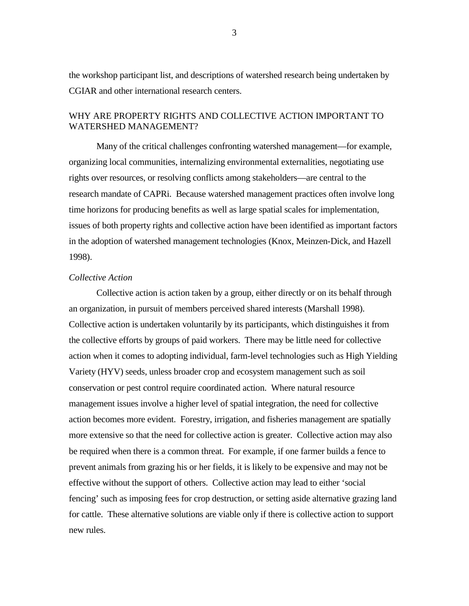<span id="page-5-0"></span>the workshop participant list, and descriptions of watershed research being undertaken by CGIAR and other international research centers.

# WHY ARE PROPERTY RIGHTS AND COLLECTIVE ACTION IMPORTANT TO WATERSHED MANAGEMENT?

Many of the critical challenges confronting watershed management—for example, organizing local communities, internalizing environmental externalities, negotiating use rights over resources, or resolving conflicts among stakeholders—are central to the research mandate of CAPRi. Because watershed management practices often involve long time horizons for producing benefits as well as large spatial scales for implementation, issues of both property rights and collective action have been identified as important factors in the adoption of watershed management technologies (Knox, Meinzen-Dick, and Hazell 1998).

## *Collective Action*

Collective action is action taken by a group, either directly or on its behalf through an organization, in pursuit of members perceived shared interests (Marshall 1998). Collective action is undertaken voluntarily by its participants, which distinguishes it from the collective efforts by groups of paid workers. There may be little need for collective action when it comes to adopting individual, farm-level technologies such as High Yielding Variety (HYV) seeds, unless broader crop and ecosystem management such as soil conservation or pest control require coordinated action. Where natural resource management issues involve a higher level of spatial integration, the need for collective action becomes more evident. Forestry, irrigation, and fisheries management are spatially more extensive so that the need for collective action is greater. Collective action may also be required when there is a common threat. For example, if one farmer builds a fence to prevent animals from grazing his or her fields, it is likely to be expensive and may not be effective without the support of others. Collective action may lead to either 'social fencing' such as imposing fees for crop destruction, or setting aside alternative grazing land for cattle. These alternative solutions are viable only if there is collective action to support new rules.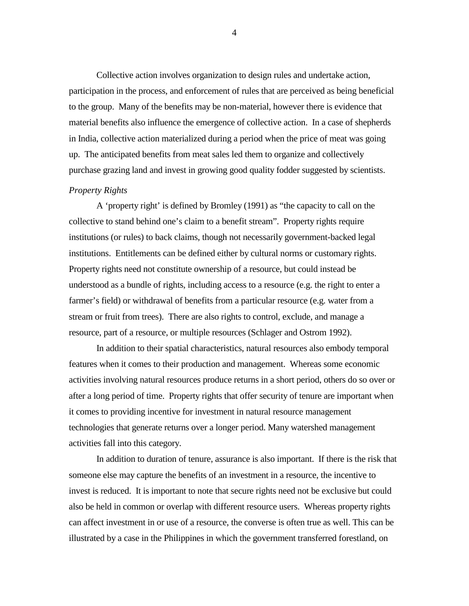Collective action involves organization to design rules and undertake action, participation in the process, and enforcement of rules that are perceived as being beneficial to the group. Many of the benefits may be non-material, however there is evidence that material benefits also influence the emergence of collective action. In a case of shepherds in India, collective action materialized during a period when the price of meat was going up. The anticipated benefits from meat sales led them to organize and collectively purchase grazing land and invest in growing good quality fodder suggested by scientists.

## *Property Rights*

A 'property right' is defined by Bromley (1991) as "the capacity to call on the collective to stand behind one's claim to a benefit stream". Property rights require institutions (or rules) to back claims, though not necessarily government-backed legal institutions. Entitlements can be defined either by cultural norms or customary rights. Property rights need not constitute ownership of a resource, but could instead be understood as a bundle of rights, including access to a resource (e.g. the right to enter a farmer's field) or withdrawal of benefits from a particular resource (e.g. water from a stream or fruit from trees). There are also rights to control, exclude, and manage a resource, part of a resource, or multiple resources (Schlager and Ostrom 1992).

In addition to their spatial characteristics, natural resources also embody temporal features when it comes to their production and management. Whereas some economic activities involving natural resources produce returns in a short period, others do so over or after a long period of time. Property rights that offer security of tenure are important when it comes to providing incentive for investment in natural resource management technologies that generate returns over a longer period. Many watershed management activities fall into this category.

In addition to duration of tenure, assurance is also important. If there is the risk that someone else may capture the benefits of an investment in a resource, the incentive to invest is reduced. It is important to note that secure rights need not be exclusive but could also be held in common or overlap with different resource users. Whereas property rights can affect investment in or use of a resource, the converse is often true as well. This can be illustrated by a case in the Philippines in which the government transferred forestland, on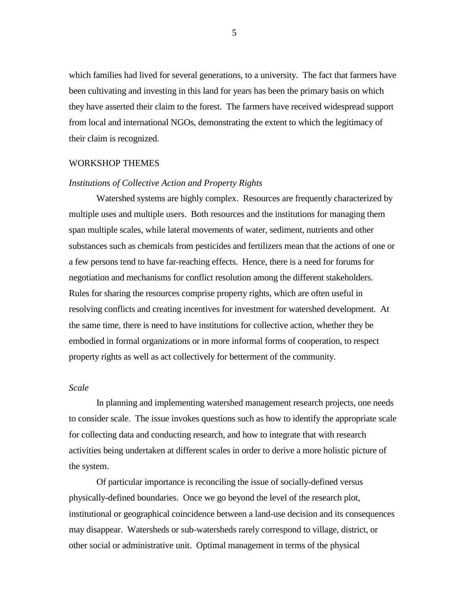<span id="page-7-0"></span>which families had lived for several generations, to a university. The fact that farmers have been cultivating and investing in this land for years has been the primary basis on which they have asserted their claim to the forest. The farmers have received widespread support from local and international NGOs, demonstrating the extent to which the legitimacy of their claim is recognized.

#### WORKSHOP THEMES

## *Institutions of Collective Action and Property Rights*

Watershed systems are highly complex. Resources are frequently characterized by multiple uses and multiple users. Both resources and the institutions for managing them span multiple scales, while lateral movements of water, sediment, nutrients and other substances such as chemicals from pesticides and fertilizers mean that the actions of one or a few persons tend to have far-reaching effects. Hence, there is a need for forums for negotiation and mechanisms for conflict resolution among the different stakeholders. Rules for sharing the resources comprise property rights, which are often useful in resolving conflicts and creating incentives for investment for watershed development. At the same time, there is need to have institutions for collective action, whether they be embodied in formal organizations or in more informal forms of cooperation, to respect property rights as well as act collectively for betterment of the community.

## *Scale*

In planning and implementing watershed management research projects, one needs to consider scale. The issue invokes questions such as how to identify the appropriate scale for collecting data and conducting research, and how to integrate that with research activities being undertaken at different scales in order to derive a more holistic picture of the system.

Of particular importance is reconciling the issue of socially-defined versus physically-defined boundaries. Once we go beyond the level of the research plot, institutional or geographical coincidence between a land-use decision and its consequences may disappear. Watersheds or sub-watersheds rarely correspond to village, district, or other social or administrative unit. Optimal management in terms of the physical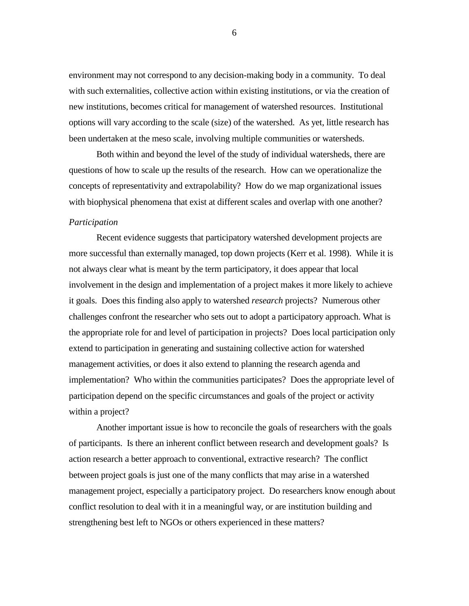environment may not correspond to any decision-making body in a community. To deal with such externalities, collective action within existing institutions, or via the creation of new institutions, becomes critical for management of watershed resources. Institutional options will vary according to the scale (size) of the watershed. As yet, little research has been undertaken at the meso scale, involving multiple communities or watersheds.

Both within and beyond the level of the study of individual watersheds, there are questions of how to scale up the results of the research. How can we operationalize the concepts of representativity and extrapolability? How do we map organizational issues with biophysical phenomena that exist at different scales and overlap with one another?

#### *Participation*

Recent evidence suggests that participatory watershed development projects are more successful than externally managed, top down projects (Kerr et al. 1998). While it is not always clear what is meant by the term participatory, it does appear that local involvement in the design and implementation of a project makes it more likely to achieve it goals. Does this finding also apply to watershed *research* projects? Numerous other challenges confront the researcher who sets out to adopt a participatory approach. What is the appropriate role for and level of participation in projects? Does local participation only extend to participation in generating and sustaining collective action for watershed management activities, or does it also extend to planning the research agenda and implementation? Who within the communities participates? Does the appropriate level of participation depend on the specific circumstances and goals of the project or activity within a project?

Another important issue is how to reconcile the goals of researchers with the goals of participants. Is there an inherent conflict between research and development goals? Is action research a better approach to conventional, extractive research? The conflict between project goals is just one of the many conflicts that may arise in a watershed management project, especially a participatory project. Do researchers know enough about conflict resolution to deal with it in a meaningful way, or are institution building and strengthening best left to NGOs or others experienced in these matters?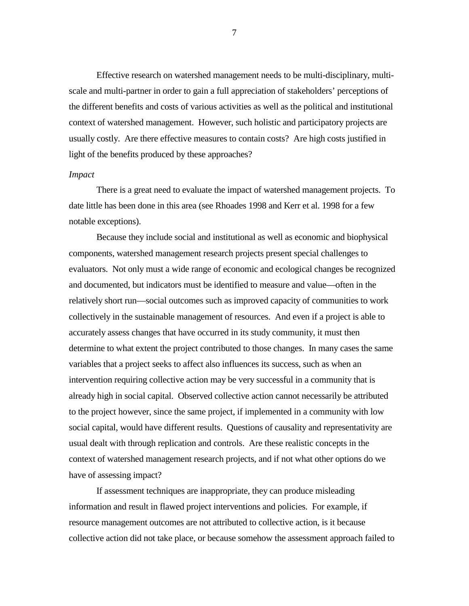Effective research on watershed management needs to be multi-disciplinary, multiscale and multi-partner in order to gain a full appreciation of stakeholders' perceptions of the different benefits and costs of various activities as well as the political and institutional context of watershed management. However, such holistic and participatory projects are usually costly. Are there effective measures to contain costs? Are high costs justified in light of the benefits produced by these approaches?

#### *Impact*

There is a great need to evaluate the impact of watershed management projects. To date little has been done in this area (see Rhoades 1998 and Kerr et al. 1998 for a few notable exceptions).

Because they include social and institutional as well as economic and biophysical components, watershed management research projects present special challenges to evaluators. Not only must a wide range of economic and ecological changes be recognized and documented, but indicators must be identified to measure and value—often in the relatively short run—social outcomes such as improved capacity of communities to work collectively in the sustainable management of resources. And even if a project is able to accurately assess changes that have occurred in its study community, it must then determine to what extent the project contributed to those changes. In many cases the same variables that a project seeks to affect also influences its success, such as when an intervention requiring collective action may be very successful in a community that is already high in social capital. Observed collective action cannot necessarily be attributed to the project however, since the same project, if implemented in a community with low social capital, would have different results. Questions of causality and representativity are usual dealt with through replication and controls. Are these realistic concepts in the context of watershed management research projects, and if not what other options do we have of assessing impact?

If assessment techniques are inappropriate, they can produce misleading information and result in flawed project interventions and policies. For example, if resource management outcomes are not attributed to collective action, is it because collective action did not take place, or because somehow the assessment approach failed to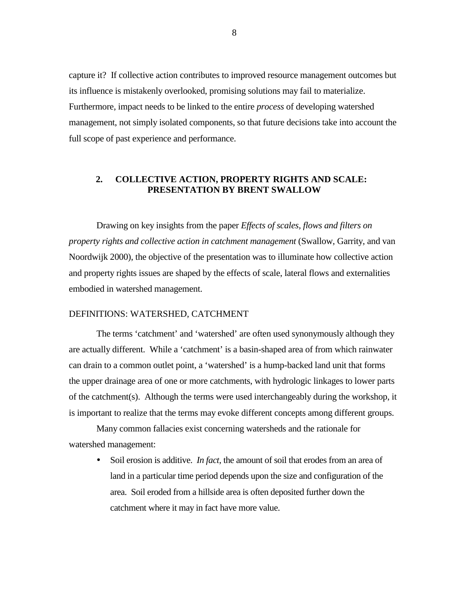<span id="page-10-0"></span>capture it? If collective action contributes to improved resource management outcomes but its influence is mistakenly overlooked, promising solutions may fail to materialize. Furthermore, impact needs to be linked to the entire *process* of developing watershed management, not simply isolated components, so that future decisions take into account the full scope of past experience and performance.

## **2. COLLECTIVE ACTION, PROPERTY RIGHTS AND SCALE: PRESENTATION BY BRENT SWALLOW**

Drawing on key insights from the paper *Effects of scales, flows and filters on property rights and collective action in catchment management* (Swallow, Garrity, and van Noordwijk 2000), the objective of the presentation was to illuminate how collective action and property rights issues are shaped by the effects of scale, lateral flows and externalities embodied in watershed management.

#### DEFINITIONS: WATERSHED, CATCHMENT

The terms 'catchment' and 'watershed' are often used synonymously although they are actually different. While a 'catchment' is a basin-shaped area of from which rainwater can drain to a common outlet point, a 'watershed' is a hump-backed land unit that forms the upper drainage area of one or more catchments, with hydrologic linkages to lower parts of the catchment(s). Although the terms were used interchangeably during the workshop, it is important to realize that the terms may evoke different concepts among different groups.

Many common fallacies exist concerning watersheds and the rationale for watershed management:

> Soil erosion is additive. *In fact*, the amount of soil that erodes from an area of land in a particular time period depends upon the size and configuration of the area. Soil eroded from a hillside area is often deposited further down the catchment where it may in fact have more value.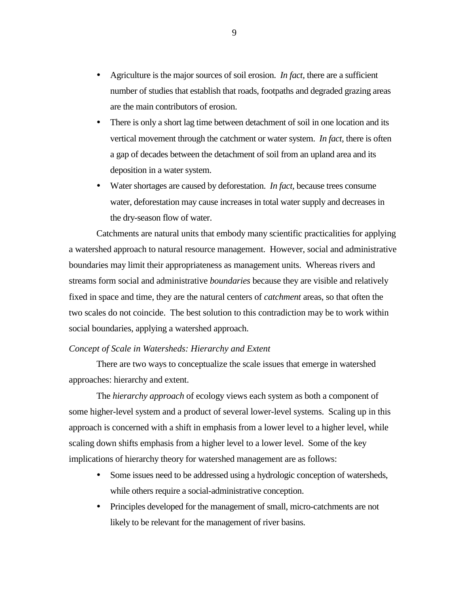- ! Agriculture is the major sources of soil erosion. *In fact,* there are a sufficient number of studies that establish that roads, footpaths and degraded grazing areas are the main contributors of erosion.
- There is only a short lag time between detachment of soil in one location and its vertical movement through the catchment or water system. *In fact,* there is often a gap of decades between the detachment of soil from an upland area and its deposition in a water system.
- ! Water shortages are caused by deforestation. *In fact,* because trees consume water, deforestation may cause increases in total water supply and decreases in the dry-season flow of water.

Catchments are natural units that embody many scientific practicalities for applying a watershed approach to natural resource management. However, social and administrative boundaries may limit their appropriateness as management units. Whereas rivers and streams form social and administrative *boundaries* because they are visible and relatively fixed in space and time, they are the natural centers of *catchment* areas, so that often the two scales do not coincide. The best solution to this contradiction may be to work within social boundaries, applying a watershed approach.

## *Concept of Scale in Watersheds: Hierarchy and Extent*

There are two ways to conceptualize the scale issues that emerge in watershed approaches: hierarchy and extent.

The *hierarchy approach* of ecology views each system as both a component of some higher-level system and a product of several lower-level systems. Scaling up in this approach is concerned with a shift in emphasis from a lower level to a higher level, while scaling down shifts emphasis from a higher level to a lower level. Some of the key implications of hierarchy theory for watershed management are as follows:

- Some issues need to be addressed using a hydrologic conception of watersheds, while others require a social-administrative conception.
- ! Principles developed for the management of small, micro-catchments are not likely to be relevant for the management of river basins.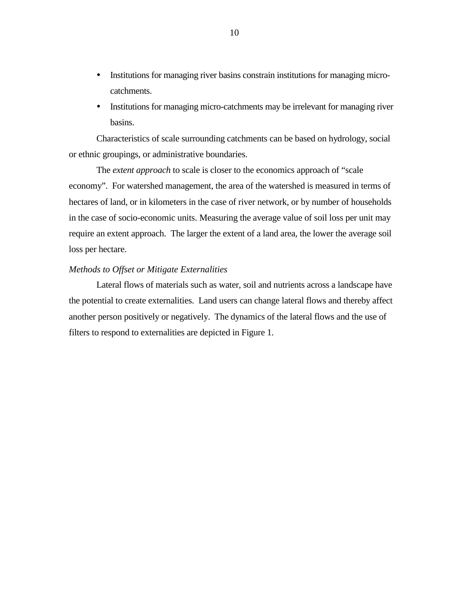- ! Institutions for managing river basins constrain institutions for managing microcatchments.
- ! Institutions for managing micro-catchments may be irrelevant for managing river basins.

Characteristics of scale surrounding catchments can be based on hydrology, social or ethnic groupings, or administrative boundaries.

The *extent approach* to scale is closer to the economics approach of "scale economy". For watershed management, the area of the watershed is measured in terms of hectares of land, or in kilometers in the case of river network, or by number of households in the case of socio-economic units. Measuring the average value of soil loss per unit may require an extent approach. The larger the extent of a land area, the lower the average soil loss per hectare.

## *Methods to Offset or Mitigate Externalities*

Lateral flows of materials such as water, soil and nutrients across a landscape have the potential to create externalities. Land users can change lateral flows and thereby affect another person positively or negatively. The dynamics of the lateral flows and the use of filters to respond to externalities are depicted in Figure 1.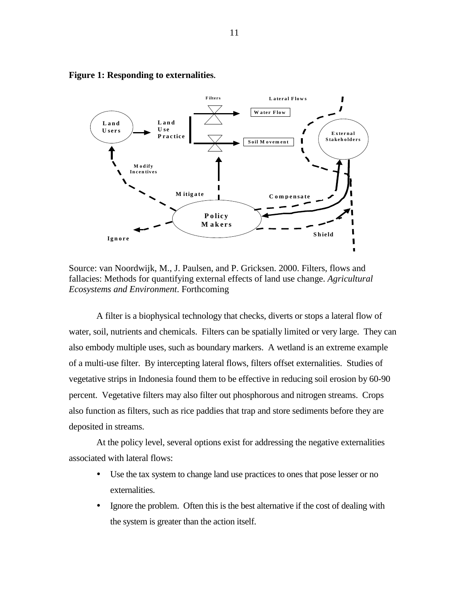

#### **Figure 1: Responding to externalities.**

Source: van Noordwijk, M., J. Paulsen, and P. Gricksen. 2000. Filters, flows and fallacies: Methods for quantifying external effects of land use change. *Agricultural Ecosystems and Environment*. Forthcoming

A filter is a biophysical technology that checks, diverts or stops a lateral flow of water, soil, nutrients and chemicals. Filters can be spatially limited or very large. They can also embody multiple uses, such as boundary markers. A wetland is an extreme example of a multi-use filter. By intercepting lateral flows, filters offset externalities. Studies of vegetative strips in Indonesia found them to be effective in reducing soil erosion by 60-90 percent. Vegetative filters may also filter out phosphorous and nitrogen streams. Crops also function as filters, such as rice paddies that trap and store sediments before they are deposited in streams.

At the policy level, several options exist for addressing the negative externalities associated with lateral flows:

- Use the tax system to change land use practices to ones that pose lesser or no externalities.
- Ignore the problem. Often this is the best alternative if the cost of dealing with the system is greater than the action itself.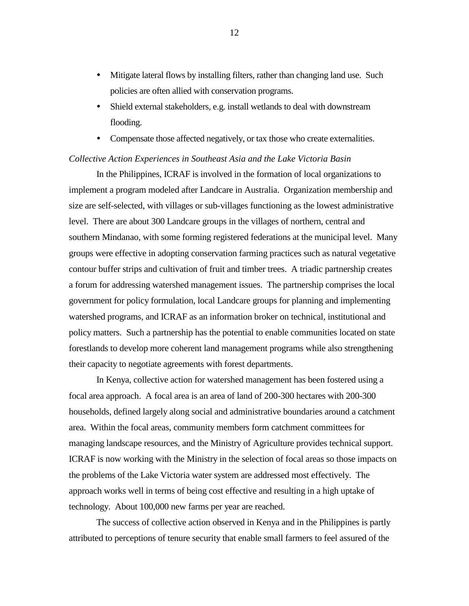- ! Mitigate lateral flows by installing filters, rather than changing land use. Such policies are often allied with conservation programs.
- ! Shield external stakeholders, e.g. install wetlands to deal with downstream flooding.
- ! Compensate those affected negatively, or tax those who create externalities.

## *Collective Action Experiences in Southeast Asia and the Lake Victoria Basin*

In the Philippines, ICRAF is involved in the formation of local organizations to implement a program modeled after Landcare in Australia. Organization membership and size are self-selected, with villages or sub-villages functioning as the lowest administrative level. There are about 300 Landcare groups in the villages of northern, central and southern Mindanao, with some forming registered federations at the municipal level. Many groups were effective in adopting conservation farming practices such as natural vegetative contour buffer strips and cultivation of fruit and timber trees. A triadic partnership creates a forum for addressing watershed management issues. The partnership comprises the local government for policy formulation, local Landcare groups for planning and implementing watershed programs, and ICRAF as an information broker on technical, institutional and policy matters. Such a partnership has the potential to enable communities located on state forestlands to develop more coherent land management programs while also strengthening their capacity to negotiate agreements with forest departments.

In Kenya, collective action for watershed management has been fostered using a focal area approach. A focal area is an area of land of 200-300 hectares with 200-300 households, defined largely along social and administrative boundaries around a catchment area. Within the focal areas, community members form catchment committees for managing landscape resources, and the Ministry of Agriculture provides technical support. ICRAF is now working with the Ministry in the selection of focal areas so those impacts on the problems of the Lake Victoria water system are addressed most effectively. The approach works well in terms of being cost effective and resulting in a high uptake of technology. About 100,000 new farms per year are reached.

The success of collective action observed in Kenya and in the Philippines is partly attributed to perceptions of tenure security that enable small farmers to feel assured of the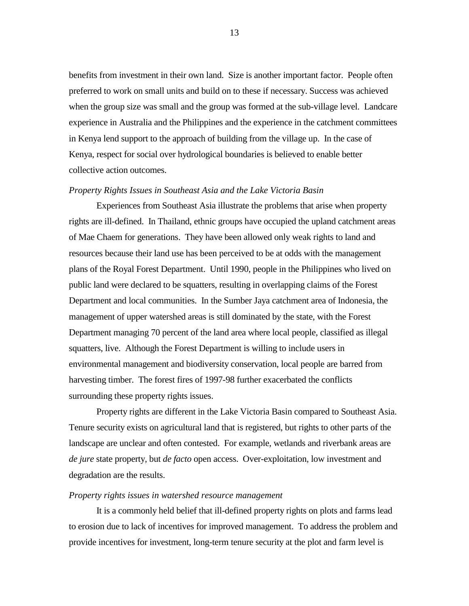benefits from investment in their own land. Size is another important factor. People often preferred to work on small units and build on to these if necessary. Success was achieved when the group size was small and the group was formed at the sub-village level. Landcare experience in Australia and the Philippines and the experience in the catchment committees in Kenya lend support to the approach of building from the village up. In the case of Kenya, respect for social over hydrological boundaries is believed to enable better collective action outcomes.

## *Property Rights Issues in Southeast Asia and the Lake Victoria Basin*

Experiences from Southeast Asia illustrate the problems that arise when property rights are ill-defined. In Thailand, ethnic groups have occupied the upland catchment areas of Mae Chaem for generations. They have been allowed only weak rights to land and resources because their land use has been perceived to be at odds with the management plans of the Royal Forest Department. Until 1990, people in the Philippines who lived on public land were declared to be squatters, resulting in overlapping claims of the Forest Department and local communities. In the Sumber Jaya catchment area of Indonesia, the management of upper watershed areas is still dominated by the state, with the Forest Department managing 70 percent of the land area where local people, classified as illegal squatters, live. Although the Forest Department is willing to include users in environmental management and biodiversity conservation, local people are barred from harvesting timber. The forest fires of 1997-98 further exacerbated the conflicts surrounding these property rights issues.

Property rights are different in the Lake Victoria Basin compared to Southeast Asia. Tenure security exists on agricultural land that is registered, but rights to other parts of the landscape are unclear and often contested. For example, wetlands and riverbank areas are *de jure* state property, but *de facto* open access. Over-exploitation, low investment and degradation are the results.

#### *Property rights issues in watershed resource management*

It is a commonly held belief that ill-defined property rights on plots and farms lead to erosion due to lack of incentives for improved management. To address the problem and provide incentives for investment, long-term tenure security at the plot and farm level is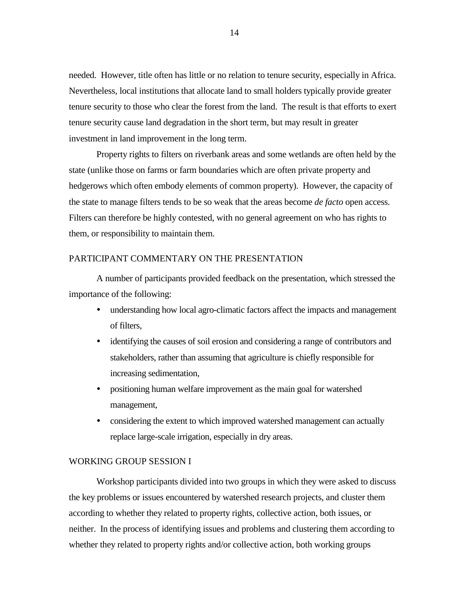<span id="page-16-0"></span>needed. However, title often has little or no relation to tenure security, especially in Africa. Nevertheless, local institutions that allocate land to small holders typically provide greater tenure security to those who clear the forest from the land. The result is that efforts to exert tenure security cause land degradation in the short term, but may result in greater investment in land improvement in the long term.

Property rights to filters on riverbank areas and some wetlands are often held by the state (unlike those on farms or farm boundaries which are often private property and hedgerows which often embody elements of common property). However, the capacity of the state to manage filters tends to be so weak that the areas become *de facto* open access. Filters can therefore be highly contested, with no general agreement on who has rights to them, or responsibility to maintain them.

## PARTICIPANT COMMENTARY ON THE PRESENTATION

A number of participants provided feedback on the presentation, which stressed the importance of the following:

- ! understanding how local agro-climatic factors affect the impacts and management of filters,
- ! identifying the causes of soil erosion and considering a range of contributors and stakeholders, rather than assuming that agriculture is chiefly responsible for increasing sedimentation,
- positioning human welfare improvement as the main goal for watershed management,
- considering the extent to which improved watershed management can actually replace large-scale irrigation, especially in dry areas.

### WORKING GROUP SESSION I

Workshop participants divided into two groups in which they were asked to discuss the key problems or issues encountered by watershed research projects, and cluster them according to whether they related to property rights, collective action, both issues, or neither. In the process of identifying issues and problems and clustering them according to whether they related to property rights and/or collective action, both working groups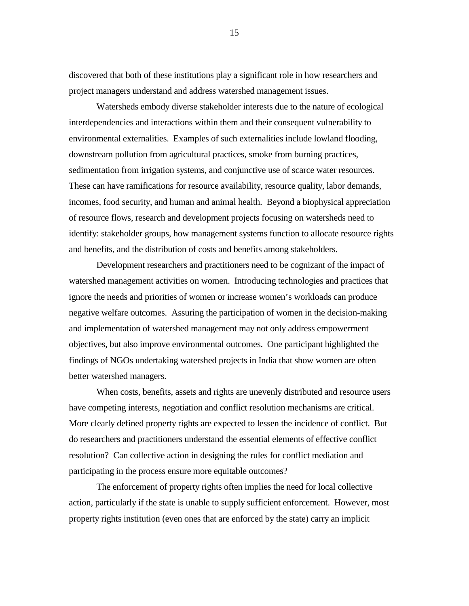discovered that both of these institutions play a significant role in how researchers and project managers understand and address watershed management issues.

Watersheds embody diverse stakeholder interests due to the nature of ecological interdependencies and interactions within them and their consequent vulnerability to environmental externalities. Examples of such externalities include lowland flooding, downstream pollution from agricultural practices, smoke from burning practices, sedimentation from irrigation systems, and conjunctive use of scarce water resources. These can have ramifications for resource availability, resource quality, labor demands, incomes, food security, and human and animal health. Beyond a biophysical appreciation of resource flows, research and development projects focusing on watersheds need to identify: stakeholder groups, how management systems function to allocate resource rights and benefits, and the distribution of costs and benefits among stakeholders.

Development researchers and practitioners need to be cognizant of the impact of watershed management activities on women. Introducing technologies and practices that ignore the needs and priorities of women or increase women's workloads can produce negative welfare outcomes. Assuring the participation of women in the decision-making and implementation of watershed management may not only address empowerment objectives, but also improve environmental outcomes. One participant highlighted the findings of NGOs undertaking watershed projects in India that show women are often better watershed managers.

When costs, benefits, assets and rights are unevenly distributed and resource users have competing interests, negotiation and conflict resolution mechanisms are critical. More clearly defined property rights are expected to lessen the incidence of conflict. But do researchers and practitioners understand the essential elements of effective conflict resolution? Can collective action in designing the rules for conflict mediation and participating in the process ensure more equitable outcomes?

The enforcement of property rights often implies the need for local collective action, particularly if the state is unable to supply sufficient enforcement. However, most property rights institution (even ones that are enforced by the state) carry an implicit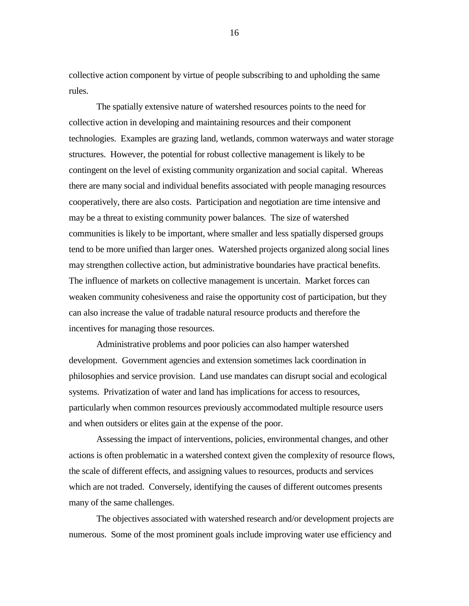collective action component by virtue of people subscribing to and upholding the same rules.

The spatially extensive nature of watershed resources points to the need for collective action in developing and maintaining resources and their component technologies. Examples are grazing land, wetlands, common waterways and water storage structures. However, the potential for robust collective management is likely to be contingent on the level of existing community organization and social capital. Whereas there are many social and individual benefits associated with people managing resources cooperatively, there are also costs. Participation and negotiation are time intensive and may be a threat to existing community power balances. The size of watershed communities is likely to be important, where smaller and less spatially dispersed groups tend to be more unified than larger ones. Watershed projects organized along social lines may strengthen collective action, but administrative boundaries have practical benefits. The influence of markets on collective management is uncertain. Market forces can weaken community cohesiveness and raise the opportunity cost of participation, but they can also increase the value of tradable natural resource products and therefore the incentives for managing those resources.

Administrative problems and poor policies can also hamper watershed development. Government agencies and extension sometimes lack coordination in philosophies and service provision. Land use mandates can disrupt social and ecological systems. Privatization of water and land has implications for access to resources, particularly when common resources previously accommodated multiple resource users and when outsiders or elites gain at the expense of the poor.

Assessing the impact of interventions, policies, environmental changes, and other actions is often problematic in a watershed context given the complexity of resource flows, the scale of different effects, and assigning values to resources, products and services which are not traded. Conversely, identifying the causes of different outcomes presents many of the same challenges.

The objectives associated with watershed research and/or development projects are numerous. Some of the most prominent goals include improving water use efficiency and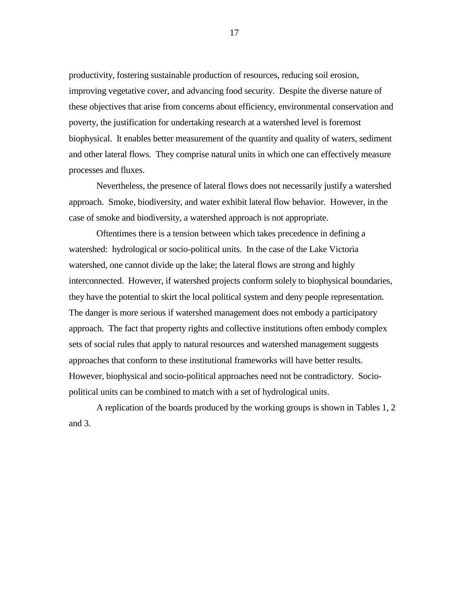productivity, fostering sustainable production of resources, reducing soil erosion, improving vegetative cover, and advancing food security. Despite the diverse nature of these objectives that arise from concerns about efficiency, environmental conservation and poverty, the justification for undertaking research at a watershed level is foremost biophysical. It enables better measurement of the quantity and quality of waters, sediment and other lateral flows. They comprise natural units in which one can effectively measure processes and fluxes.

Nevertheless, the presence of lateral flows does not necessarily justify a watershed approach. Smoke, biodiversity, and water exhibit lateral flow behavior. However, in the case of smoke and biodiversity, a watershed approach is not appropriate.

Oftentimes there is a tension between which takes precedence in defining a watershed: hydrological or socio-political units. In the case of the Lake Victoria watershed, one cannot divide up the lake; the lateral flows are strong and highly interconnected. However, if watershed projects conform solely to biophysical boundaries, they have the potential to skirt the local political system and deny people representation. The danger is more serious if watershed management does not embody a participatory approach. The fact that property rights and collective institutions often embody complex sets of social rules that apply to natural resources and watershed management suggests approaches that conform to these institutional frameworks will have better results. However, biophysical and socio-political approaches need not be contradictory. Sociopolitical units can be combined to match with a set of hydrological units.

A replication of the boards produced by the working groups is shown in Tables 1, 2 and 3.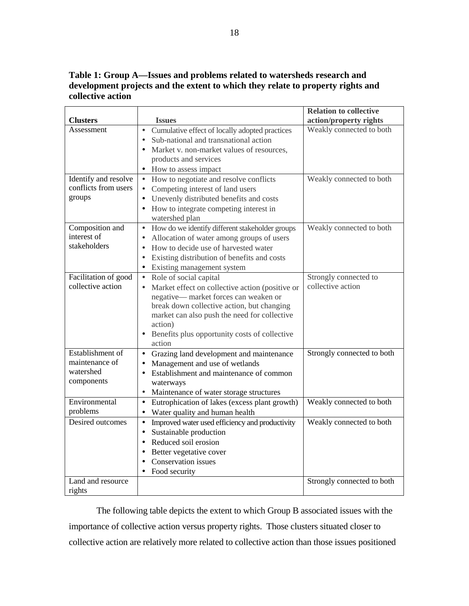**Table 1: Group A—Issues and problems related to watersheds research and development projects and the extent to which they relate to property rights and collective action** 

|                      |                                                              | <b>Relation to collective</b> |
|----------------------|--------------------------------------------------------------|-------------------------------|
| <b>Clusters</b>      | <b>Issues</b>                                                | action/property rights        |
| Assessment           | Cumulative effect of locally adopted practices<br>$\bullet$  | Weakly connected to both      |
|                      | Sub-national and transnational action<br>$\bullet$           |                               |
|                      | Market v. non-market values of resources,<br>$\bullet$       |                               |
|                      | products and services                                        |                               |
|                      | How to assess impact                                         |                               |
| Identify and resolve | How to negotiate and resolve conflicts<br>$\bullet$          | Weakly connected to both      |
| conflicts from users | Competing interest of land users<br>$\bullet$                |                               |
| groups               | Unevenly distributed benefits and costs<br>$\bullet$         |                               |
|                      | How to integrate competing interest in<br>$\bullet$          |                               |
|                      | watershed plan                                               |                               |
| Composition and      | How do we identify different stakeholder groups<br>$\bullet$ | Weakly connected to both      |
| interest of          | Allocation of water among groups of users<br>$\bullet$       |                               |
| stakeholders         | How to decide use of harvested water<br>$\bullet$            |                               |
|                      | Existing distribution of benefits and costs<br>$\bullet$     |                               |
|                      | Existing management system<br>$\bullet$                      |                               |
| Facilitation of good | Role of social capital<br>$\bullet$                          | Strongly connected to         |
| collective action    | Market effect on collective action (positive or<br>$\bullet$ | collective action             |
|                      | negative-market forces can weaken or                         |                               |
|                      | break down collective action, but changing                   |                               |
|                      | market can also push the need for collective                 |                               |
|                      | action)                                                      |                               |
|                      | Benefits plus opportunity costs of collective                |                               |
|                      | action                                                       |                               |
| Establishment of     | Grazing land development and maintenance<br>$\bullet$        | Strongly connected to both    |
| maintenance of       | Management and use of wetlands<br>$\bullet$                  |                               |
| watershed            | Establishment and maintenance of common<br>$\bullet$         |                               |
| components           | waterways                                                    |                               |
|                      | Maintenance of water storage structures<br>$\bullet$         |                               |
| Environmental        | Eutrophication of lakes (excess plant growth)<br>$\bullet$   | Weakly connected to both      |
| problems             | Water quality and human health                               |                               |
| Desired outcomes     | Improved water used efficiency and productivity<br>$\bullet$ | Weakly connected to both      |
|                      | Sustainable production<br>$\bullet$                          |                               |
|                      | Reduced soil erosion<br>$\bullet$                            |                               |
|                      | Better vegetative cover<br>$\bullet$                         |                               |
|                      | Conservation issues<br>$\bullet$                             |                               |
|                      | Food security<br>$\bullet$                                   |                               |
| Land and resource    |                                                              | Strongly connected to both    |
| rights               |                                                              |                               |

The following table depicts the extent to which Group B associated issues with the importance of collective action versus property rights. Those clusters situated closer to collective action are relatively more related to collective action than those issues positioned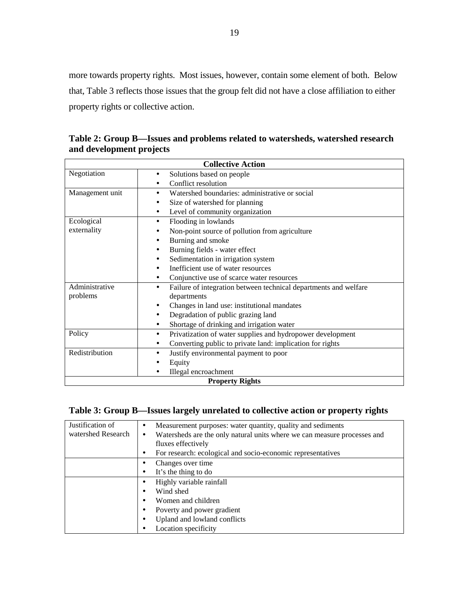more towards property rights. Most issues, however, contain some element of both. Below that, Table 3 reflects those issues that the group felt did not have a close affiliation to either property rights or collective action.

| <b>Collective Action</b> |                                                                               |  |  |
|--------------------------|-------------------------------------------------------------------------------|--|--|
| Negotiation              | Solutions based on people<br>$\bullet$                                        |  |  |
|                          | Conflict resolution                                                           |  |  |
| Management unit          | Watershed boundaries: administrative or social<br>$\bullet$                   |  |  |
|                          | Size of watershed for planning                                                |  |  |
|                          | Level of community organization<br>$\bullet$                                  |  |  |
| Ecological               | Flooding in lowlands<br>٠                                                     |  |  |
| externality              | Non-point source of pollution from agriculture                                |  |  |
|                          | Burning and smoke                                                             |  |  |
|                          | Burning fields - water effect                                                 |  |  |
|                          | Sedimentation in irrigation system                                            |  |  |
|                          | Inefficient use of water resources                                            |  |  |
|                          | Conjunctive use of scarce water resources<br>$\bullet$                        |  |  |
| Administrative           | Failure of integration between technical departments and welfare<br>$\bullet$ |  |  |
| problems                 | departments                                                                   |  |  |
|                          | Changes in land use: institutional mandates<br>٠                              |  |  |
|                          | Degradation of public grazing land                                            |  |  |
|                          | Shortage of drinking and irrigation water<br>$\bullet$                        |  |  |
| Policy                   | Privatization of water supplies and hydropower development<br>$\bullet$       |  |  |
|                          | Converting public to private land: implication for rights                     |  |  |
| Redistribution           | Justify environmental payment to poor                                         |  |  |
|                          | Equity                                                                        |  |  |
|                          | Illegal encroachment                                                          |  |  |
| <b>Property Rights</b>   |                                                                               |  |  |

**Table 2: Group B—Issues and problems related to watersheds, watershed research and development projects** 

# **Table 3: Group B—Issues largely unrelated to collective action or property rights**

| Justification of   | Measurement purposes: water quantity, quality and sediments<br>$\bullet$              |
|--------------------|---------------------------------------------------------------------------------------|
| watershed Research | Watersheds are the only natural units where we can measure processes and<br>$\bullet$ |
|                    | fluxes effectively                                                                    |
|                    | For research: ecological and socio-economic representatives<br>$\bullet$              |
|                    | Changes over time                                                                     |
|                    | It's the thing to do<br>٠                                                             |
|                    | Highly variable rainfall<br>٠                                                         |
|                    | Wind shed                                                                             |
|                    | Women and children<br>٠                                                               |
|                    | Poverty and power gradient<br>٠                                                       |
|                    | Upland and lowland conflicts<br>٠                                                     |
|                    | Location specificity                                                                  |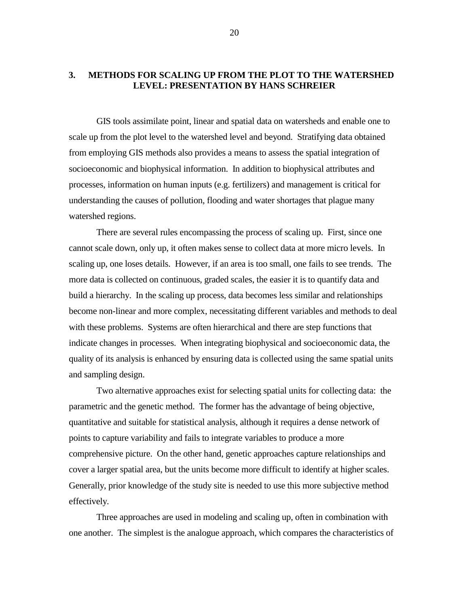## <span id="page-22-0"></span>**3. METHODS FOR SCALING UP FROM THE PLOT TO THE WATERSHED LEVEL: PRESENTATION BY HANS SCHREIER**

GIS tools assimilate point, linear and spatial data on watersheds and enable one to scale up from the plot level to the watershed level and beyond. Stratifying data obtained from employing GIS methods also provides a means to assess the spatial integration of socioeconomic and biophysical information. In addition to biophysical attributes and processes, information on human inputs (e.g. fertilizers) and management is critical for understanding the causes of pollution, flooding and water shortages that plague many watershed regions.

There are several rules encompassing the process of scaling up. First, since one cannot scale down, only up, it often makes sense to collect data at more micro levels. In scaling up, one loses details. However, if an area is too small, one fails to see trends. The more data is collected on continuous, graded scales, the easier it is to quantify data and build a hierarchy. In the scaling up process, data becomes less similar and relationships become non-linear and more complex, necessitating different variables and methods to deal with these problems. Systems are often hierarchical and there are step functions that indicate changes in processes. When integrating biophysical and socioeconomic data, the quality of its analysis is enhanced by ensuring data is collected using the same spatial units and sampling design.

Two alternative approaches exist for selecting spatial units for collecting data: the parametric and the genetic method. The former has the advantage of being objective, quantitative and suitable for statistical analysis, although it requires a dense network of points to capture variability and fails to integrate variables to produce a more comprehensive picture. On the other hand, genetic approaches capture relationships and cover a larger spatial area, but the units become more difficult to identify at higher scales. Generally, prior knowledge of the study site is needed to use this more subjective method effectively.

Three approaches are used in modeling and scaling up, often in combination with one another. The simplest is the analogue approach, which compares the characteristics of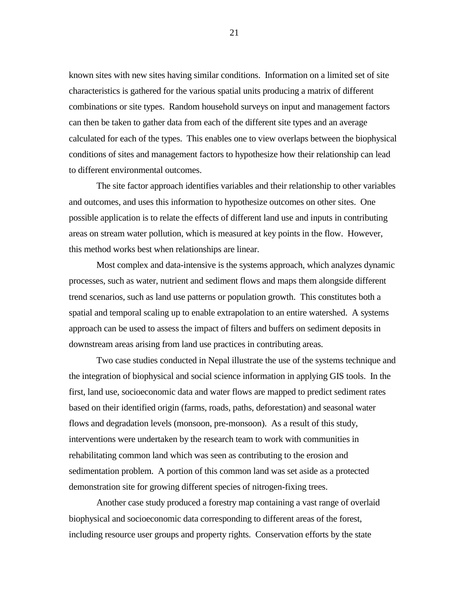known sites with new sites having similar conditions. Information on a limited set of site characteristics is gathered for the various spatial units producing a matrix of different combinations or site types. Random household surveys on input and management factors can then be taken to gather data from each of the different site types and an average calculated for each of the types. This enables one to view overlaps between the biophysical conditions of sites and management factors to hypothesize how their relationship can lead to different environmental outcomes.

The site factor approach identifies variables and their relationship to other variables and outcomes, and uses this information to hypothesize outcomes on other sites. One possible application is to relate the effects of different land use and inputs in contributing areas on stream water pollution, which is measured at key points in the flow. However, this method works best when relationships are linear.

Most complex and data-intensive is the systems approach, which analyzes dynamic processes, such as water, nutrient and sediment flows and maps them alongside different trend scenarios, such as land use patterns or population growth. This constitutes both a spatial and temporal scaling up to enable extrapolation to an entire watershed. A systems approach can be used to assess the impact of filters and buffers on sediment deposits in downstream areas arising from land use practices in contributing areas.

Two case studies conducted in Nepal illustrate the use of the systems technique and the integration of biophysical and social science information in applying GIS tools. In the first, land use, socioeconomic data and water flows are mapped to predict sediment rates based on their identified origin (farms, roads, paths, deforestation) and seasonal water flows and degradation levels (monsoon, pre-monsoon). As a result of this study, interventions were undertaken by the research team to work with communities in rehabilitating common land which was seen as contributing to the erosion and sedimentation problem. A portion of this common land was set aside as a protected demonstration site for growing different species of nitrogen-fixing trees.

Another case study produced a forestry map containing a vast range of overlaid biophysical and socioeconomic data corresponding to different areas of the forest, including resource user groups and property rights. Conservation efforts by the state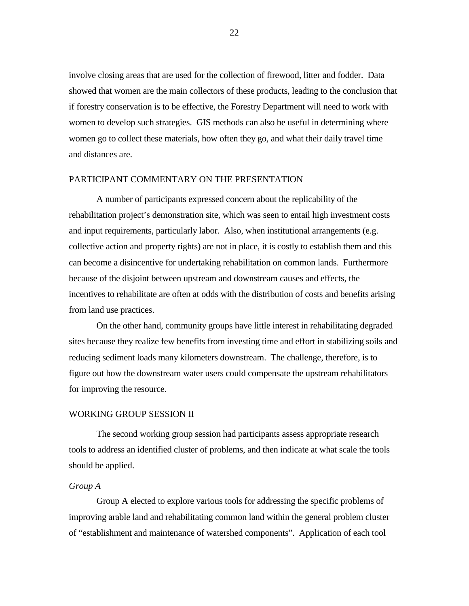<span id="page-24-0"></span>involve closing areas that are used for the collection of firewood, litter and fodder. Data showed that women are the main collectors of these products, leading to the conclusion that if forestry conservation is to be effective, the Forestry Department will need to work with women to develop such strategies. GIS methods can also be useful in determining where women go to collect these materials, how often they go, and what their daily travel time and distances are.

#### PARTICIPANT COMMENTARY ON THE PRESENTATION

A number of participants expressed concern about the replicability of the rehabilitation project's demonstration site, which was seen to entail high investment costs and input requirements, particularly labor. Also, when institutional arrangements (e.g. collective action and property rights) are not in place, it is costly to establish them and this can become a disincentive for undertaking rehabilitation on common lands. Furthermore because of the disjoint between upstream and downstream causes and effects, the incentives to rehabilitate are often at odds with the distribution of costs and benefits arising from land use practices.

On the other hand, community groups have little interest in rehabilitating degraded sites because they realize few benefits from investing time and effort in stabilizing soils and reducing sediment loads many kilometers downstream. The challenge, therefore, is to figure out how the downstream water users could compensate the upstream rehabilitators for improving the resource.

### WORKING GROUP SESSION II

The second working group session had participants assess appropriate research tools to address an identified cluster of problems, and then indicate at what scale the tools should be applied.

#### *Group A*

Group A elected to explore various tools for addressing the specific problems of improving arable land and rehabilitating common land within the general problem cluster of "establishment and maintenance of watershed components". Application of each tool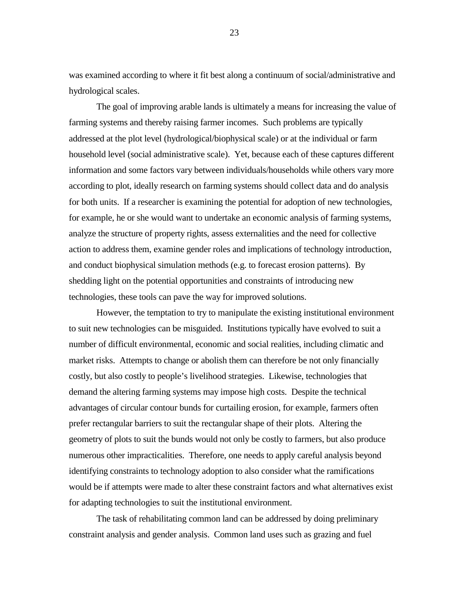was examined according to where it fit best along a continuum of social/administrative and hydrological scales.

The goal of improving arable lands is ultimately a means for increasing the value of farming systems and thereby raising farmer incomes. Such problems are typically addressed at the plot level (hydrological/biophysical scale) or at the individual or farm household level (social administrative scale). Yet, because each of these captures different information and some factors vary between individuals/households while others vary more according to plot, ideally research on farming systems should collect data and do analysis for both units. If a researcher is examining the potential for adoption of new technologies, for example, he or she would want to undertake an economic analysis of farming systems, analyze the structure of property rights, assess externalities and the need for collective action to address them, examine gender roles and implications of technology introduction, and conduct biophysical simulation methods (e.g. to forecast erosion patterns). By shedding light on the potential opportunities and constraints of introducing new technologies, these tools can pave the way for improved solutions.

However, the temptation to try to manipulate the existing institutional environment to suit new technologies can be misguided. Institutions typically have evolved to suit a number of difficult environmental, economic and social realities, including climatic and market risks. Attempts to change or abolish them can therefore be not only financially costly, but also costly to people's livelihood strategies. Likewise, technologies that demand the altering farming systems may impose high costs. Despite the technical advantages of circular contour bunds for curtailing erosion, for example, farmers often prefer rectangular barriers to suit the rectangular shape of their plots. Altering the geometry of plots to suit the bunds would not only be costly to farmers, but also produce numerous other impracticalities. Therefore, one needs to apply careful analysis beyond identifying constraints to technology adoption to also consider what the ramifications would be if attempts were made to alter these constraint factors and what alternatives exist for adapting technologies to suit the institutional environment.

The task of rehabilitating common land can be addressed by doing preliminary constraint analysis and gender analysis. Common land uses such as grazing and fuel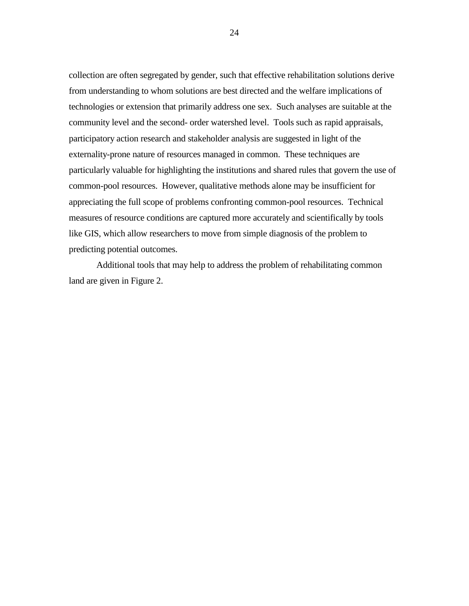collection are often segregated by gender, such that effective rehabilitation solutions derive from understanding to whom solutions are best directed and the welfare implications of technologies or extension that primarily address one sex. Such analyses are suitable at the community level and the second- order watershed level. Tools such as rapid appraisals, participatory action research and stakeholder analysis are suggested in light of the externality-prone nature of resources managed in common. These techniques are particularly valuable for highlighting the institutions and shared rules that govern the use of common-pool resources. However, qualitative methods alone may be insufficient for appreciating the full scope of problems confronting common-pool resources. Technical measures of resource conditions are captured more accurately and scientifically by tools like GIS, which allow researchers to move from simple diagnosis of the problem to predicting potential outcomes.

Additional tools that may help to address the problem of rehabilitating common land are given in Figure 2.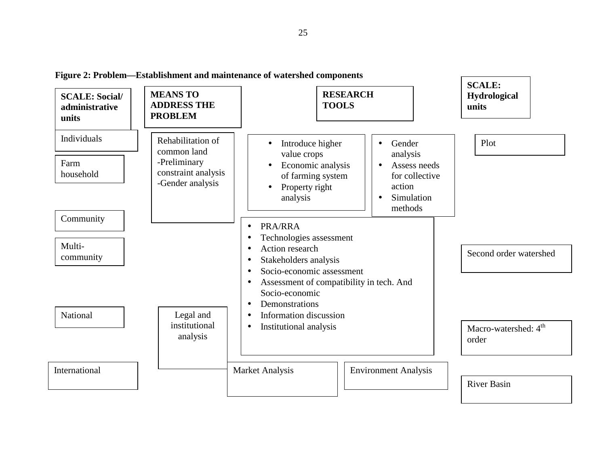**Figure 2: Problem—Establishment and maintenance of watershed components** 

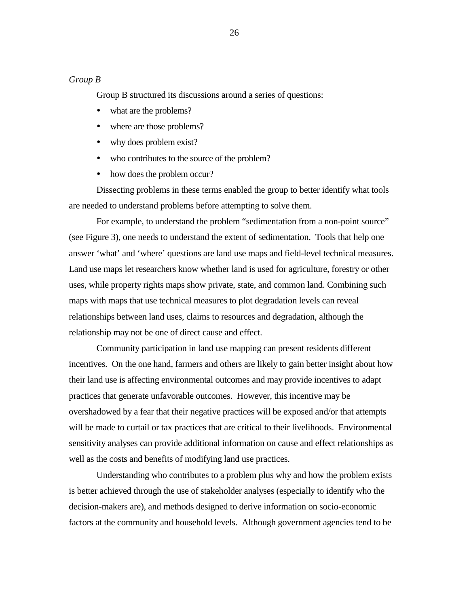## *Group B*

Group B structured its discussions around a series of questions:

- what are the problems?
- where are those problems?
- why does problem exist?
- ! who contributes to the source of the problem?
- how does the problem occur?

Dissecting problems in these terms enabled the group to better identify what tools are needed to understand problems before attempting to solve them.

For example, to understand the problem "sedimentation from a non-point source" (see Figure 3), one needs to understand the extent of sedimentation. Tools that help one answer 'what' and 'where' questions are land use maps and field-level technical measures. Land use maps let researchers know whether land is used for agriculture, forestry or other uses, while property rights maps show private, state, and common land. Combining such maps with maps that use technical measures to plot degradation levels can reveal relationships between land uses, claims to resources and degradation, although the relationship may not be one of direct cause and effect.

Community participation in land use mapping can present residents different incentives. On the one hand, farmers and others are likely to gain better insight about how their land use is affecting environmental outcomes and may provide incentives to adapt practices that generate unfavorable outcomes. However, this incentive may be overshadowed by a fear that their negative practices will be exposed and/or that attempts will be made to curtail or tax practices that are critical to their livelihoods. Environmental sensitivity analyses can provide additional information on cause and effect relationships as well as the costs and benefits of modifying land use practices.

Understanding who contributes to a problem plus why and how the problem exists is better achieved through the use of stakeholder analyses (especially to identify who the decision-makers are), and methods designed to derive information on socio-economic factors at the community and household levels. Although government agencies tend to be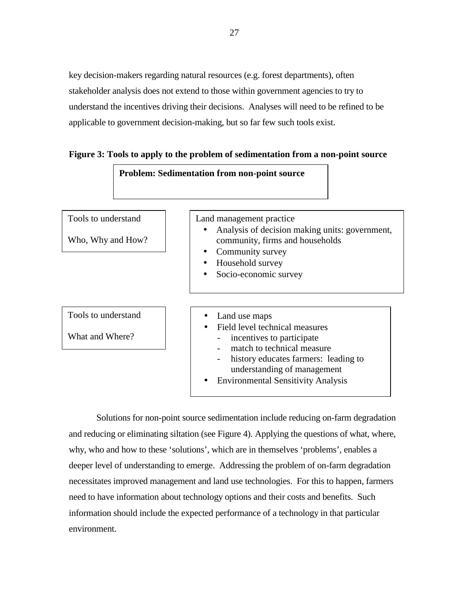key decision-makers regarding natural resources (e.g. forest departments), often stakeholder analysis does not extend to those within government agencies to try to understand the incentives driving their decisions. Analyses will need to be refined to be applicable to government decision-making, but so far few such tools exist.



**Figure 3: Tools to apply to the problem of sedimentation from a non-point source** 

Solutions for non-point source sedimentation include reducing on-farm degradation and reducing or eliminating siltation (see Figure 4). Applying the questions of what, where, why, who and how to these 'solutions', which are in themselves 'problems', enables a deeper level of understanding to emerge. Addressing the problem of on-farm degradation necessitates improved management and land use technologies. For this to happen, farmers need to have information about technology options and their costs and benefits. Such information should include the expected performance of a technology in that particular environment.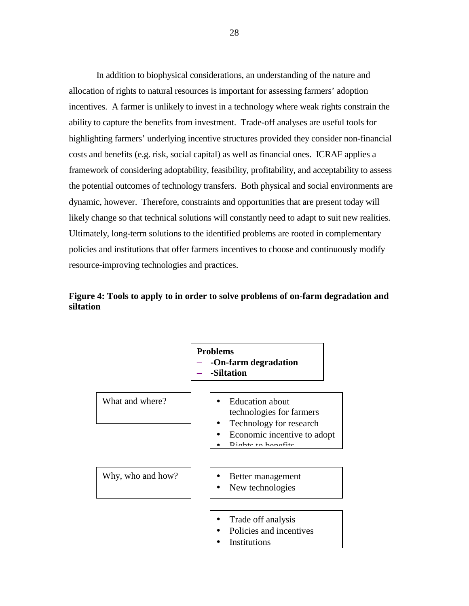In addition to biophysical considerations, an understanding of the nature and allocation of rights to natural resources is important for assessing farmers' adoption incentives. A farmer is unlikely to invest in a technology where weak rights constrain the ability to capture the benefits from investment. Trade-off analyses are useful tools for highlighting farmers' underlying incentive structures provided they consider non-financial costs and benefits (e.g. risk, social capital) as well as financial ones. ICRAF applies a framework of considering adoptability, feasibility, profitability, and acceptability to assess the potential outcomes of technology transfers. Both physical and social environments are dynamic, however. Therefore, constraints and opportunities that are present today will likely change so that technical solutions will constantly need to adapt to suit new realities. Ultimately, long-term solutions to the identified problems are rooted in complementary policies and institutions that offer farmers incentives to choose and continuously modify resource-improving technologies and practices.

# **Figure 4: Tools to apply to in order to solve problems of on-farm degradation and siltation**

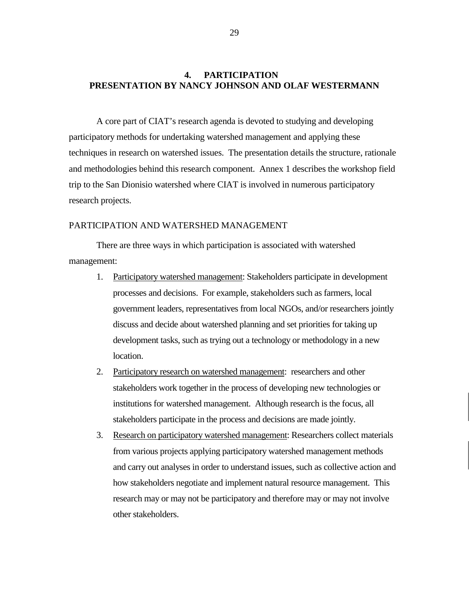# <span id="page-31-0"></span>**4. PARTICIPATION PRESENTATION BY NANCY JOHNSON AND OLAF WESTERMANN**

A core part of CIAT's research agenda is devoted to studying and developing participatory methods for undertaking watershed management and applying these techniques in research on watershed issues. The presentation details the structure, rationale and methodologies behind this research component. Annex 1 describes the workshop field trip to the San Dionisio watershed where CIAT is involved in numerous participatory research projects.

#### PARTICIPATION AND WATERSHED MANAGEMENT

There are three ways in which participation is associated with watershed management:

- 1. Participatory watershed management: Stakeholders participate in development processes and decisions. For example, stakeholders such as farmers, local government leaders, representatives from local NGOs, and/or researchers jointly discuss and decide about watershed planning and set priorities for taking up development tasks, such as trying out a technology or methodology in a new location.
- 2. Participatory research on watershed management: researchers and other stakeholders work together in the process of developing new technologies or institutions for watershed management. Although research is the focus, all stakeholders participate in the process and decisions are made jointly.
- 3. Research on participatory watershed management: Researchers collect materials from various projects applying participatory watershed management methods and carry out analyses in order to understand issues, such as collective action and how stakeholders negotiate and implement natural resource management. This research may or may not be participatory and therefore may or may not involve other stakeholders.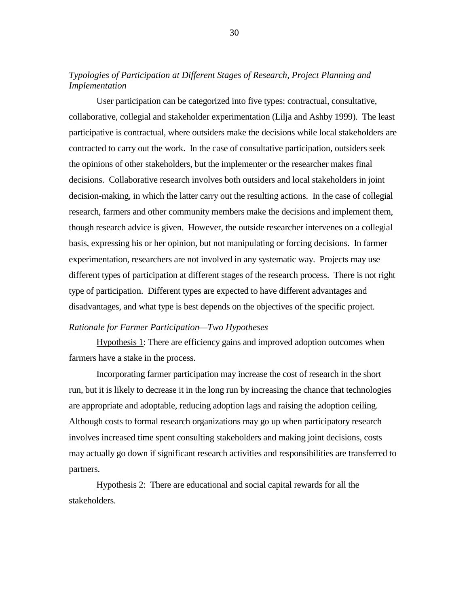## *Typologies of Participation at Different Stages of Research, Project Planning and Implementation*

User participation can be categorized into five types: contractual, consultative, collaborative, collegial and stakeholder experimentation (Lilja and Ashby 1999). The least participative is contractual, where outsiders make the decisions while local stakeholders are contracted to carry out the work. In the case of consultative participation, outsiders seek the opinions of other stakeholders, but the implementer or the researcher makes final decisions. Collaborative research involves both outsiders and local stakeholders in joint decision-making, in which the latter carry out the resulting actions. In the case of collegial research, farmers and other community members make the decisions and implement them, though research advice is given. However, the outside researcher intervenes on a collegial basis, expressing his or her opinion, but not manipulating or forcing decisions. In farmer experimentation, researchers are not involved in any systematic way. Projects may use different types of participation at different stages of the research process. There is not right type of participation. Different types are expected to have different advantages and disadvantages, and what type is best depends on the objectives of the specific project.

#### *Rationale for Farmer Participation—Two Hypotheses*

Hypothesis 1: There are efficiency gains and improved adoption outcomes when farmers have a stake in the process.

Incorporating farmer participation may increase the cost of research in the short run, but it is likely to decrease it in the long run by increasing the chance that technologies are appropriate and adoptable, reducing adoption lags and raising the adoption ceiling. Although costs to formal research organizations may go up when participatory research involves increased time spent consulting stakeholders and making joint decisions, costs may actually go down if significant research activities and responsibilities are transferred to partners.

Hypothesis 2: There are educational and social capital rewards for all the stakeholders.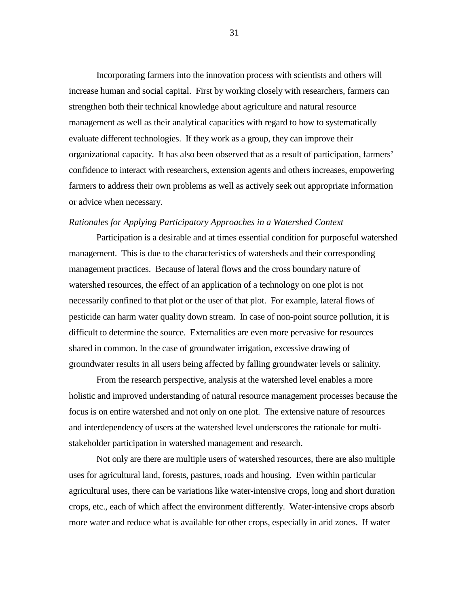Incorporating farmers into the innovation process with scientists and others will increase human and social capital. First by working closely with researchers, farmers can strengthen both their technical knowledge about agriculture and natural resource management as well as their analytical capacities with regard to how to systematically evaluate different technologies. If they work as a group, they can improve their organizational capacity. It has also been observed that as a result of participation, farmers' confidence to interact with researchers, extension agents and others increases, empowering farmers to address their own problems as well as actively seek out appropriate information or advice when necessary.

#### *Rationales for Applying Participatory Approaches in a Watershed Context*

Participation is a desirable and at times essential condition for purposeful watershed management. This is due to the characteristics of watersheds and their corresponding management practices. Because of lateral flows and the cross boundary nature of watershed resources, the effect of an application of a technology on one plot is not necessarily confined to that plot or the user of that plot. For example, lateral flows of pesticide can harm water quality down stream. In case of non-point source pollution, it is difficult to determine the source. Externalities are even more pervasive for resources shared in common. In the case of groundwater irrigation, excessive drawing of groundwater results in all users being affected by falling groundwater levels or salinity.

From the research perspective, analysis at the watershed level enables a more holistic and improved understanding of natural resource management processes because the focus is on entire watershed and not only on one plot. The extensive nature of resources and interdependency of users at the watershed level underscores the rationale for multistakeholder participation in watershed management and research.

Not only are there are multiple users of watershed resources, there are also multiple uses for agricultural land, forests, pastures, roads and housing. Even within particular agricultural uses, there can be variations like water-intensive crops, long and short duration crops, etc., each of which affect the environment differently. Water-intensive crops absorb more water and reduce what is available for other crops, especially in arid zones. If water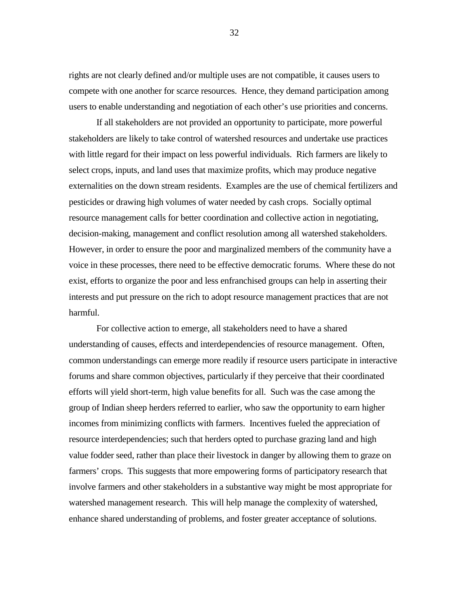rights are not clearly defined and/or multiple uses are not compatible, it causes users to compete with one another for scarce resources. Hence, they demand participation among users to enable understanding and negotiation of each other's use priorities and concerns.

If all stakeholders are not provided an opportunity to participate, more powerful stakeholders are likely to take control of watershed resources and undertake use practices with little regard for their impact on less powerful individuals. Rich farmers are likely to select crops, inputs, and land uses that maximize profits, which may produce negative externalities on the down stream residents. Examples are the use of chemical fertilizers and pesticides or drawing high volumes of water needed by cash crops. Socially optimal resource management calls for better coordination and collective action in negotiating, decision-making, management and conflict resolution among all watershed stakeholders. However, in order to ensure the poor and marginalized members of the community have a voice in these processes, there need to be effective democratic forums. Where these do not exist, efforts to organize the poor and less enfranchised groups can help in asserting their interests and put pressure on the rich to adopt resource management practices that are not harmful.

For collective action to emerge, all stakeholders need to have a shared understanding of causes, effects and interdependencies of resource management. Often, common understandings can emerge more readily if resource users participate in interactive forums and share common objectives, particularly if they perceive that their coordinated efforts will yield short-term, high value benefits for all. Such was the case among the group of Indian sheep herders referred to earlier, who saw the opportunity to earn higher incomes from minimizing conflicts with farmers. Incentives fueled the appreciation of resource interdependencies; such that herders opted to purchase grazing land and high value fodder seed, rather than place their livestock in danger by allowing them to graze on farmers' crops. This suggests that more empowering forms of participatory research that involve farmers and other stakeholders in a substantive way might be most appropriate for watershed management research. This will help manage the complexity of watershed, enhance shared understanding of problems, and foster greater acceptance of solutions.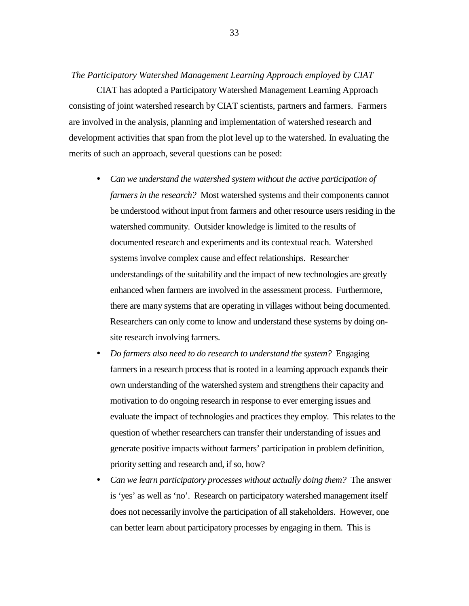#### *The Participatory Watershed Management Learning Approach employed by CIAT*

CIAT has adopted a Participatory Watershed Management Learning Approach consisting of joint watershed research by CIAT scientists, partners and farmers. Farmers are involved in the analysis, planning and implementation of watershed research and development activities that span from the plot level up to the watershed. In evaluating the merits of such an approach, several questions can be posed:

- ! *Can we understand the watershed system without the active participation of farmers in the research?* Most watershed systems and their components cannot be understood without input from farmers and other resource users residing in the watershed community. Outsider knowledge is limited to the results of documented research and experiments and its contextual reach. Watershed systems involve complex cause and effect relationships. Researcher understandings of the suitability and the impact of new technologies are greatly enhanced when farmers are involved in the assessment process. Furthermore, there are many systems that are operating in villages without being documented. Researchers can only come to know and understand these systems by doing onsite research involving farmers.
- ! *Do farmers also need to do research to understand the system?* Engaging farmers in a research process that is rooted in a learning approach expands their own understanding of the watershed system and strengthens their capacity and motivation to do ongoing research in response to ever emerging issues and evaluate the impact of technologies and practices they employ. This relates to the question of whether researchers can transfer their understanding of issues and generate positive impacts without farmers' participation in problem definition, priority setting and research and, if so, how?
- ! *Can we learn participatory processes without actually doing them?* The answer is 'yes' as well as 'no'. Research on participatory watershed management itself does not necessarily involve the participation of all stakeholders. However, one can better learn about participatory processes by engaging in them. This is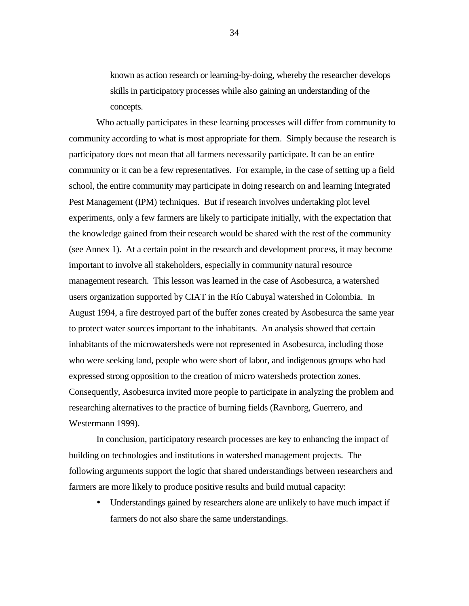known as action research or learning-by-doing, whereby the researcher develops skills in participatory processes while also gaining an understanding of the concepts.

Who actually participates in these learning processes will differ from community to community according to what is most appropriate for them. Simply because the research is participatory does not mean that all farmers necessarily participate. It can be an entire community or it can be a few representatives. For example, in the case of setting up a field school, the entire community may participate in doing research on and learning Integrated Pest Management (IPM) techniques. But if research involves undertaking plot level experiments, only a few farmers are likely to participate initially, with the expectation that the knowledge gained from their research would be shared with the rest of the community (see Annex 1). At a certain point in the research and development process, it may become important to involve all stakeholders, especially in community natural resource management research. This lesson was learned in the case of Asobesurca, a watershed users organization supported by CIAT in the Río Cabuyal watershed in Colombia. In August 1994, a fire destroyed part of the buffer zones created by Asobesurca the same year to protect water sources important to the inhabitants. An analysis showed that certain inhabitants of the microwatersheds were not represented in Asobesurca, including those who were seeking land, people who were short of labor, and indigenous groups who had expressed strong opposition to the creation of micro watersheds protection zones. Consequently, Asobesurca invited more people to participate in analyzing the problem and researching alternatives to the practice of burning fields (Ravnborg, Guerrero, and Westermann 1999).

In conclusion, participatory research processes are key to enhancing the impact of building on technologies and institutions in watershed management projects. The following arguments support the logic that shared understandings between researchers and farmers are more likely to produce positive results and build mutual capacity:

! Understandings gained by researchers alone are unlikely to have much impact if farmers do not also share the same understandings.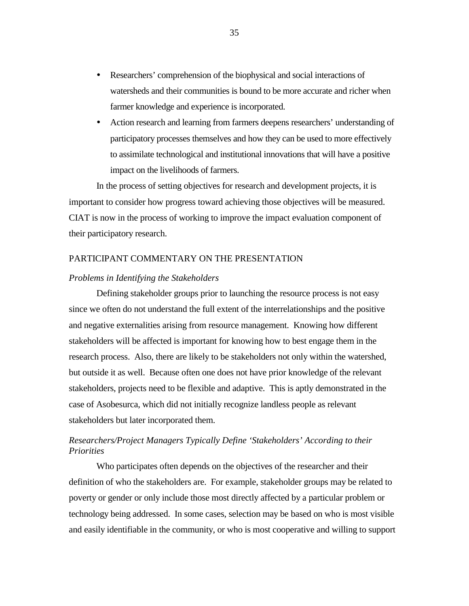- ! Researchers' comprehension of the biophysical and social interactions of watersheds and their communities is bound to be more accurate and richer when farmer knowledge and experience is incorporated.
- ! Action research and learning from farmers deepens researchers' understanding of participatory processes themselves and how they can be used to more effectively to assimilate technological and institutional innovations that will have a positive impact on the livelihoods of farmers.

In the process of setting objectives for research and development projects, it is important to consider how progress toward achieving those objectives will be measured. CIAT is now in the process of working to improve the impact evaluation component of their participatory research.

### PARTICIPANT COMMENTARY ON THE PRESENTATION

### *Problems in Identifying the Stakeholders*

Defining stakeholder groups prior to launching the resource process is not easy since we often do not understand the full extent of the interrelationships and the positive and negative externalities arising from resource management. Knowing how different stakeholders will be affected is important for knowing how to best engage them in the research process. Also, there are likely to be stakeholders not only within the watershed, but outside it as well. Because often one does not have prior knowledge of the relevant stakeholders, projects need to be flexible and adaptive. This is aptly demonstrated in the case of Asobesurca, which did not initially recognize landless people as relevant stakeholders but later incorporated them.

# *Researchers/Project Managers Typically Define 'Stakeholders' According to their Priorities*

Who participates often depends on the objectives of the researcher and their definition of who the stakeholders are. For example, stakeholder groups may be related to poverty or gender or only include those most directly affected by a particular problem or technology being addressed. In some cases, selection may be based on who is most visible and easily identifiable in the community, or who is most cooperative and willing to support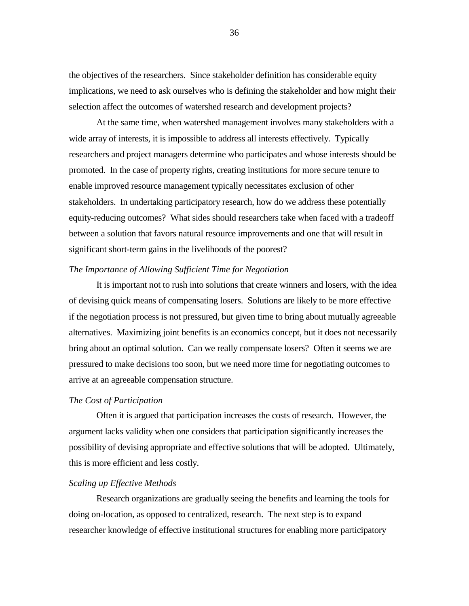the objectives of the researchers. Since stakeholder definition has considerable equity implications, we need to ask ourselves who is defining the stakeholder and how might their selection affect the outcomes of watershed research and development projects?

At the same time, when watershed management involves many stakeholders with a wide array of interests, it is impossible to address all interests effectively. Typically researchers and project managers determine who participates and whose interests should be promoted. In the case of property rights, creating institutions for more secure tenure to enable improved resource management typically necessitates exclusion of other stakeholders. In undertaking participatory research, how do we address these potentially equity-reducing outcomes? What sides should researchers take when faced with a tradeoff between a solution that favors natural resource improvements and one that will result in significant short-term gains in the livelihoods of the poorest?

#### *The Importance of Allowing Sufficient Time for Negotiation*

It is important not to rush into solutions that create winners and losers, with the idea of devising quick means of compensating losers. Solutions are likely to be more effective if the negotiation process is not pressured, but given time to bring about mutually agreeable alternatives. Maximizing joint benefits is an economics concept, but it does not necessarily bring about an optimal solution. Can we really compensate losers? Often it seems we are pressured to make decisions too soon, but we need more time for negotiating outcomes to arrive at an agreeable compensation structure.

### *The Cost of Participation*

Often it is argued that participation increases the costs of research. However, the argument lacks validity when one considers that participation significantly increases the possibility of devising appropriate and effective solutions that will be adopted. Ultimately, this is more efficient and less costly.

### *Scaling up Effective Methods*

Research organizations are gradually seeing the benefits and learning the tools for doing on-location, as opposed to centralized, research. The next step is to expand researcher knowledge of effective institutional structures for enabling more participatory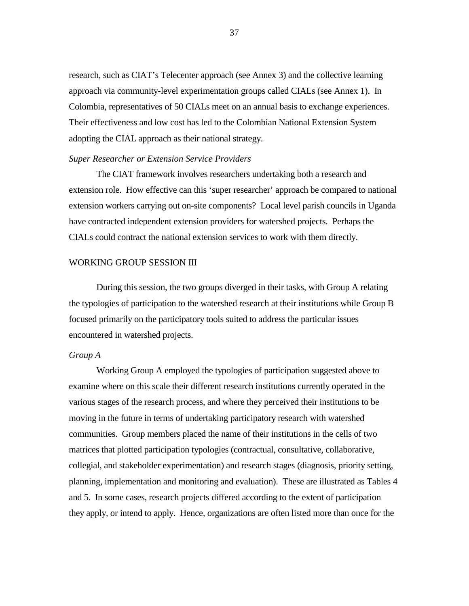research, such as CIAT's Telecenter approach (see Annex 3) and the collective learning approach via community-level experimentation groups called CIALs (see Annex 1). In Colombia, representatives of 50 CIALs meet on an annual basis to exchange experiences. Their effectiveness and low cost has led to the Colombian National Extension System adopting the CIAL approach as their national strategy.

### *Super Researcher or Extension Service Providers*

The CIAT framework involves researchers undertaking both a research and extension role. How effective can this 'super researcher' approach be compared to national extension workers carrying out on-site components? Local level parish councils in Uganda have contracted independent extension providers for watershed projects. Perhaps the CIALs could contract the national extension services to work with them directly.

### WORKING GROUP SESSION III

During this session, the two groups diverged in their tasks, with Group A relating the typologies of participation to the watershed research at their institutions while Group B focused primarily on the participatory tools suited to address the particular issues encountered in watershed projects.

### *Group A*

Working Group A employed the typologies of participation suggested above to examine where on this scale their different research institutions currently operated in the various stages of the research process, and where they perceived their institutions to be moving in the future in terms of undertaking participatory research with watershed communities. Group members placed the name of their institutions in the cells of two matrices that plotted participation typologies (contractual, consultative, collaborative, collegial, and stakeholder experimentation) and research stages (diagnosis, priority setting, planning, implementation and monitoring and evaluation). These are illustrated as Tables 4 and 5. In some cases, research projects differed according to the extent of participation they apply, or intend to apply. Hence, organizations are often listed more than once for the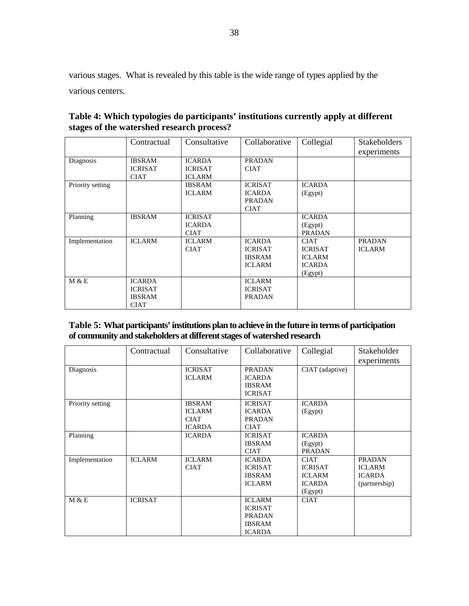various stages. What is revealed by this table is the wide range of types applied by the various centers.

|                  | Contractual    | Consultative   | Collaborative  | Collegial      | <b>Stakeholders</b> |
|------------------|----------------|----------------|----------------|----------------|---------------------|
|                  |                |                |                |                | experiments         |
| Diagnosis        | <b>IBSRAM</b>  | <b>ICARDA</b>  | <b>PRADAN</b>  |                |                     |
|                  | <b>ICRISAT</b> | <b>ICRISAT</b> | <b>CIAT</b>    |                |                     |
|                  | <b>CIAT</b>    | <b>ICLARM</b>  |                |                |                     |
| Priority setting |                | <b>IBSRAM</b>  | <b>ICRISAT</b> | <b>ICARDA</b>  |                     |
|                  |                | <b>ICLARM</b>  | <b>ICARDA</b>  | (Egypt)        |                     |
|                  |                |                | <b>PRADAN</b>  |                |                     |
|                  |                |                | <b>CIAT</b>    |                |                     |
| Planning         | <b>IBSRAM</b>  | <b>ICRISAT</b> |                | <b>ICARDA</b>  |                     |
|                  |                | <b>ICARDA</b>  |                | (Egypt)        |                     |
|                  |                | <b>CIAT</b>    |                | <b>PRADAN</b>  |                     |
| Implementation   | <b>ICLARM</b>  | <b>ICLARM</b>  | <b>ICARDA</b>  | <b>CIAT</b>    | <b>PRADAN</b>       |
|                  |                | <b>CIAT</b>    | <b>ICRISAT</b> | <b>ICRISAT</b> | <b>ICLARM</b>       |
|                  |                |                | <b>IBSRAM</b>  | <b>ICLARM</b>  |                     |
|                  |                |                | <b>ICLARM</b>  | <b>ICARDA</b>  |                     |
|                  |                |                |                | (Egypt)        |                     |
| M & E            | <b>ICARDA</b>  |                | <b>ICLARM</b>  |                |                     |
|                  | <b>ICRISAT</b> |                | <b>ICRISAT</b> |                |                     |
|                  | <b>IBSRAM</b>  |                | <b>PRADAN</b>  |                |                     |
|                  | <b>CIAT</b>    |                |                |                |                     |

**Table 4: Which typologies do participants' institutions currently apply at different stages of the watershed research process?** 

| Table 5: What participants' institutions plan to achieve in the future in terms of participation |
|--------------------------------------------------------------------------------------------------|
| of community and stakeholders at different stages of watershed research                          |

|                  | Contractual    | Consultative   | Collaborative  | Collegial       | Stakeholder   |
|------------------|----------------|----------------|----------------|-----------------|---------------|
|                  |                |                |                |                 | experiments   |
| Diagnosis        |                | <b>ICRISAT</b> | <b>PRADAN</b>  | CIAT (adaptive) |               |
|                  |                | <b>ICLARM</b>  | <b>ICARDA</b>  |                 |               |
|                  |                |                | <b>IBSRAM</b>  |                 |               |
|                  |                |                | <b>ICRISAT</b> |                 |               |
| Priority setting |                | <b>IBSRAM</b>  | <b>ICRISAT</b> | <b>ICARDA</b>   |               |
|                  |                | <b>ICLARM</b>  | <b>ICARDA</b>  | (Egypt)         |               |
|                  |                | <b>CIAT</b>    | <b>PRADAN</b>  |                 |               |
|                  |                | <b>ICARDA</b>  | <b>CIAT</b>    |                 |               |
| Planning         |                | <b>ICARDA</b>  | <b>ICRISAT</b> | <b>ICARDA</b>   |               |
|                  |                |                | <b>IBSRAM</b>  | (Egypt)         |               |
|                  |                |                | <b>CIAT</b>    | <b>PRADAN</b>   |               |
| Implementation   | <b>ICLARM</b>  | <b>ICLARM</b>  | <b>ICARDA</b>  | <b>CIAT</b>     | <b>PRADAN</b> |
|                  |                | <b>CIAT</b>    | <b>ICRISAT</b> | <b>ICRISAT</b>  | <b>ICLARM</b> |
|                  |                |                | <b>IBSRAM</b>  | <b>ICLARM</b>   | <b>ICARDA</b> |
|                  |                |                | <b>ICLARM</b>  | <b>ICARDA</b>   | (partnership) |
|                  |                |                |                | (Egypt)         |               |
| M & E            | <b>ICRISAT</b> |                | <b>ICLARM</b>  | <b>CIAT</b>     |               |
|                  |                |                | <b>ICRISAT</b> |                 |               |
|                  |                |                | <b>PRADAN</b>  |                 |               |
|                  |                |                | <b>IBSRAM</b>  |                 |               |
|                  |                |                | <b>ICARDA</b>  |                 |               |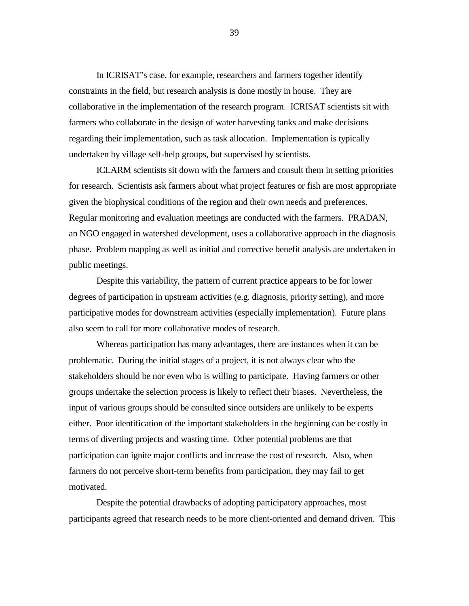In ICRISAT's case, for example, researchers and farmers together identify constraints in the field, but research analysis is done mostly in house. They are collaborative in the implementation of the research program. ICRISAT scientists sit with farmers who collaborate in the design of water harvesting tanks and make decisions regarding their implementation, such as task allocation. Implementation is typically undertaken by village self-help groups, but supervised by scientists.

ICLARM scientists sit down with the farmers and consult them in setting priorities for research. Scientists ask farmers about what project features or fish are most appropriate given the biophysical conditions of the region and their own needs and preferences. Regular monitoring and evaluation meetings are conducted with the farmers. PRADAN, an NGO engaged in watershed development, uses a collaborative approach in the diagnosis phase. Problem mapping as well as initial and corrective benefit analysis are undertaken in public meetings.

Despite this variability, the pattern of current practice appears to be for lower degrees of participation in upstream activities (e.g. diagnosis, priority setting), and more participative modes for downstream activities (especially implementation). Future plans also seem to call for more collaborative modes of research.

Whereas participation has many advantages, there are instances when it can be problematic. During the initial stages of a project, it is not always clear who the stakeholders should be nor even who is willing to participate. Having farmers or other groups undertake the selection process is likely to reflect their biases. Nevertheless, the input of various groups should be consulted since outsiders are unlikely to be experts either. Poor identification of the important stakeholders in the beginning can be costly in terms of diverting projects and wasting time. Other potential problems are that participation can ignite major conflicts and increase the cost of research. Also, when farmers do not perceive short-term benefits from participation, they may fail to get motivated.

Despite the potential drawbacks of adopting participatory approaches, most participants agreed that research needs to be more client-oriented and demand driven. This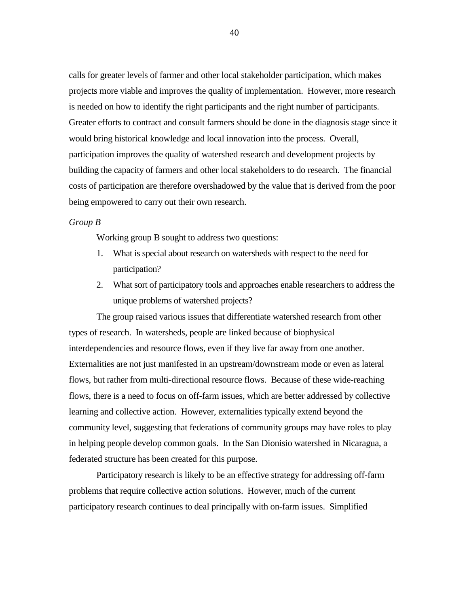calls for greater levels of farmer and other local stakeholder participation, which makes projects more viable and improves the quality of implementation. However, more research is needed on how to identify the right participants and the right number of participants. Greater efforts to contract and consult farmers should be done in the diagnosis stage since it would bring historical knowledge and local innovation into the process. Overall, participation improves the quality of watershed research and development projects by building the capacity of farmers and other local stakeholders to do research. The financial costs of participation are therefore overshadowed by the value that is derived from the poor being empowered to carry out their own research.

#### *Group B*

Working group B sought to address two questions:

- 1. What is special about research on watersheds with respect to the need for participation?
- 2. What sort of participatory tools and approaches enable researchers to address the unique problems of watershed projects?

The group raised various issues that differentiate watershed research from other types of research. In watersheds, people are linked because of biophysical interdependencies and resource flows, even if they live far away from one another. Externalities are not just manifested in an upstream/downstream mode or even as lateral flows, but rather from multi-directional resource flows. Because of these wide-reaching flows, there is a need to focus on off-farm issues, which are better addressed by collective learning and collective action. However, externalities typically extend beyond the community level, suggesting that federations of community groups may have roles to play in helping people develop common goals. In the San Dionisio watershed in Nicaragua, a federated structure has been created for this purpose.

Participatory research is likely to be an effective strategy for addressing off-farm problems that require collective action solutions. However, much of the current participatory research continues to deal principally with on-farm issues. Simplified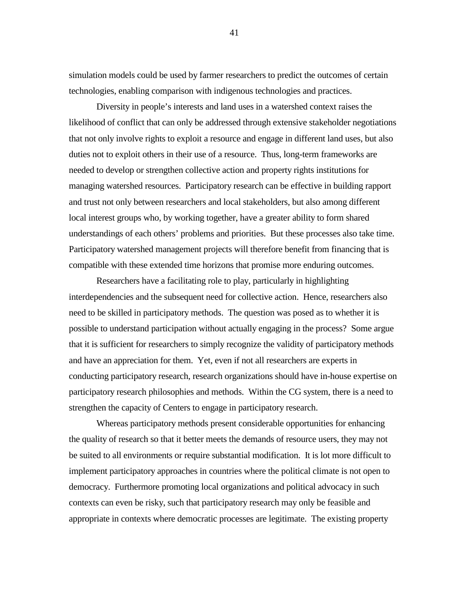simulation models could be used by farmer researchers to predict the outcomes of certain technologies, enabling comparison with indigenous technologies and practices.

Diversity in people's interests and land uses in a watershed context raises the likelihood of conflict that can only be addressed through extensive stakeholder negotiations that not only involve rights to exploit a resource and engage in different land uses, but also duties not to exploit others in their use of a resource. Thus, long-term frameworks are needed to develop or strengthen collective action and property rights institutions for managing watershed resources. Participatory research can be effective in building rapport and trust not only between researchers and local stakeholders, but also among different local interest groups who, by working together, have a greater ability to form shared understandings of each others' problems and priorities. But these processes also take time. Participatory watershed management projects will therefore benefit from financing that is compatible with these extended time horizons that promise more enduring outcomes.

Researchers have a facilitating role to play, particularly in highlighting interdependencies and the subsequent need for collective action. Hence, researchers also need to be skilled in participatory methods. The question was posed as to whether it is possible to understand participation without actually engaging in the process? Some argue that it is sufficient for researchers to simply recognize the validity of participatory methods and have an appreciation for them. Yet, even if not all researchers are experts in conducting participatory research, research organizations should have in-house expertise on participatory research philosophies and methods. Within the CG system, there is a need to strengthen the capacity of Centers to engage in participatory research.

Whereas participatory methods present considerable opportunities for enhancing the quality of research so that it better meets the demands of resource users, they may not be suited to all environments or require substantial modification. It is lot more difficult to implement participatory approaches in countries where the political climate is not open to democracy. Furthermore promoting local organizations and political advocacy in such contexts can even be risky, such that participatory research may only be feasible and appropriate in contexts where democratic processes are legitimate. The existing property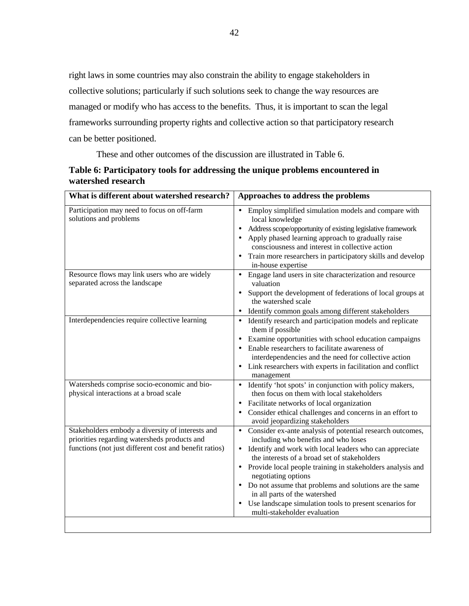right laws in some countries may also constrain the ability to engage stakeholders in collective solutions; particularly if such solutions seek to change the way resources are managed or modify who has access to the benefits. Thus, it is important to scan the legal frameworks surrounding property rights and collective action so that participatory research can be better positioned.

These and other outcomes of the discussion are illustrated in Table 6.

| Table 6: Participatory tools for addressing the unique problems encountered in |
|--------------------------------------------------------------------------------|
| watershed research                                                             |

| What is different about watershed research?                                                      | Approaches to address the problems                                                                      |
|--------------------------------------------------------------------------------------------------|---------------------------------------------------------------------------------------------------------|
| Participation may need to focus on off-farm<br>solutions and problems                            | Employ simplified simulation models and compare with<br>local knowledge                                 |
|                                                                                                  | Address scope/opportunity of existing legislative framework                                             |
|                                                                                                  | Apply phased learning approach to gradually raise<br>consciousness and interest in collective action    |
|                                                                                                  | Train more researchers in participatory skills and develop<br>in-house expertise                        |
| Resource flows may link users who are widely                                                     | Engage land users in site characterization and resource<br>$\bullet$                                    |
| separated across the landscape                                                                   | valuation                                                                                               |
|                                                                                                  | Support the development of federations of local groups at<br>the watershed scale                        |
|                                                                                                  | Identify common goals among different stakeholders                                                      |
| Interdependencies require collective learning                                                    | • Identify research and participation models and replicate<br>them if possible                          |
|                                                                                                  | Examine opportunities with school education campaigns                                                   |
|                                                                                                  | Enable researchers to facilitate awareness of                                                           |
|                                                                                                  | interdependencies and the need for collective action                                                    |
|                                                                                                  | Link researchers with experts in facilitation and conflict<br>management                                |
| Watersheds comprise socio-economic and bio-                                                      | Identify 'hot spots' in conjunction with policy makers,                                                 |
| physical interactions at a broad scale                                                           | then focus on them with local stakeholders                                                              |
|                                                                                                  | Facilitate networks of local organization                                                               |
|                                                                                                  | Consider ethical challenges and concerns in an effort to<br>avoid jeopardizing stakeholders             |
| Stakeholders embody a diversity of interests and<br>priorities regarding watersheds products and | Consider ex-ante analysis of potential research outcomes,<br>including who benefits and who loses       |
| functions (not just different cost and benefit ratios)                                           | Identify and work with local leaders who can appreciate<br>the interests of a broad set of stakeholders |
|                                                                                                  | $\bullet$                                                                                               |
|                                                                                                  | Provide local people training in stakeholders analysis and<br>negotiating options                       |
|                                                                                                  | • Do not assume that problems and solutions are the same<br>in all parts of the watershed               |
|                                                                                                  | Use landscape simulation tools to present scenarios for                                                 |
|                                                                                                  | multi-stakeholder evaluation                                                                            |
|                                                                                                  |                                                                                                         |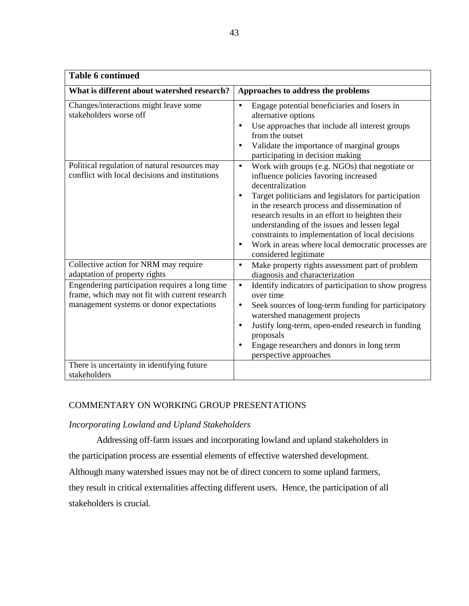| <b>Table 6 continued</b>                                                                                                                     |                                                                                                                                                                                                                                                                                                                                                                                                                                                                                                  |
|----------------------------------------------------------------------------------------------------------------------------------------------|--------------------------------------------------------------------------------------------------------------------------------------------------------------------------------------------------------------------------------------------------------------------------------------------------------------------------------------------------------------------------------------------------------------------------------------------------------------------------------------------------|
| What is different about watershed research?                                                                                                  | Approaches to address the problems                                                                                                                                                                                                                                                                                                                                                                                                                                                               |
| Changes/interactions might leave some<br>stakeholders worse off                                                                              | Engage potential beneficiaries and losers in<br>$\bullet$<br>alternative options<br>Use approaches that include all interest groups<br>$\bullet$<br>from the outset<br>Validate the importance of marginal groups<br>participating in decision making                                                                                                                                                                                                                                            |
| Political regulation of natural resources may<br>conflict with local decisions and institutions                                              | Work with groups (e.g. NGOs) that negotiate or<br>$\bullet$<br>influence policies favoring increased<br>decentralization<br>Target politicians and legislators for participation<br>$\bullet$<br>in the research process and dissemination of<br>research results in an effort to heighten their<br>understanding of the issues and lessen legal<br>constraints to implementation of local decisions<br>Work in areas where local democratic processes are<br>$\bullet$<br>considered legitimate |
| Collective action for NRM may require<br>adaptation of property rights                                                                       | Make property rights assessment part of problem<br>$\bullet$<br>diagnosis and characterization                                                                                                                                                                                                                                                                                                                                                                                                   |
| Engendering participation requires a long time<br>frame, which may not fit with current research<br>management systems or donor expectations | Identify indicators of participation to show progress<br>$\bullet$<br>over time<br>Seek sources of long-term funding for participatory<br>$\bullet$<br>watershed management projects<br>Justify long-term, open-ended research in funding<br>$\bullet$<br>proposals<br>Engage researchers and donors in long term<br>perspective approaches                                                                                                                                                      |
| There is uncertainty in identifying future<br>stakeholders                                                                                   |                                                                                                                                                                                                                                                                                                                                                                                                                                                                                                  |

# COMMENTARY ON WORKING GROUP PRESENTATIONS

### *Incorporating Lowland and Upland Stakeholders*

Addressing off-farm issues and incorporating lowland and upland stakeholders in

the participation process are essential elements of effective watershed development.

Although many watershed issues may not be of direct concern to some upland farmers,

they result in critical externalities affecting different users. Hence, the participation of all stakeholders is crucial.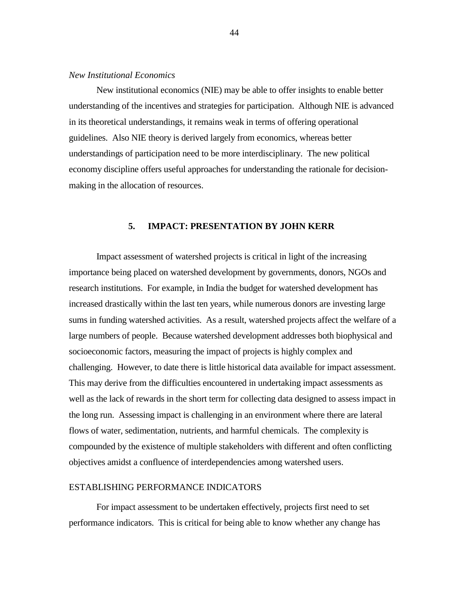### *New Institutional Economics*

New institutional economics (NIE) may be able to offer insights to enable better understanding of the incentives and strategies for participation. Although NIE is advanced in its theoretical understandings, it remains weak in terms of offering operational guidelines. Also NIE theory is derived largely from economics, whereas better understandings of participation need to be more interdisciplinary. The new political economy discipline offers useful approaches for understanding the rationale for decisionmaking in the allocation of resources.

### **5. IMPACT: PRESENTATION BY JOHN KERR**

Impact assessment of watershed projects is critical in light of the increasing importance being placed on watershed development by governments, donors, NGOs and research institutions. For example, in India the budget for watershed development has increased drastically within the last ten years, while numerous donors are investing large sums in funding watershed activities. As a result, watershed projects affect the welfare of a large numbers of people. Because watershed development addresses both biophysical and socioeconomic factors, measuring the impact of projects is highly complex and challenging. However, to date there is little historical data available for impact assessment. This may derive from the difficulties encountered in undertaking impact assessments as well as the lack of rewards in the short term for collecting data designed to assess impact in the long run. Assessing impact is challenging in an environment where there are lateral flows of water, sedimentation, nutrients, and harmful chemicals. The complexity is compounded by the existence of multiple stakeholders with different and often conflicting objectives amidst a confluence of interdependencies among watershed users.

#### ESTABLISHING PERFORMANCE INDICATORS

For impact assessment to be undertaken effectively, projects first need to set performance indicators. This is critical for being able to know whether any change has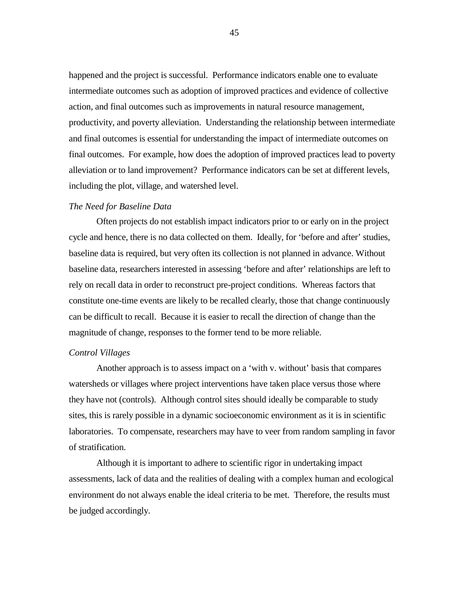happened and the project is successful. Performance indicators enable one to evaluate intermediate outcomes such as adoption of improved practices and evidence of collective action, and final outcomes such as improvements in natural resource management, productivity, and poverty alleviation. Understanding the relationship between intermediate and final outcomes is essential for understanding the impact of intermediate outcomes on final outcomes. For example, how does the adoption of improved practices lead to poverty alleviation or to land improvement? Performance indicators can be set at different levels, including the plot, village, and watershed level.

### *The Need for Baseline Data*

Often projects do not establish impact indicators prior to or early on in the project cycle and hence, there is no data collected on them. Ideally, for 'before and after' studies, baseline data is required, but very often its collection is not planned in advance. Without baseline data, researchers interested in assessing 'before and after' relationships are left to rely on recall data in order to reconstruct pre-project conditions. Whereas factors that constitute one-time events are likely to be recalled clearly, those that change continuously can be difficult to recall. Because it is easier to recall the direction of change than the magnitude of change, responses to the former tend to be more reliable.

### *Control Villages*

Another approach is to assess impact on a 'with v. without' basis that compares watersheds or villages where project interventions have taken place versus those where they have not (controls). Although control sites should ideally be comparable to study sites, this is rarely possible in a dynamic socioeconomic environment as it is in scientific laboratories. To compensate, researchers may have to veer from random sampling in favor of stratification.

Although it is important to adhere to scientific rigor in undertaking impact assessments, lack of data and the realities of dealing with a complex human and ecological environment do not always enable the ideal criteria to be met. Therefore, the results must be judged accordingly.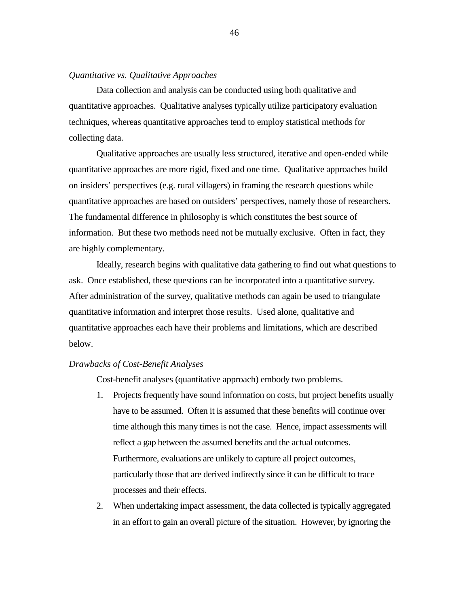### *Quantitative vs. Qualitative Approaches*

Data collection and analysis can be conducted using both qualitative and quantitative approaches. Qualitative analyses typically utilize participatory evaluation techniques, whereas quantitative approaches tend to employ statistical methods for collecting data.

Qualitative approaches are usually less structured, iterative and open-ended while quantitative approaches are more rigid, fixed and one time. Qualitative approaches build on insiders' perspectives (e.g. rural villagers) in framing the research questions while quantitative approaches are based on outsiders' perspectives, namely those of researchers. The fundamental difference in philosophy is which constitutes the best source of information. But these two methods need not be mutually exclusive. Often in fact, they are highly complementary.

Ideally, research begins with qualitative data gathering to find out what questions to ask. Once established, these questions can be incorporated into a quantitative survey. After administration of the survey, qualitative methods can again be used to triangulate quantitative information and interpret those results. Used alone, qualitative and quantitative approaches each have their problems and limitations, which are described below.

### *Drawbacks of Cost-Benefit Analyses*

Cost-benefit analyses (quantitative approach) embody two problems.

- 1. Projects frequently have sound information on costs, but project benefits usually have to be assumed. Often it is assumed that these benefits will continue over time although this many times is not the case. Hence, impact assessments will reflect a gap between the assumed benefits and the actual outcomes. Furthermore, evaluations are unlikely to capture all project outcomes, particularly those that are derived indirectly since it can be difficult to trace processes and their effects.
- 2. When undertaking impact assessment, the data collected is typically aggregated in an effort to gain an overall picture of the situation. However, by ignoring the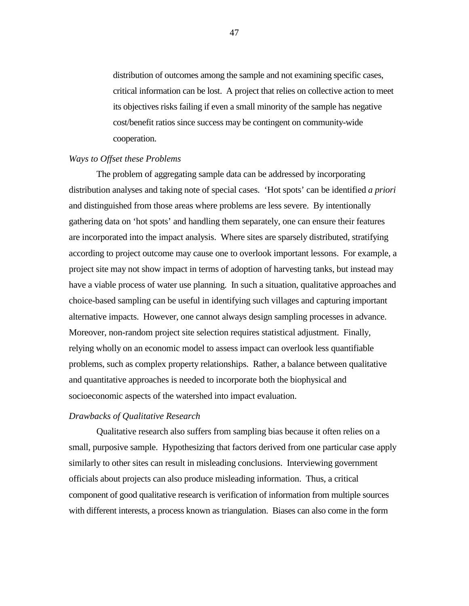distribution of outcomes among the sample and not examining specific cases, critical information can be lost. A project that relies on collective action to meet its objectives risks failing if even a small minority of the sample has negative cost/benefit ratios since success may be contingent on community-wide cooperation.

### *Ways to Offset these Problems*

The problem of aggregating sample data can be addressed by incorporating distribution analyses and taking note of special cases. 'Hot spots' can be identified *a priori* and distinguished from those areas where problems are less severe. By intentionally gathering data on 'hot spots' and handling them separately, one can ensure their features are incorporated into the impact analysis. Where sites are sparsely distributed, stratifying according to project outcome may cause one to overlook important lessons. For example, a project site may not show impact in terms of adoption of harvesting tanks, but instead may have a viable process of water use planning. In such a situation, qualitative approaches and choice-based sampling can be useful in identifying such villages and capturing important alternative impacts. However, one cannot always design sampling processes in advance. Moreover, non-random project site selection requires statistical adjustment. Finally, relying wholly on an economic model to assess impact can overlook less quantifiable problems, such as complex property relationships. Rather, a balance between qualitative and quantitative approaches is needed to incorporate both the biophysical and socioeconomic aspects of the watershed into impact evaluation.

### *Drawbacks of Qualitative Research*

Qualitative research also suffers from sampling bias because it often relies on a small, purposive sample. Hypothesizing that factors derived from one particular case apply similarly to other sites can result in misleading conclusions. Interviewing government officials about projects can also produce misleading information. Thus, a critical component of good qualitative research is verification of information from multiple sources with different interests, a process known as triangulation. Biases can also come in the form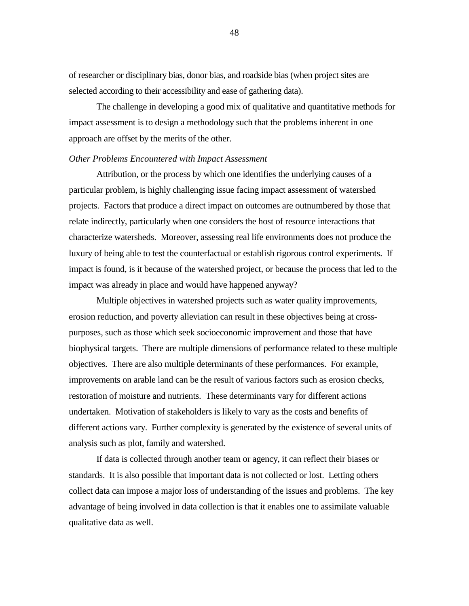of researcher or disciplinary bias, donor bias, and roadside bias (when project sites are selected according to their accessibility and ease of gathering data).

The challenge in developing a good mix of qualitative and quantitative methods for impact assessment is to design a methodology such that the problems inherent in one approach are offset by the merits of the other.

#### *Other Problems Encountered with Impact Assessment*

Attribution, or the process by which one identifies the underlying causes of a particular problem, is highly challenging issue facing impact assessment of watershed projects. Factors that produce a direct impact on outcomes are outnumbered by those that relate indirectly, particularly when one considers the host of resource interactions that characterize watersheds. Moreover, assessing real life environments does not produce the luxury of being able to test the counterfactual or establish rigorous control experiments. If impact is found, is it because of the watershed project, or because the process that led to the impact was already in place and would have happened anyway?

Multiple objectives in watershed projects such as water quality improvements, erosion reduction, and poverty alleviation can result in these objectives being at crosspurposes, such as those which seek socioeconomic improvement and those that have biophysical targets. There are multiple dimensions of performance related to these multiple objectives. There are also multiple determinants of these performances. For example, improvements on arable land can be the result of various factors such as erosion checks, restoration of moisture and nutrients. These determinants vary for different actions undertaken. Motivation of stakeholders is likely to vary as the costs and benefits of different actions vary. Further complexity is generated by the existence of several units of analysis such as plot, family and watershed.

If data is collected through another team or agency, it can reflect their biases or standards. It is also possible that important data is not collected or lost. Letting others collect data can impose a major loss of understanding of the issues and problems. The key advantage of being involved in data collection is that it enables one to assimilate valuable qualitative data as well.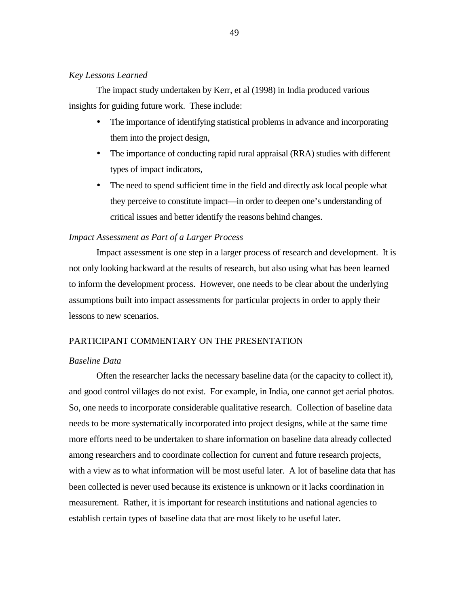### *Key Lessons Learned*

The impact study undertaken by Kerr, et al (1998) in India produced various insights for guiding future work. These include:

- ! The importance of identifying statistical problems in advance and incorporating them into the project design,
- ! The importance of conducting rapid rural appraisal (RRA) studies with different types of impact indicators,
- ! The need to spend sufficient time in the field and directly ask local people what they perceive to constitute impact—in order to deepen one's understanding of critical issues and better identify the reasons behind changes.

### *Impact Assessment as Part of a Larger Process*

Impact assessment is one step in a larger process of research and development. It is not only looking backward at the results of research, but also using what has been learned to inform the development process. However, one needs to be clear about the underlying assumptions built into impact assessments for particular projects in order to apply their lessons to new scenarios.

## PARTICIPANT COMMENTARY ON THE PRESENTATION

### *Baseline Data*

Often the researcher lacks the necessary baseline data (or the capacity to collect it), and good control villages do not exist. For example, in India, one cannot get aerial photos. So, one needs to incorporate considerable qualitative research. Collection of baseline data needs to be more systematically incorporated into project designs, while at the same time more efforts need to be undertaken to share information on baseline data already collected among researchers and to coordinate collection for current and future research projects, with a view as to what information will be most useful later. A lot of baseline data that has been collected is never used because its existence is unknown or it lacks coordination in measurement. Rather, it is important for research institutions and national agencies to establish certain types of baseline data that are most likely to be useful later.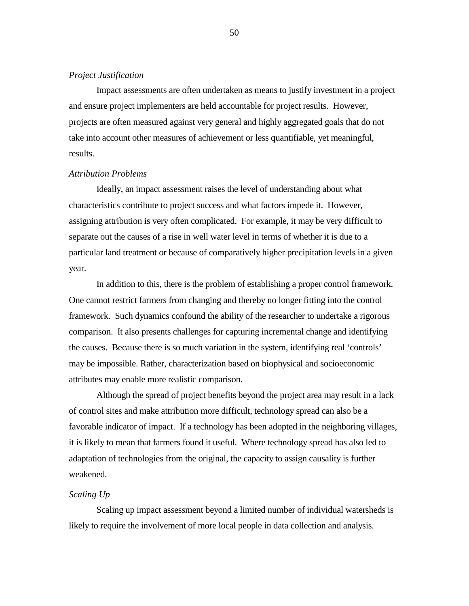### *Project Justification*

Impact assessments are often undertaken as means to justify investment in a project and ensure project implementers are held accountable for project results. However, projects are often measured against very general and highly aggregated goals that do not take into account other measures of achievement or less quantifiable, yet meaningful, results.

#### *Attribution Problems*

Ideally, an impact assessment raises the level of understanding about what characteristics contribute to project success and what factors impede it. However, assigning attribution is very often complicated. For example, it may be very difficult to separate out the causes of a rise in well water level in terms of whether it is due to a particular land treatment or because of comparatively higher precipitation levels in a given year.

In addition to this, there is the problem of establishing a proper control framework. One cannot restrict farmers from changing and thereby no longer fitting into the control framework. Such dynamics confound the ability of the researcher to undertake a rigorous comparison. It also presents challenges for capturing incremental change and identifying the causes. Because there is so much variation in the system, identifying real 'controls' may be impossible. Rather, characterization based on biophysical and socioeconomic attributes may enable more realistic comparison.

Although the spread of project benefits beyond the project area may result in a lack of control sites and make attribution more difficult, technology spread can also be a favorable indicator of impact. If a technology has been adopted in the neighboring villages, it is likely to mean that farmers found it useful. Where technology spread has also led to adaptation of technologies from the original, the capacity to assign causality is further weakened.

#### *Scaling Up*

Scaling up impact assessment beyond a limited number of individual watersheds is likely to require the involvement of more local people in data collection and analysis.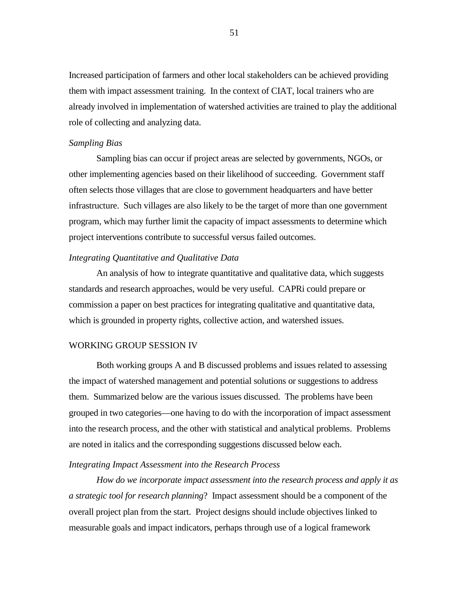Increased participation of farmers and other local stakeholders can be achieved providing them with impact assessment training. In the context of CIAT, local trainers who are already involved in implementation of watershed activities are trained to play the additional role of collecting and analyzing data.

### *Sampling Bias*

Sampling bias can occur if project areas are selected by governments, NGOs, or other implementing agencies based on their likelihood of succeeding. Government staff often selects those villages that are close to government headquarters and have better infrastructure. Such villages are also likely to be the target of more than one government program, which may further limit the capacity of impact assessments to determine which project interventions contribute to successful versus failed outcomes.

### *Integrating Quantitative and Qualitative Data*

An analysis of how to integrate quantitative and qualitative data, which suggests standards and research approaches, would be very useful. CAPRi could prepare or commission a paper on best practices for integrating qualitative and quantitative data, which is grounded in property rights, collective action, and watershed issues.

## WORKING GROUP SESSION IV

Both working groups A and B discussed problems and issues related to assessing the impact of watershed management and potential solutions or suggestions to address them. Summarized below are the various issues discussed. The problems have been grouped in two categories—one having to do with the incorporation of impact assessment into the research process, and the other with statistical and analytical problems. Problems are noted in italics and the corresponding suggestions discussed below each.

### *Integrating Impact Assessment into the Research Process*

*How do we incorporate impact assessment into the research process and apply it as a strategic tool for research planning*? Impact assessment should be a component of the overall project plan from the start. Project designs should include objectives linked to measurable goals and impact indicators, perhaps through use of a logical framework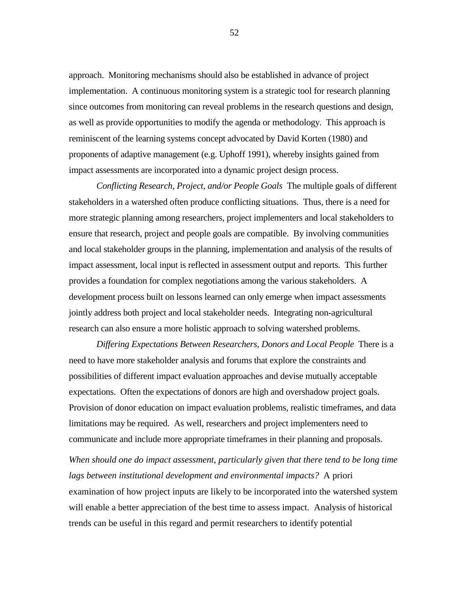approach. Monitoring mechanisms should also be established in advance of project implementation. A continuous monitoring system is a strategic tool for research planning since outcomes from monitoring can reveal problems in the research questions and design, as well as provide opportunities to modify the agenda or methodology. This approach is reminiscent of the learning systems concept advocated by David Korten (1980) and proponents of adaptive management (e.g. Uphoff 1991), whereby insights gained from impact assessments are incorporated into a dynamic project design process.

*Conflicting Research, Project, and/or People Goals* The multiple goals of different stakeholders in a watershed often produce conflicting situations. Thus, there is a need for more strategic planning among researchers, project implementers and local stakeholders to ensure that research, project and people goals are compatible. By involving communities and local stakeholder groups in the planning, implementation and analysis of the results of impact assessment, local input is reflected in assessment output and reports. This further provides a foundation for complex negotiations among the various stakeholders. A development process built on lessons learned can only emerge when impact assessments jointly address both project and local stakeholder needs. Integrating non-agricultural research can also ensure a more holistic approach to solving watershed problems.

*Differing Expectations Between Researchers, Donors and Local People* There is a need to have more stakeholder analysis and forums that explore the constraints and possibilities of different impact evaluation approaches and devise mutually acceptable expectations. Often the expectations of donors are high and overshadow project goals. Provision of donor education on impact evaluation problems, realistic timeframes, and data limitations may be required. As well, researchers and project implementers need to communicate and include more appropriate timeframes in their planning and proposals.

*When should one do impact assessment, particularly given that there tend to be long time lags between institutional development and environmental impacts?* A priori examination of how project inputs are likely to be incorporated into the watershed system will enable a better appreciation of the best time to assess impact. Analysis of historical trends can be useful in this regard and permit researchers to identify potential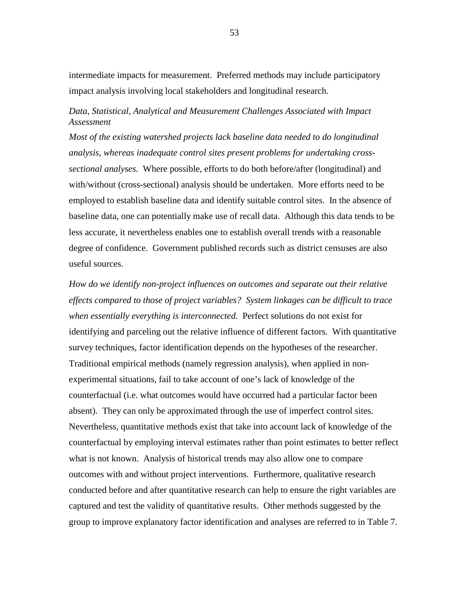intermediate impacts for measurement. Preferred methods may include participatory impact analysis involving local stakeholders and longitudinal research.

# *Data, Statistical, Analytical and Measurement Challenges Associated with Impact Assessment*

*Most of the existing watershed projects lack baseline data needed to do longitudinal analysis, whereas inadequate control sites present problems for undertaking crosssectional analyses.* Where possible, efforts to do both before/after (longitudinal) and with/without (cross-sectional) analysis should be undertaken. More efforts need to be employed to establish baseline data and identify suitable control sites. In the absence of baseline data, one can potentially make use of recall data. Although this data tends to be less accurate, it nevertheless enables one to establish overall trends with a reasonable degree of confidence. Government published records such as district censuses are also useful sources.

*How do we identify non-project influences on outcomes and separate out their relative effects compared to those of project variables? System linkages can be difficult to trace when essentially everything is interconnected.* Perfect solutions do not exist for identifying and parceling out the relative influence of different factors. With quantitative survey techniques, factor identification depends on the hypotheses of the researcher. Traditional empirical methods (namely regression analysis), when applied in nonexperimental situations, fail to take account of one's lack of knowledge of the counterfactual (i.e. what outcomes would have occurred had a particular factor been absent). They can only be approximated through the use of imperfect control sites. Nevertheless, quantitative methods exist that take into account lack of knowledge of the counterfactual by employing interval estimates rather than point estimates to better reflect what is not known. Analysis of historical trends may also allow one to compare outcomes with and without project interventions. Furthermore, qualitative research conducted before and after quantitative research can help to ensure the right variables are captured and test the validity of quantitative results. Other methods suggested by the group to improve explanatory factor identification and analyses are referred to in Table 7.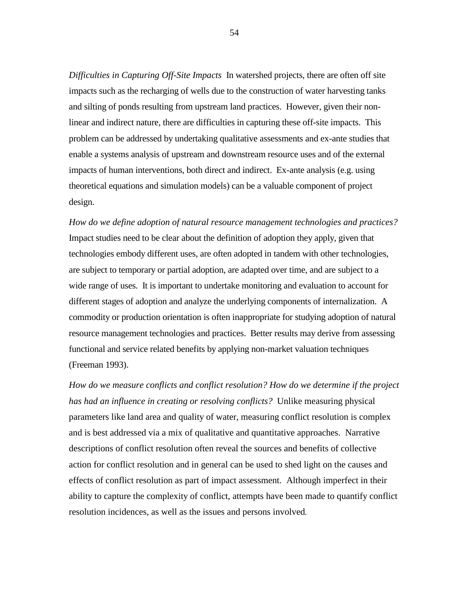*Difficulties in Capturing Off-Site Impacts* In watershed projects, there are often off site impacts such as the recharging of wells due to the construction of water harvesting tanks and silting of ponds resulting from upstream land practices. However, given their nonlinear and indirect nature, there are difficulties in capturing these off-site impacts. This problem can be addressed by undertaking qualitative assessments and ex-ante studies that enable a systems analysis of upstream and downstream resource uses and of the external impacts of human interventions, both direct and indirect. Ex-ante analysis (e.g. using theoretical equations and simulation models) can be a valuable component of project design.

*How do we define adoption of natural resource management technologies and practices?*  Impact studies need to be clear about the definition of adoption they apply, given that technologies embody different uses, are often adopted in tandem with other technologies, are subject to temporary or partial adoption, are adapted over time, and are subject to a wide range of uses. It is important to undertake monitoring and evaluation to account for different stages of adoption and analyze the underlying components of internalization. A commodity or production orientation is often inappropriate for studying adoption of natural resource management technologies and practices. Better results may derive from assessing functional and service related benefits by applying non-market valuation techniques (Freeman 1993).

*How do we measure conflicts and conflict resolution? How do we determine if the project has had an influence in creating or resolving conflicts?* Unlike measuring physical parameters like land area and quality of water, measuring conflict resolution is complex and is best addressed via a mix of qualitative and quantitative approaches. Narrative descriptions of conflict resolution often reveal the sources and benefits of collective action for conflict resolution and in general can be used to shed light on the causes and effects of conflict resolution as part of impact assessment. Although imperfect in their ability to capture the complexity of conflict, attempts have been made to quantify conflict resolution incidences, as well as the issues and persons involved*.*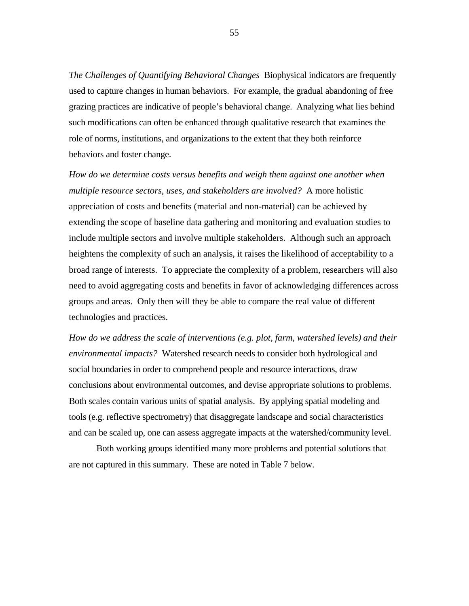*The Challenges of Quantifying Behavioral Changes* Biophysical indicators are frequently used to capture changes in human behaviors. For example, the gradual abandoning of free grazing practices are indicative of people's behavioral change. Analyzing what lies behind such modifications can often be enhanced through qualitative research that examines the role of norms, institutions, and organizations to the extent that they both reinforce behaviors and foster change.

*How do we determine costs versus benefits and weigh them against one another when multiple resource sectors, uses, and stakeholders are involved?* A more holistic appreciation of costs and benefits (material and non-material) can be achieved by extending the scope of baseline data gathering and monitoring and evaluation studies to include multiple sectors and involve multiple stakeholders. Although such an approach heightens the complexity of such an analysis, it raises the likelihood of acceptability to a broad range of interests. To appreciate the complexity of a problem, researchers will also need to avoid aggregating costs and benefits in favor of acknowledging differences across groups and areas. Only then will they be able to compare the real value of different technologies and practices.

*How do we address the scale of interventions (e.g. plot, farm, watershed levels) and their environmental impacts?* Watershed research needs to consider both hydrological and social boundaries in order to comprehend people and resource interactions, draw conclusions about environmental outcomes, and devise appropriate solutions to problems. Both scales contain various units of spatial analysis. By applying spatial modeling and tools (e.g. reflective spectrometry) that disaggregate landscape and social characteristics and can be scaled up, one can assess aggregate impacts at the watershed/community level.

Both working groups identified many more problems and potential solutions that are not captured in this summary. These are noted in Table 7 below.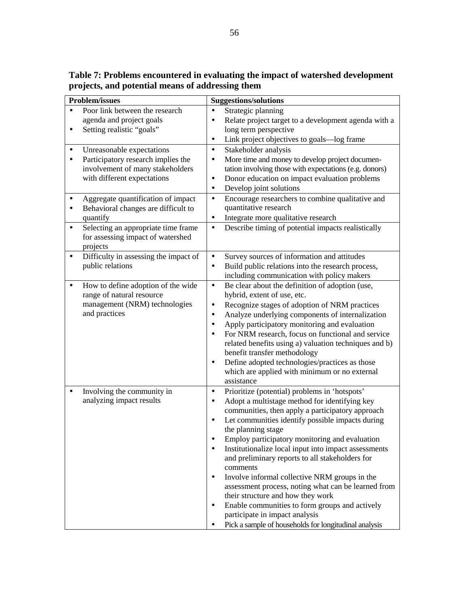**Table 7: Problems encountered in evaluating the impact of watershed development projects, and potential means of addressing them** 

| <b>Problem/issues</b>                                                                                                                                                                                                                                           | <b>Suggestions/solutions</b>                                                                                                                                                                                                                                                                                                                                                                                                                                                                                                                                                                                                                                                                                                        |
|-----------------------------------------------------------------------------------------------------------------------------------------------------------------------------------------------------------------------------------------------------------------|-------------------------------------------------------------------------------------------------------------------------------------------------------------------------------------------------------------------------------------------------------------------------------------------------------------------------------------------------------------------------------------------------------------------------------------------------------------------------------------------------------------------------------------------------------------------------------------------------------------------------------------------------------------------------------------------------------------------------------------|
| Poor link between the research<br>agenda and project goals<br>Setting realistic "goals"<br>$\bullet$                                                                                                                                                            | Strategic planning<br>Relate project target to a development agenda with a<br>long term perspective<br>Link project objectives to goals-log frame<br>٠                                                                                                                                                                                                                                                                                                                                                                                                                                                                                                                                                                              |
| Unreasonable expectations<br>$\bullet$<br>Participatory research implies the<br>$\bullet$<br>involvement of many stakeholders<br>with different expectations<br>Aggregate quantification of impact<br>٠<br>Behavioral changes are difficult to<br>٠<br>quantify | Stakeholder analysis<br>$\bullet$<br>More time and money to develop project documen-<br>$\bullet$<br>tation involving those with expectations (e.g. donors)<br>Donor education on impact evaluation problems<br>٠<br>Develop joint solutions<br>$\bullet$<br>Encourage researchers to combine qualitative and<br>$\bullet$<br>quantitative research<br>Integrate more qualitative research<br>$\bullet$                                                                                                                                                                                                                                                                                                                             |
| Selecting an appropriate time frame<br>$\bullet$<br>for assessing impact of watershed<br>projects                                                                                                                                                               | Describe timing of potential impacts realistically<br>$\bullet$                                                                                                                                                                                                                                                                                                                                                                                                                                                                                                                                                                                                                                                                     |
| Difficulty in assessing the impact of<br>$\bullet$<br>public relations                                                                                                                                                                                          | Survey sources of information and attitudes<br>$\bullet$<br>Build public relations into the research process,<br>$\bullet$<br>including communication with policy makers                                                                                                                                                                                                                                                                                                                                                                                                                                                                                                                                                            |
| How to define adoption of the wide<br>$\bullet$<br>range of natural resource<br>management (NRM) technologies<br>and practices                                                                                                                                  | Be clear about the definition of adoption (use,<br>$\bullet$<br>hybrid, extent of use, etc.<br>Recognize stages of adoption of NRM practices<br>$\bullet$<br>Analyze underlying components of internalization<br>$\bullet$<br>Apply participatory monitoring and evaluation<br>$\bullet$<br>For NRM research, focus on functional and service<br>$\bullet$<br>related benefits using a) valuation techniques and b)<br>benefit transfer methodology<br>Define adopted technologies/practices as those<br>$\bullet$<br>which are applied with minimum or no external<br>assistance                                                                                                                                                   |
| Involving the community in<br>$\bullet$<br>analyzing impact results                                                                                                                                                                                             | Prioritize (potential) problems in 'hotspots'<br>$\bullet$<br>Adopt a multistage method for identifying key<br>٠<br>communities, then apply a participatory approach<br>Let communities identify possible impacts during<br>$\bullet$<br>the planning stage<br>Employ participatory monitoring and evaluation<br>Institutionalize local input into impact assessments<br>and preliminary reports to all stakeholders for<br>comments<br>Involve informal collective NRM groups in the<br>٠<br>assessment process, noting what can be learned from<br>their structure and how they work<br>Enable communities to form groups and actively<br>participate in impact analysis<br>Pick a sample of households for longitudinal analysis |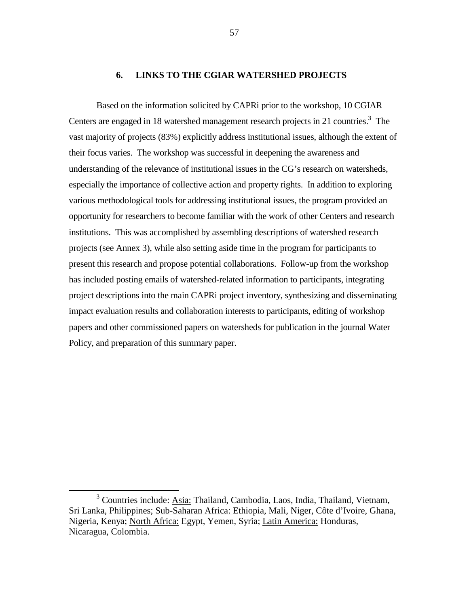### **6. LINKS TO THE CGIAR WATERSHED PROJECTS**

Based on the information solicited by CAPRi prior to the workshop, 10 CGIAR Centers are engaged in 18 watershed management research projects in 21 countries.<sup>3</sup> The vast majority of projects (83%) explicitly address institutional issues, although the extent of their focus varies. The workshop was successful in deepening the awareness and understanding of the relevance of institutional issues in the CG's research on watersheds, especially the importance of collective action and property rights. In addition to exploring various methodological tools for addressing institutional issues, the program provided an opportunity for researchers to become familiar with the work of other Centers and research institutions. This was accomplished by assembling descriptions of watershed research projects (see Annex 3), while also setting aside time in the program for participants to present this research and propose potential collaborations. Follow-up from the workshop has included posting emails of watershed-related information to participants, integrating project descriptions into the main CAPRi project inventory, synthesizing and disseminating impact evaluation results and collaboration interests to participants, editing of workshop papers and other commissioned papers on watersheds for publication in the journal Water Policy, and preparation of this summary paper.

 $\frac{1}{3}$ <sup>3</sup> Countries include: Asia: Thailand, Cambodia, Laos, India, Thailand, Vietnam, Sri Lanka, Philippines; Sub-Saharan Africa: Ethiopia, Mali, Niger, Côte d'Ivoire, Ghana, Nigeria, Kenya; North Africa: Egypt, Yemen, Syria; Latin America: Honduras, Nicaragua, Colombia.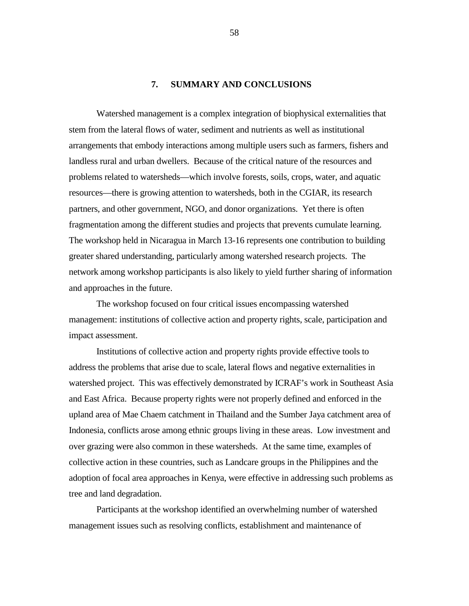## **7. SUMMARY AND CONCLUSIONS**

Watershed management is a complex integration of biophysical externalities that stem from the lateral flows of water, sediment and nutrients as well as institutional arrangements that embody interactions among multiple users such as farmers, fishers and landless rural and urban dwellers. Because of the critical nature of the resources and problems related to watersheds—which involve forests, soils, crops, water, and aquatic resources—there is growing attention to watersheds, both in the CGIAR, its research partners, and other government, NGO, and donor organizations. Yet there is often fragmentation among the different studies and projects that prevents cumulate learning. The workshop held in Nicaragua in March 13-16 represents one contribution to building greater shared understanding, particularly among watershed research projects. The network among workshop participants is also likely to yield further sharing of information and approaches in the future.

The workshop focused on four critical issues encompassing watershed management: institutions of collective action and property rights, scale, participation and impact assessment.

Institutions of collective action and property rights provide effective tools to address the problems that arise due to scale, lateral flows and negative externalities in watershed project. This was effectively demonstrated by ICRAF's work in Southeast Asia and East Africa. Because property rights were not properly defined and enforced in the upland area of Mae Chaem catchment in Thailand and the Sumber Jaya catchment area of Indonesia, conflicts arose among ethnic groups living in these areas. Low investment and over grazing were also common in these watersheds. At the same time, examples of collective action in these countries, such as Landcare groups in the Philippines and the adoption of focal area approaches in Kenya, were effective in addressing such problems as tree and land degradation.

Participants at the workshop identified an overwhelming number of watershed management issues such as resolving conflicts, establishment and maintenance of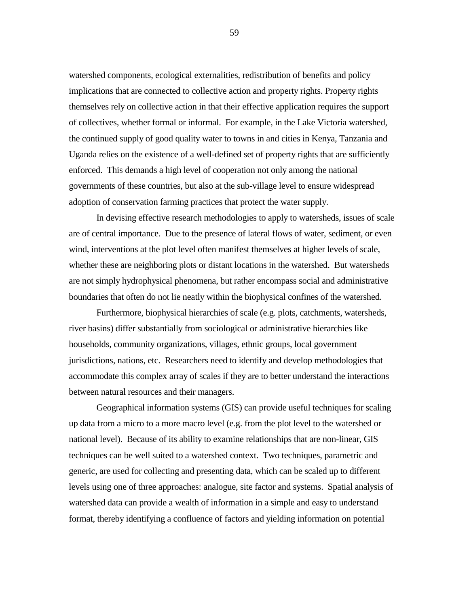watershed components, ecological externalities, redistribution of benefits and policy implications that are connected to collective action and property rights. Property rights themselves rely on collective action in that their effective application requires the support of collectives, whether formal or informal. For example, in the Lake Victoria watershed, the continued supply of good quality water to towns in and cities in Kenya, Tanzania and Uganda relies on the existence of a well-defined set of property rights that are sufficiently enforced. This demands a high level of cooperation not only among the national governments of these countries, but also at the sub-village level to ensure widespread adoption of conservation farming practices that protect the water supply.

In devising effective research methodologies to apply to watersheds, issues of scale are of central importance. Due to the presence of lateral flows of water, sediment, or even wind, interventions at the plot level often manifest themselves at higher levels of scale, whether these are neighboring plots or distant locations in the watershed. But watersheds are not simply hydrophysical phenomena, but rather encompass social and administrative boundaries that often do not lie neatly within the biophysical confines of the watershed.

Furthermore, biophysical hierarchies of scale (e.g. plots, catchments, watersheds, river basins) differ substantially from sociological or administrative hierarchies like households, community organizations, villages, ethnic groups, local government jurisdictions, nations, etc. Researchers need to identify and develop methodologies that accommodate this complex array of scales if they are to better understand the interactions between natural resources and their managers.

Geographical information systems (GIS) can provide useful techniques for scaling up data from a micro to a more macro level (e.g. from the plot level to the watershed or national level). Because of its ability to examine relationships that are non-linear, GIS techniques can be well suited to a watershed context. Two techniques, parametric and generic, are used for collecting and presenting data, which can be scaled up to different levels using one of three approaches: analogue, site factor and systems. Spatial analysis of watershed data can provide a wealth of information in a simple and easy to understand format, thereby identifying a confluence of factors and yielding information on potential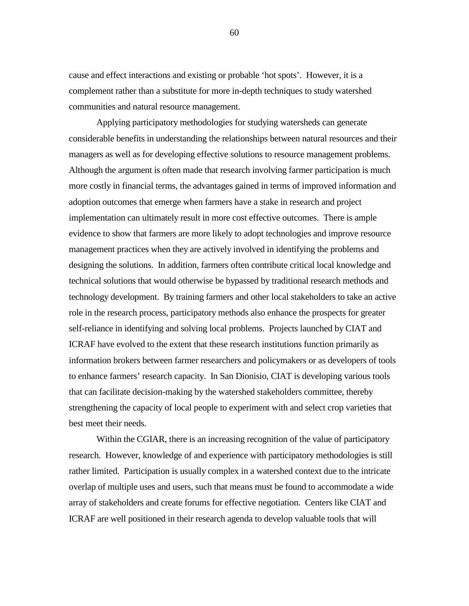cause and effect interactions and existing or probable 'hot spots'. However, it is a complement rather than a substitute for more in-depth techniques to study watershed communities and natural resource management.

Applying participatory methodologies for studying watersheds can generate considerable benefits in understanding the relationships between natural resources and their managers as well as for developing effective solutions to resource management problems. Although the argument is often made that research involving farmer participation is much more costly in financial terms, the advantages gained in terms of improved information and adoption outcomes that emerge when farmers have a stake in research and project implementation can ultimately result in more cost effective outcomes. There is ample evidence to show that farmers are more likely to adopt technologies and improve resource management practices when they are actively involved in identifying the problems and designing the solutions. In addition, farmers often contribute critical local knowledge and technical solutions that would otherwise be bypassed by traditional research methods and technology development. By training farmers and other local stakeholders to take an active role in the research process, participatory methods also enhance the prospects for greater self-reliance in identifying and solving local problems. Projects launched by CIAT and ICRAF have evolved to the extent that these research institutions function primarily as information brokers between farmer researchers and policymakers or as developers of tools to enhance farmers' research capacity. In San Dionisio, CIAT is developing various tools that can facilitate decision-making by the watershed stakeholders committee, thereby strengthening the capacity of local people to experiment with and select crop varieties that best meet their needs.

Within the CGIAR, there is an increasing recognition of the value of participatory research. However, knowledge of and experience with participatory methodologies is still rather limited. Participation is usually complex in a watershed context due to the intricate overlap of multiple uses and users, such that means must be found to accommodate a wide array of stakeholders and create forums for effective negotiation. Centers like CIAT and ICRAF are well positioned in their research agenda to develop valuable tools that will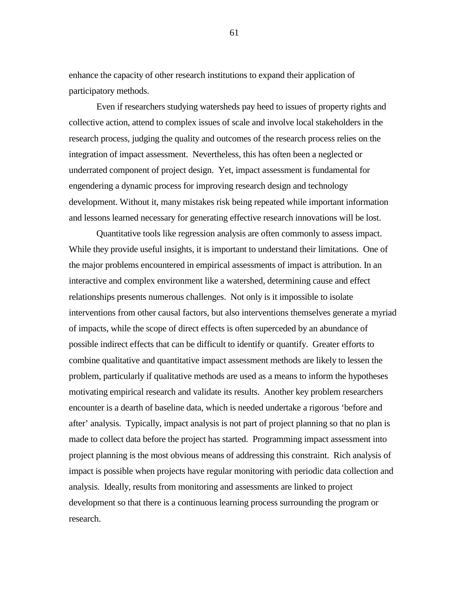enhance the capacity of other research institutions to expand their application of participatory methods.

Even if researchers studying watersheds pay heed to issues of property rights and collective action, attend to complex issues of scale and involve local stakeholders in the research process, judging the quality and outcomes of the research process relies on the integration of impact assessment. Nevertheless, this has often been a neglected or underrated component of project design. Yet, impact assessment is fundamental for engendering a dynamic process for improving research design and technology development. Without it, many mistakes risk being repeated while important information and lessons learned necessary for generating effective research innovations will be lost.

Quantitative tools like regression analysis are often commonly to assess impact. While they provide useful insights, it is important to understand their limitations. One of the major problems encountered in empirical assessments of impact is attribution. In an interactive and complex environment like a watershed, determining cause and effect relationships presents numerous challenges. Not only is it impossible to isolate interventions from other causal factors, but also interventions themselves generate a myriad of impacts, while the scope of direct effects is often superceded by an abundance of possible indirect effects that can be difficult to identify or quantify. Greater efforts to combine qualitative and quantitative impact assessment methods are likely to lessen the problem, particularly if qualitative methods are used as a means to inform the hypotheses motivating empirical research and validate its results. Another key problem researchers encounter is a dearth of baseline data, which is needed undertake a rigorous 'before and after' analysis. Typically, impact analysis is not part of project planning so that no plan is made to collect data before the project has started. Programming impact assessment into project planning is the most obvious means of addressing this constraint. Rich analysis of impact is possible when projects have regular monitoring with periodic data collection and analysis. Ideally, results from monitoring and assessments are linked to project development so that there is a continuous learning process surrounding the program or research.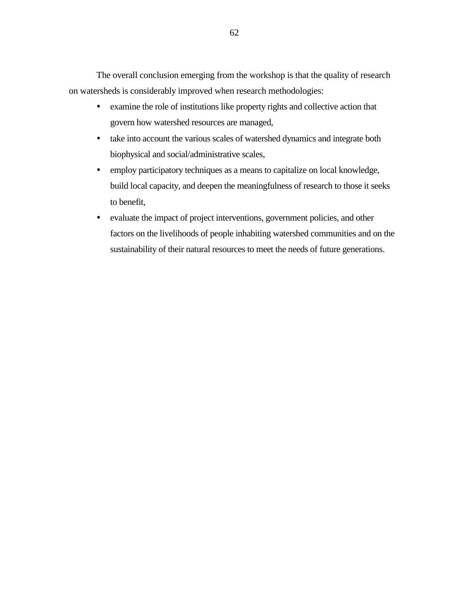The overall conclusion emerging from the workshop is that the quality of research on watersheds is considerably improved when research methodologies:

- ! examine the role of institutions like property rights and collective action that govern how watershed resources are managed,
- ! take into account the various scales of watershed dynamics and integrate both biophysical and social/administrative scales,
- ! employ participatory techniques as a means to capitalize on local knowledge, build local capacity, and deepen the meaningfulness of research to those it seeks to benefit,
- ! evaluate the impact of project interventions, government policies, and other factors on the livelihoods of people inhabiting watershed communities and on the sustainability of their natural resources to meet the needs of future generations.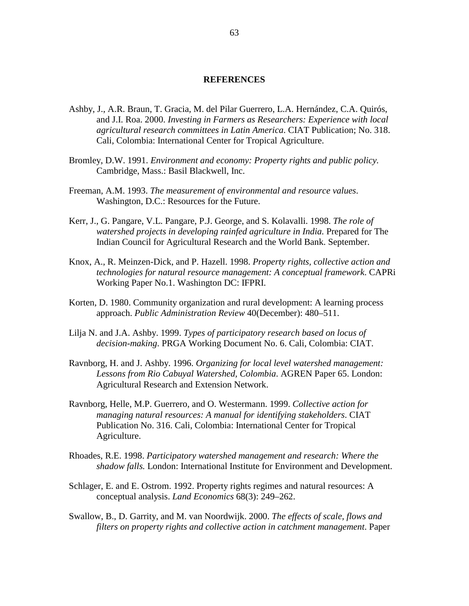### **REFERENCES**

- Ashby, J., A.R. Braun, T. Gracia, M. del Pilar Guerrero, L.A. Hernández, C.A. Quirós, and J.I. Roa. 2000. *Investing in Farmers as Researchers: Experience with local agricultural research committees in Latin America*. CIAT Publication; No. 318. Cali, Colombia: International Center for Tropical Agriculture.
- Bromley, D.W. 1991. *Environment and economy: Property rights and public policy.* Cambridge, Mass.: Basil Blackwell, Inc.
- Freeman, A.M. 1993. *The measurement of environmental and resource values*. Washington, D.C.: Resources for the Future.
- Kerr, J., G. Pangare, V.L. Pangare, P.J. George, and S. Kolavalli. 1998. *The role of watershed projects in developing rainfed agriculture in India.* Prepared for The Indian Council for Agricultural Research and the World Bank. September.
- Knox, A., R. Meinzen-Dick, and P. Hazell. 1998. *Property rights, collective action and technologies for natural resource management: A conceptual framework*. CAPRi Working Paper No.1. Washington DC: IFPRI.
- Korten, D. 1980. Community organization and rural development: A learning process approach. *Public Administration Review* 40(December): 480–511.
- Lilja N. and J.A. Ashby. 1999. *Types of participatory research based on locus of decision-making*. PRGA Working Document No. 6. Cali, Colombia: CIAT.
- Ravnborg, H. and J. Ashby. 1996. *Organizing for local level watershed management: Lessons from Rio Cabuyal Watershed, Colombia*. AGREN Paper 65. London: Agricultural Research and Extension Network.
- Ravnborg, Helle, M.P. Guerrero, and O. Westermann. 1999. *Collective action for managing natural resources: A manual for identifying stakeholders*. CIAT Publication No. 316. Cali, Colombia: International Center for Tropical Agriculture.
- Rhoades, R.E. 1998. *Participatory watershed management and research: Where the shadow falls.* London: International Institute for Environment and Development.
- Schlager, E. and E. Ostrom. 1992. Property rights regimes and natural resources: A conceptual analysis. *Land Economics* 68(3): 249–262.
- Swallow, B., D. Garrity, and M. van Noordwijk. 2000. *The effects of scale, flows and filters on property rights and collective action in catchment management*. Paper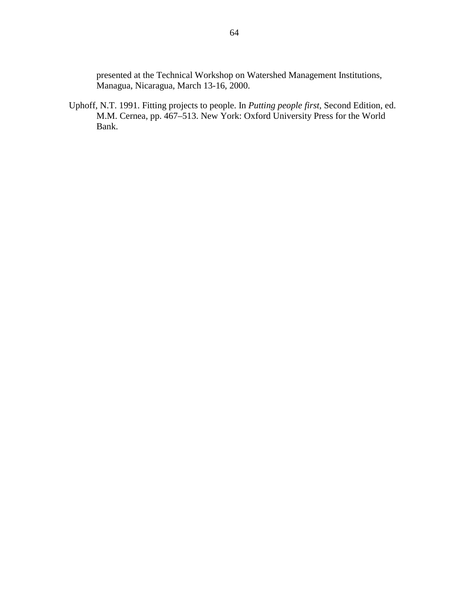presented at the Technical Workshop on Watershed Management Institutions, Managua, Nicaragua, March 13-16, 2000.

Uphoff, N.T. 1991. Fitting projects to people. In *Putting people first,* Second Edition, ed. M.M. Cernea, pp. 467–513. New York: Oxford University Press for the World Bank.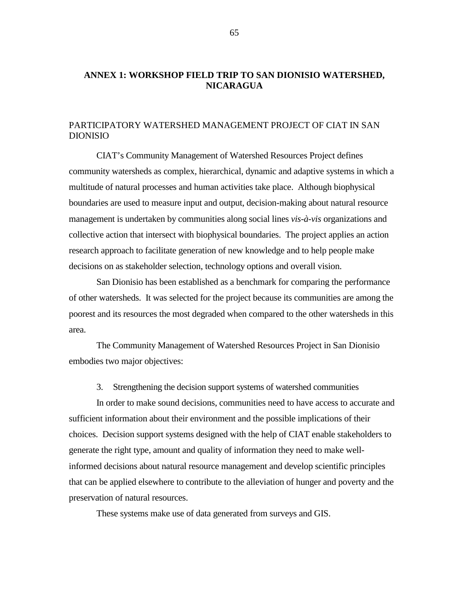# **ANNEX 1: WORKSHOP FIELD TRIP TO SAN DIONISIO WATERSHED, NICARAGUA**

## PARTICIPATORY WATERSHED MANAGEMENT PROJECT OF CIAT IN SAN DIONISIO

CIAT's Community Management of Watershed Resources Project defines community watersheds as complex, hierarchical, dynamic and adaptive systems in which a multitude of natural processes and human activities take place. Although biophysical boundaries are used to measure input and output, decision-making about natural resource management is undertaken by communities along social lines *vis-à-vis* organizations and collective action that intersect with biophysical boundaries. The project applies an action research approach to facilitate generation of new knowledge and to help people make decisions on as stakeholder selection, technology options and overall vision.

San Dionisio has been established as a benchmark for comparing the performance of other watersheds. It was selected for the project because its communities are among the poorest and its resources the most degraded when compared to the other watersheds in this area.

The Community Management of Watershed Resources Project in San Dionisio embodies two major objectives:

3. Strengthening the decision support systems of watershed communities

In order to make sound decisions, communities need to have access to accurate and sufficient information about their environment and the possible implications of their choices. Decision support systems designed with the help of CIAT enable stakeholders to generate the right type, amount and quality of information they need to make wellinformed decisions about natural resource management and develop scientific principles that can be applied elsewhere to contribute to the alleviation of hunger and poverty and the preservation of natural resources.

These systems make use of data generated from surveys and GIS.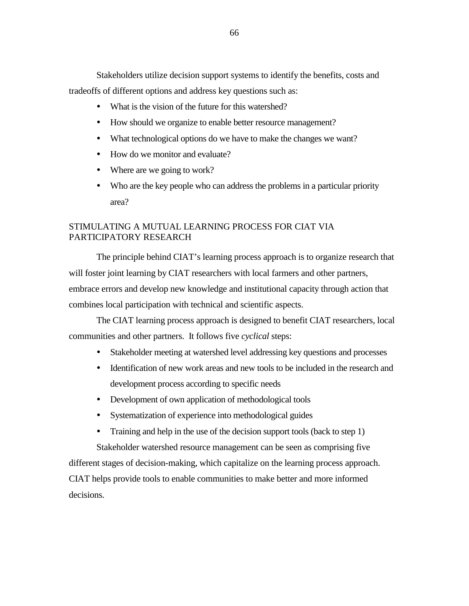Stakeholders utilize decision support systems to identify the benefits, costs and tradeoffs of different options and address key questions such as:

- ! What is the vision of the future for this watershed?
- ! How should we organize to enable better resource management?
- ! What technological options do we have to make the changes we want?
- How do we monitor and evaluate?
- Where are we going to work?
- ! Who are the key people who can address the problems in a particular priority area?

# STIMULATING A MUTUAL LEARNING PROCESS FOR CIAT VIA PARTICIPATORY RESEARCH

The principle behind CIAT's learning process approach is to organize research that will foster joint learning by CIAT researchers with local farmers and other partners, embrace errors and develop new knowledge and institutional capacity through action that combines local participation with technical and scientific aspects.

The CIAT learning process approach is designed to benefit CIAT researchers, local communities and other partners. It follows five *cyclical* steps:

- ! Stakeholder meeting at watershed level addressing key questions and processes
- ! Identification of new work areas and new tools to be included in the research and development process according to specific needs
- Development of own application of methodological tools
- ! Systematization of experience into methodological guides
- Training and help in the use of the decision support tools (back to step 1)

Stakeholder watershed resource management can be seen as comprising five different stages of decision-making, which capitalize on the learning process approach. CIAT helps provide tools to enable communities to make better and more informed decisions.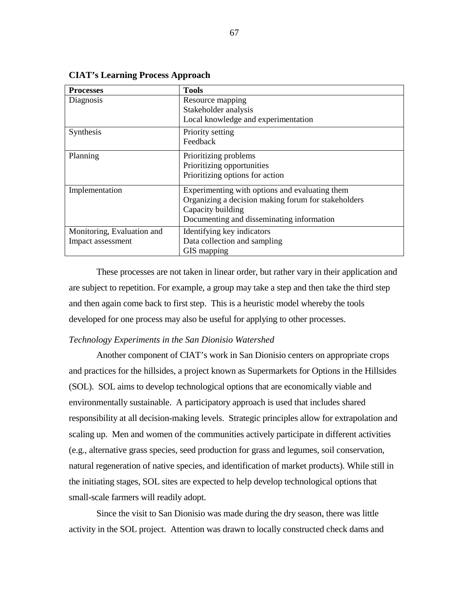| <b>Processes</b>           | <b>Tools</b>                                        |
|----------------------------|-----------------------------------------------------|
| Diagnosis                  | Resource mapping<br>Stakeholder analysis            |
|                            | Local knowledge and experimentation                 |
| Synthesis                  | Priority setting                                    |
|                            | Feedback                                            |
| Planning                   | Prioritizing problems                               |
|                            | Prioritizing opportunities                          |
|                            | Prioritizing options for action                     |
| Implementation             | Experimenting with options and evaluating them      |
|                            | Organizing a decision making forum for stakeholders |
|                            | Capacity building                                   |
|                            | Documenting and disseminating information           |
| Monitoring, Evaluation and | Identifying key indicators                          |
| Impact assessment          | Data collection and sampling                        |
|                            | GIS mapping                                         |

**CIAT's Learning Process Approach** 

These processes are not taken in linear order, but rather vary in their application and are subject to repetition. For example, a group may take a step and then take the third step and then again come back to first step. This is a heuristic model whereby the tools developed for one process may also be useful for applying to other processes.

#### *Technology Experiments in the San Dionisio Watershed*

Another component of CIAT's work in San Dionisio centers on appropriate crops and practices for the hillsides, a project known as Supermarkets for Options in the Hillsides (SOL). SOL aims to develop technological options that are economically viable and environmentally sustainable. A participatory approach is used that includes shared responsibility at all decision-making levels. Strategic principles allow for extrapolation and scaling up. Men and women of the communities actively participate in different activities (e.g., alternative grass species, seed production for grass and legumes, soil conservation, natural regeneration of native species, and identification of market products). While still in the initiating stages, SOL sites are expected to help develop technological options that small-scale farmers will readily adopt.

Since the visit to San Dionisio was made during the dry season, there was little activity in the SOL project. Attention was drawn to locally constructed check dams and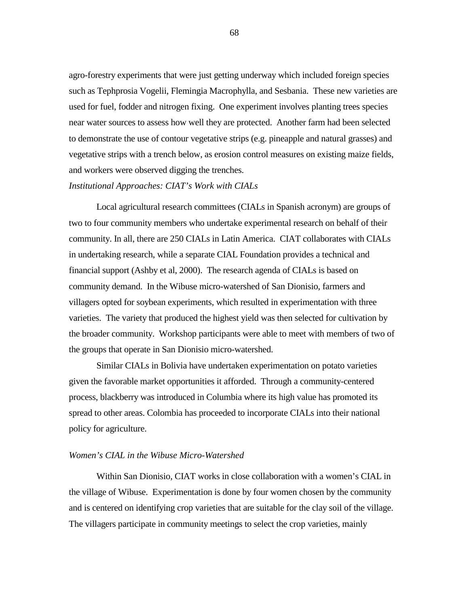agro-forestry experiments that were just getting underway which included foreign species such as Tephprosia Vogelii, Flemingia Macrophylla, and Sesbania. These new varieties are used for fuel, fodder and nitrogen fixing. One experiment involves planting trees species near water sources to assess how well they are protected. Another farm had been selected to demonstrate the use of contour vegetative strips (e.g. pineapple and natural grasses) and vegetative strips with a trench below, as erosion control measures on existing maize fields, and workers were observed digging the trenches.

### *Institutional Approaches: CIAT's Work with CIALs*

Local agricultural research committees (CIALs in Spanish acronym) are groups of two to four community members who undertake experimental research on behalf of their community. In all, there are 250 CIALs in Latin America. CIAT collaborates with CIALs in undertaking research, while a separate CIAL Foundation provides a technical and financial support (Ashby et al, 2000). The research agenda of CIALs is based on community demand. In the Wibuse micro-watershed of San Dionisio, farmers and villagers opted for soybean experiments, which resulted in experimentation with three varieties. The variety that produced the highest yield was then selected for cultivation by the broader community. Workshop participants were able to meet with members of two of the groups that operate in San Dionisio micro-watershed.

Similar CIALs in Bolivia have undertaken experimentation on potato varieties given the favorable market opportunities it afforded. Through a community-centered process, blackberry was introduced in Columbia where its high value has promoted its spread to other areas. Colombia has proceeded to incorporate CIALs into their national policy for agriculture.

### *Women's CIAL in the Wibuse Micro-Watershed*

Within San Dionisio, CIAT works in close collaboration with a women's CIAL in the village of Wibuse. Experimentation is done by four women chosen by the community and is centered on identifying crop varieties that are suitable for the clay soil of the village. The villagers participate in community meetings to select the crop varieties, mainly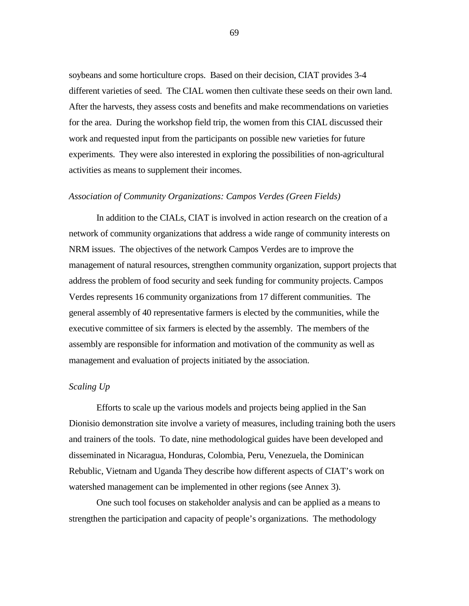soybeans and some horticulture crops. Based on their decision, CIAT provides 3-4 different varieties of seed. The CIAL women then cultivate these seeds on their own land. After the harvests, they assess costs and benefits and make recommendations on varieties for the area. During the workshop field trip, the women from this CIAL discussed their work and requested input from the participants on possible new varieties for future experiments. They were also interested in exploring the possibilities of non-agricultural activities as means to supplement their incomes.

#### *Association of Community Organizations: Campos Verdes (Green Fields)*

In addition to the CIALs, CIAT is involved in action research on the creation of a network of community organizations that address a wide range of community interests on NRM issues. The objectives of the network Campos Verdes are to improve the management of natural resources, strengthen community organization, support projects that address the problem of food security and seek funding for community projects. Campos Verdes represents 16 community organizations from 17 different communities. The general assembly of 40 representative farmers is elected by the communities, while the executive committee of six farmers is elected by the assembly. The members of the assembly are responsible for information and motivation of the community as well as management and evaluation of projects initiated by the association.

### *Scaling Up*

Efforts to scale up the various models and projects being applied in the San Dionisio demonstration site involve a variety of measures, including training both the users and trainers of the tools. To date, nine methodological guides have been developed and disseminated in Nicaragua, Honduras, Colombia, Peru, Venezuela, the Dominican Rebublic, Vietnam and Uganda They describe how different aspects of CIAT's work on watershed management can be implemented in other regions (see Annex 3).

One such tool focuses on stakeholder analysis and can be applied as a means to strengthen the participation and capacity of people's organizations. The methodology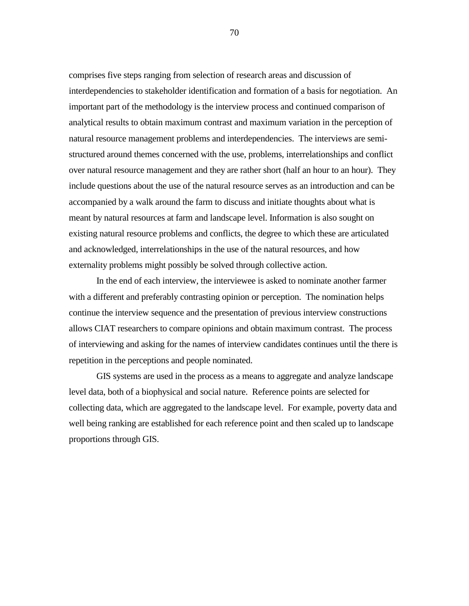comprises five steps ranging from selection of research areas and discussion of interdependencies to stakeholder identification and formation of a basis for negotiation. An important part of the methodology is the interview process and continued comparison of analytical results to obtain maximum contrast and maximum variation in the perception of natural resource management problems and interdependencies. The interviews are semistructured around themes concerned with the use, problems, interrelationships and conflict over natural resource management and they are rather short (half an hour to an hour). They include questions about the use of the natural resource serves as an introduction and can be accompanied by a walk around the farm to discuss and initiate thoughts about what is meant by natural resources at farm and landscape level. Information is also sought on existing natural resource problems and conflicts, the degree to which these are articulated and acknowledged, interrelationships in the use of the natural resources, and how externality problems might possibly be solved through collective action.

In the end of each interview, the interviewee is asked to nominate another farmer with a different and preferably contrasting opinion or perception. The nomination helps continue the interview sequence and the presentation of previous interview constructions allows CIAT researchers to compare opinions and obtain maximum contrast. The process of interviewing and asking for the names of interview candidates continues until the there is repetition in the perceptions and people nominated.

GIS systems are used in the process as a means to aggregate and analyze landscape level data, both of a biophysical and social nature. Reference points are selected for collecting data, which are aggregated to the landscape level. For example, poverty data and well being ranking are established for each reference point and then scaled up to landscape proportions through GIS.

70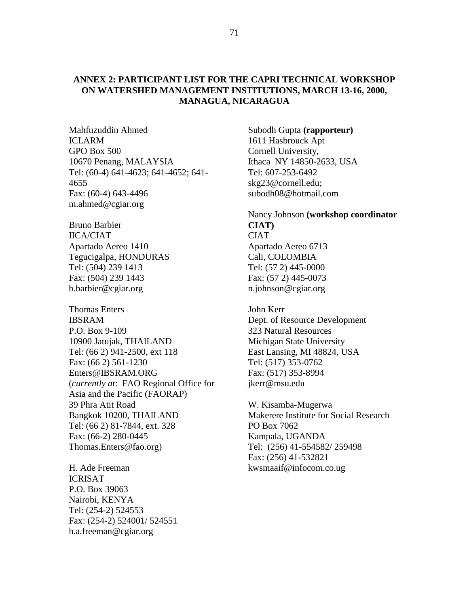## **ANNEX 2: PARTICIPANT LIST FOR THE CAPRI TECHNICAL WORKSHOP ON WATERSHED MANAGEMENT INSTITUTIONS, MARCH 13-16, 2000, MANAGUA, NICARAGUA**

Mahfuzuddin Ahmed **ICLARM** GPO Box 500 10670 Penang, MALAYSIA Tel: (60-4) 641-4623; 641-4652; 641- 4655 Fax: (60-4) 643-4496 m.ahmed@cgiar.org

Bruno Barbier IICA/CIAT Apartado Aereo 1410 Tegucigalpa, HONDURAS Tel: (504) 239 1413 Fax: (504) 239 1443 b.barbier@cgiar.org

Thomas Enters IBSRAM P.O. Box 9-109 10900 Jatujak, THAILAND Tel: (66 2) 941-2500, ext 118 Fax: (66 2) 561-1230 Enters@IBSRAM.ORG (*currently at*: FAO Regional Office for Asia and the Pacific (FAORAP) 39 Phra Atit Road Bangkok 10200, THAILAND Tel: (66 2) 81-7844, ext. 328 Fax: (66-2) 280-0445 Thomas.Enters@fao.org)

H. Ade Freeman ICRISAT P.O. Box 39063 Nairobi, KENYA Tel: (254-2) 524553 Fax: (254-2) 524001/ 524551 h.a.freeman@cgiar.org

Subodh Gupta **(rapporteur)**  1611 Hasbrouck Apt Cornell University, Ithaca NY 14850-2633, USA Tel: 607-253-6492 skg23@cornell.edu; subodh08@hotmail.com

Nancy Johnson **(workshop coordinator CIAT) CIAT** Apartado Aereo 6713 Cali, COLOMBIA Tel: (57 2) 445-0000 Fax: (57 2) 445-0073 n.johnson@cgiar.org

John Kerr Dept. of Resource Development 323 Natural Resources Michigan State University East Lansing, MI 48824, USA Tel: (517) 353-0762 Fax: (517) 353-8994 jkerr@msu.edu

W. Kisamba-Mugerwa Makerere Institute for Social Research PO Box 7062 Kampala, UGANDA Tel: (256) 41-554582/ 259498 Fax: (256) 41-532821 kwsmaaif@infocom.co.ug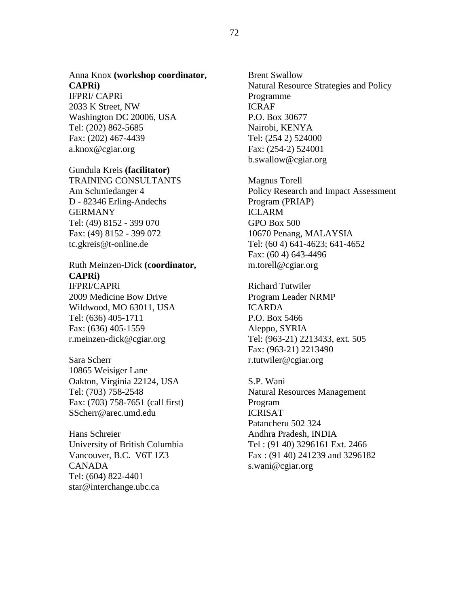# Anna Knox **(workshop coordinator, CAPRi)**

IFPRI/ CAPRi 2033 K Street, NW Washington DC 20006, USA Tel: (202) 862-5685 Fax: (202) 467-4439 a.knox@cgiar.org

### Gundula Kreis **(facilitator)**

TRAINING CONSULTANTS Am Schmiedanger 4 D - 82346 Erling-Andechs **GERMANY** Tel: (49) 8152 - 399 070 Fax: (49) 8152 - 399 072 tc.gkreis@t-online.de

### Ruth Meinzen-Dick **(coordinator, CAPRi)**  IFPRI/CAPRi

2009 Medicine Bow Drive Wildwood, MO 63011, USA Tel: (636) 405-1711 Fax: (636) 405-1559 r.meinzen-dick@cgiar.org

Sara Scherr 10865 Weisiger Lane Oakton, Virginia 22124, USA Tel: (703) 758-2548 Fax: (703) 758-7651 (call first) SScherr@arec.umd.edu

Hans Schreier University of British Columbia Vancouver, B.C. V6T 1Z3 CANADA Tel: (604) 822-4401 star@interchange.ubc.ca

Brent Swallow Natural Resource Strategies and Policy Programme ICRAF P.O. Box 30677 Nairobi, KENYA Tel: (254 2) 524000 Fax: (254-2) 524001 b.swallow@cgiar.org

Magnus Torell Policy Research and Impact Assessment Program (PRIAP) ICLARM GPO Box 500 10670 Penang, MALAYSIA Tel: (60 4) 641-4623; 641-4652 Fax: (60 4) 643-4496 m.torell@cgiar.org

Richard Tutwiler Program Leader NRMP ICARDA P.O. Box 5466 Aleppo, SYRIA Tel: (963-21) 2213433, ext. 505 Fax: (963-21) 2213490 r.tutwiler@cgiar.org

S.P. Wani Natural Resources Management Program ICRISAT Patancheru 502 324 Andhra Pradesh, INDIA Tel : (91 40) 3296161 Ext. 2466 Fax : (91 40) 241239 and 3296182 s.wani@cgiar.org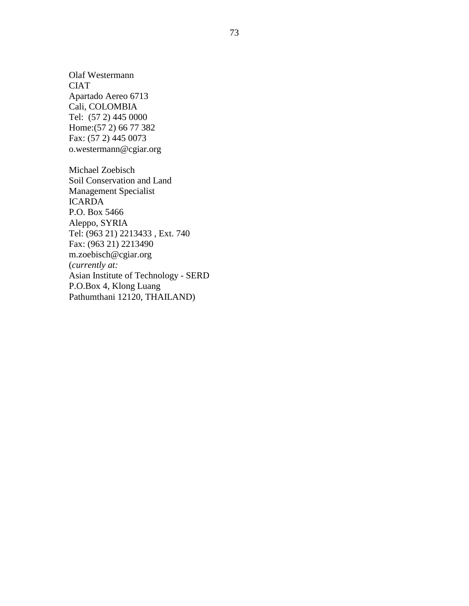Olaf Westermann **CIAT** Apartado Aereo 6713 Cali, COLOMBIA Tel: (57 2) 445 0000 Home:(57 2) 66 77 382 Fax: (57 2) 445 0073 o.westermann@cgiar.org

Michael Zoebisch Soil Conservation and Land Management Specialist ICARDA P.O. Box 5466 Aleppo, SYRIA Tel: (963 21) 2213433 , Ext. 740 Fax: (963 21) 2213490 m.zoebisch@cgiar.org (*currently at:* Asian Institute of Technology - SERD P.O.Box 4, Klong Luang Pathumthani 12120, THAILAND)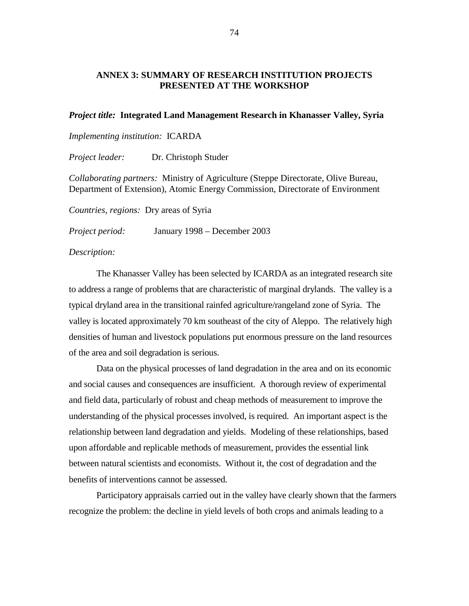## **ANNEX 3: SUMMARY OF RESEARCH INSTITUTION PROJECTS PRESENTED AT THE WORKSHOP**

### *Project title:* **Integrated Land Management Research in Khanasser Valley, Syria**

*Implementing institution:*ICARDA

*Project leader:* Dr. Christoph Studer

*Collaborating partners:*Ministry of Agriculture (Steppe Directorate, Olive Bureau, Department of Extension), Atomic Energy Commission, Directorate of Environment

*Countries, regions:*Dry areas of Syria

*Project period:* January 1998 – December 2003

*Description:* 

The Khanasser Valley has been selected by ICARDA as an integrated research site to address a range of problems that are characteristic of marginal drylands. The valley is a typical dryland area in the transitional rainfed agriculture/rangeland zone of Syria. The valley is located approximately 70 km southeast of the city of Aleppo. The relatively high densities of human and livestock populations put enormous pressure on the land resources of the area and soil degradation is serious.

Data on the physical processes of land degradation in the area and on its economic and social causes and consequences are insufficient. A thorough review of experimental and field data, particularly of robust and cheap methods of measurement to improve the understanding of the physical processes involved, is required. An important aspect is the relationship between land degradation and yields. Modeling of these relationships, based upon affordable and replicable methods of measurement, provides the essential link between natural scientists and economists. Without it, the cost of degradation and the benefits of interventions cannot be assessed.

Participatory appraisals carried out in the valley have clearly shown that the farmers recognize the problem: the decline in yield levels of both crops and animals leading to a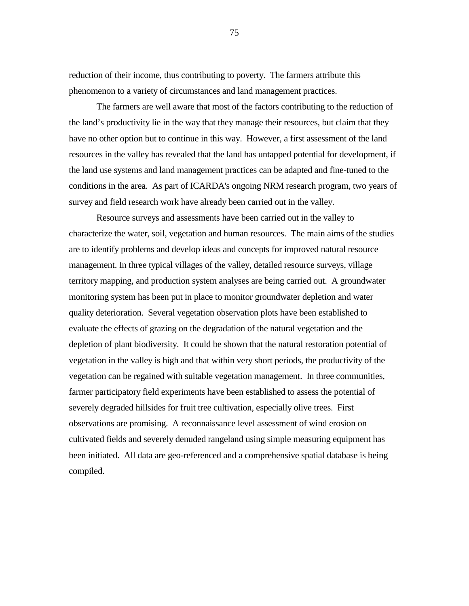reduction of their income, thus contributing to poverty. The farmers attribute this phenomenon to a variety of circumstances and land management practices.

The farmers are well aware that most of the factors contributing to the reduction of the land's productivity lie in the way that they manage their resources, but claim that they have no other option but to continue in this way. However, a first assessment of the land resources in the valley has revealed that the land has untapped potential for development, if the land use systems and land management practices can be adapted and fine-tuned to the conditions in the area. As part of ICARDA's ongoing NRM research program, two years of survey and field research work have already been carried out in the valley.

Resource surveys and assessments have been carried out in the valley to characterize the water, soil, vegetation and human resources. The main aims of the studies are to identify problems and develop ideas and concepts for improved natural resource management. In three typical villages of the valley, detailed resource surveys, village territory mapping, and production system analyses are being carried out. A groundwater monitoring system has been put in place to monitor groundwater depletion and water quality deterioration. Several vegetation observation plots have been established to evaluate the effects of grazing on the degradation of the natural vegetation and the depletion of plant biodiversity. It could be shown that the natural restoration potential of vegetation in the valley is high and that within very short periods, the productivity of the vegetation can be regained with suitable vegetation management. In three communities, farmer participatory field experiments have been established to assess the potential of severely degraded hillsides for fruit tree cultivation, especially olive trees. First observations are promising. A reconnaissance level assessment of wind erosion on cultivated fields and severely denuded rangeland using simple measuring equipment has been initiated. All data are geo-referenced and a comprehensive spatial database is being compiled.

75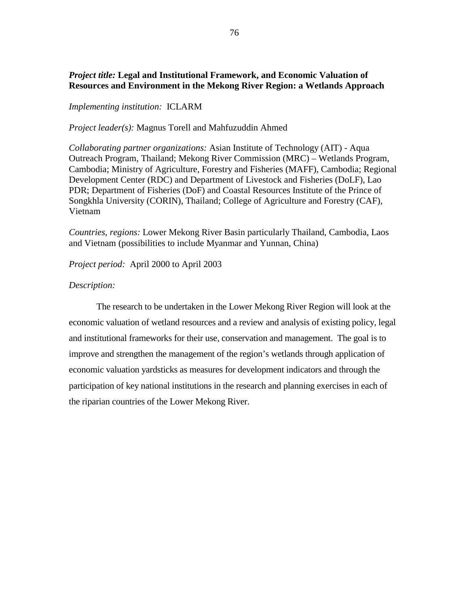## *Project title:* **Legal and Institutional Framework, and Economic Valuation of Resources and Environment in the Mekong River Region: a Wetlands Approach**

### *Implementing institution:* ICLARM

*Project leader(s):* Magnus Torell and Mahfuzuddin Ahmed

*Collaborating partner organizations:* Asian Institute of Technology (AIT) - Aqua Outreach Program, Thailand; Mekong River Commission (MRC) – Wetlands Program, Cambodia; Ministry of Agriculture, Forestry and Fisheries (MAFF), Cambodia; Regional Development Center (RDC) and Department of Livestock and Fisheries (DoLF), Lao PDR; Department of Fisheries (DoF) and Coastal Resources Institute of the Prince of Songkhla University (CORIN), Thailand; College of Agriculture and Forestry (CAF), Vietnam

*Countries, regions:* Lower Mekong River Basin particularly Thailand, Cambodia, Laos and Vietnam (possibilities to include Myanmar and Yunnan, China)

*Project period:* April 2000 to April 2003

### *Description:*

The research to be undertaken in the Lower Mekong River Region will look at the economic valuation of wetland resources and a review and analysis of existing policy, legal and institutional frameworks for their use, conservation and management. The goal is to improve and strengthen the management of the region's wetlands through application of economic valuation yardsticks as measures for development indicators and through the participation of key national institutions in the research and planning exercises in each of the riparian countries of the Lower Mekong River.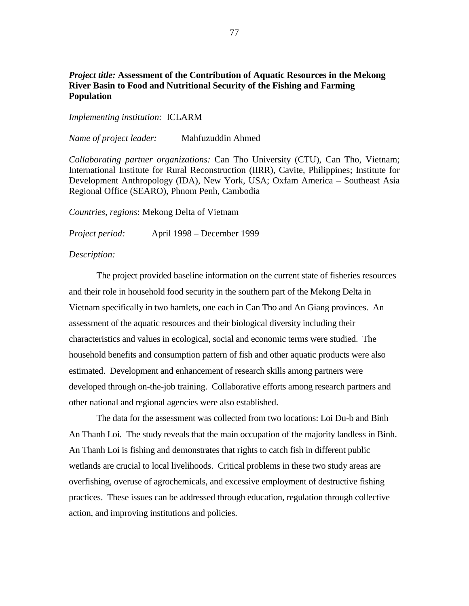## *Project title:* **Assessment of the Contribution of Aquatic Resources in the Mekong River Basin to Food and Nutritional Security of the Fishing and Farming Population**

*Implementing institution:*ICLARM

*Name of project leader:* Mahfuzuddin Ahmed

*Collaborating partner organizations:* Can Tho University (CTU), Can Tho, Vietnam; International Institute for Rural Reconstruction (IIRR), Cavite, Philippines; Institute for Development Anthropology (IDA), New York, USA; Oxfam America – Southeast Asia Regional Office (SEARO), Phnom Penh, Cambodia

*Countries, regions*: Mekong Delta of Vietnam

*Project period:* April 1998 – December 1999

#### *Description:*

The project provided baseline information on the current state of fisheries resources and their role in household food security in the southern part of the Mekong Delta in Vietnam specifically in two hamlets, one each in Can Tho and An Giang provinces. An assessment of the aquatic resources and their biological diversity including their characteristics and values in ecological, social and economic terms were studied. The household benefits and consumption pattern of fish and other aquatic products were also estimated. Development and enhancement of research skills among partners were developed through on-the-job training. Collaborative efforts among research partners and other national and regional agencies were also established.

The data for the assessment was collected from two locations: Loi Du-b and Binh An Thanh Loi. The study reveals that the main occupation of the majority landless in Binh. An Thanh Loi is fishing and demonstrates that rights to catch fish in different public wetlands are crucial to local livelihoods. Critical problems in these two study areas are overfishing, overuse of agrochemicals, and excessive employment of destructive fishing practices. These issues can be addressed through education, regulation through collective action, and improving institutions and policies.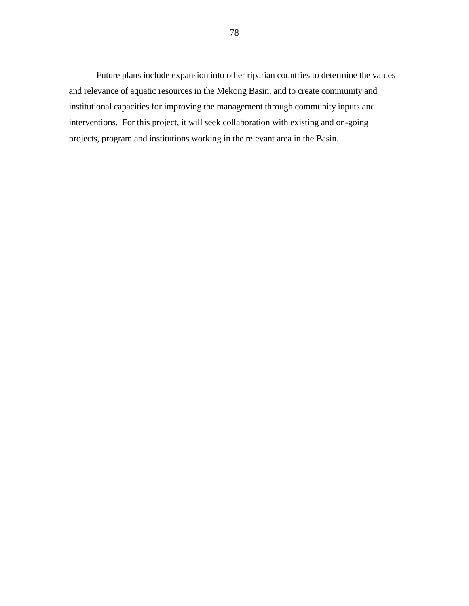Future plans include expansion into other riparian countries to determine the values and relevance of aquatic resources in the Mekong Basin, and to create community and institutional capacities for improving the management through community inputs and interventions. For this project, it will seek collaboration with existing and on-going projects, program and institutions working in the relevant area in the Basin.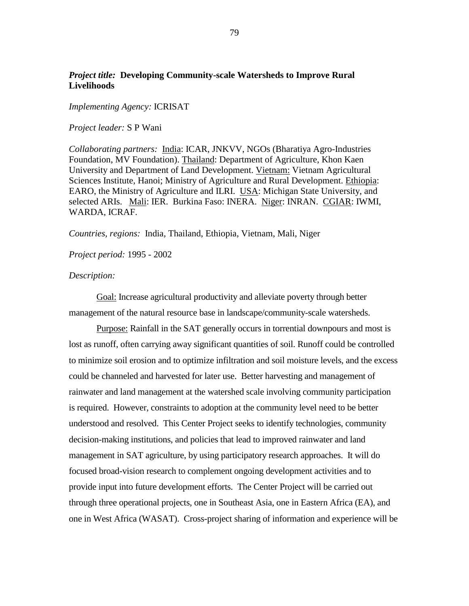## *Project title:* **Developing Community-scale Watersheds to Improve Rural Livelihoods**

*Implementing Agency:* ICRISAT

*Project leader:* S P Wani

*Collaborating partners:* India: ICAR, JNKVV, NGOs (Bharatiya Agro-Industries Foundation, MV Foundation). Thailand: Department of Agriculture, Khon Kaen University and Department of Land Development. Vietnam: Vietnam Agricultural Sciences Institute, Hanoi; Ministry of Agriculture and Rural Development. Ethiopia: EARO, the Ministry of Agriculture and ILRI. USA: Michigan State University, and selected ARIs. Mali: IER. Burkina Faso: INERA. Niger: INRAN. CGIAR: IWMI, WARDA, ICRAF.

*Countries, regions:* India, Thailand, Ethiopia, Vietnam, Mali, Niger

*Project period:* 1995 - 2002

#### *Description:*

Goal: Increase agricultural productivity and alleviate poverty through better management of the natural resource base in landscape/community-scale watersheds.

Purpose: Rainfall in the SAT generally occurs in torrential downpours and most is lost as runoff, often carrying away significant quantities of soil. Runoff could be controlled to minimize soil erosion and to optimize infiltration and soil moisture levels, and the excess could be channeled and harvested for later use. Better harvesting and management of rainwater and land management at the watershed scale involving community participation is required. However, constraints to adoption at the community level need to be better understood and resolved. This Center Project seeks to identify technologies, community decision-making institutions, and policies that lead to improved rainwater and land management in SAT agriculture, by using participatory research approaches. It will do focused broad-vision research to complement ongoing development activities and to provide input into future development efforts. The Center Project will be carried out through three operational projects, one in Southeast Asia, one in Eastern Africa (EA), and one in West Africa (WASAT). Cross-project sharing of information and experience will be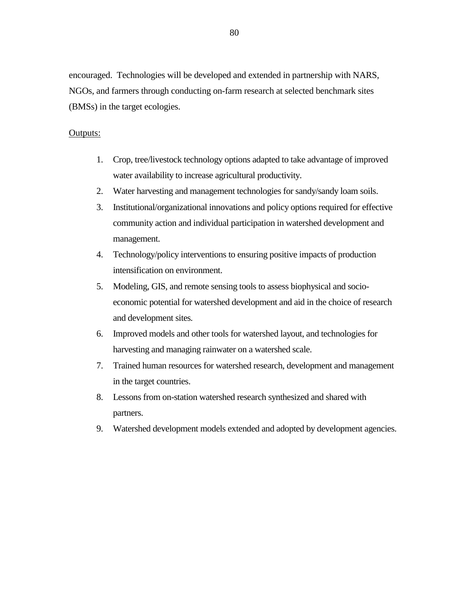encouraged. Technologies will be developed and extended in partnership with NARS, NGOs, and farmers through conducting on-farm research at selected benchmark sites (BMSs) in the target ecologies.

### Outputs:

- 1. Crop, tree/livestock technology options adapted to take advantage of improved water availability to increase agricultural productivity.
- 2. Water harvesting and management technologies for sandy/sandy loam soils.
- 3. Institutional/organizational innovations and policy options required for effective community action and individual participation in watershed development and management.
- 4. Technology/policy interventions to ensuring positive impacts of production intensification on environment.
- 5. Modeling, GIS, and remote sensing tools to assess biophysical and socioeconomic potential for watershed development and aid in the choice of research and development sites*.*
- 6. Improved models and other tools for watershed layout, and technologies for harvesting and managing rainwater on a watershed scale.
- 7. Trained human resources for watershed research, development and management in the target countries.
- 8. Lessons from on-station watershed research synthesized and shared with partners.
- 9. Watershed development models extended and adopted by development agencies.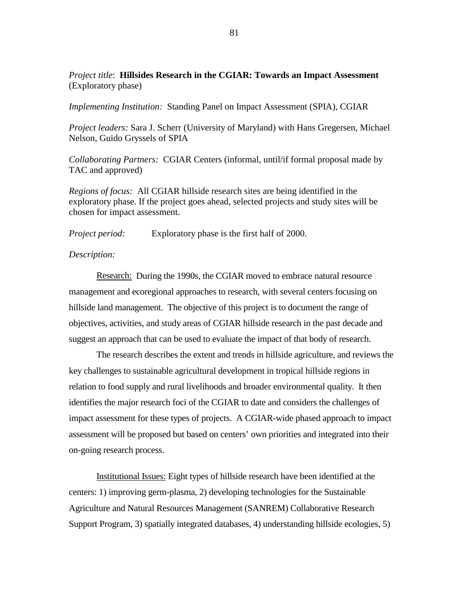*Project title*: **Hillsides Research in the CGIAR: Towards an Impact Assessment** (Exploratory phase)

*Implementing Institution:* Standing Panel on Impact Assessment (SPIA), CGIAR

*Project leaders:* Sara J. Scherr (University of Maryland) with Hans Gregersen, Michael Nelson, Guido Gryssels of SPIA

*Collaborating Partners:* CGIAR Centers (informal, until/if formal proposal made by TAC and approved)

*Regions of focus:* All CGIAR hillside research sites are being identified in the exploratory phase. If the project goes ahead, selected projects and study sites will be chosen for impact assessment.

*Project period:* Exploratory phase is the first half of 2000.

#### *Description:*

Research: During the 1990s, the CGIAR moved to embrace natural resource management and ecoregional approaches to research, with several centers focusing on hillside land management. The objective of this project is to document the range of objectives, activities, and study areas of CGIAR hillside research in the past decade and suggest an approach that can be used to evaluate the impact of that body of research.

The research describes the extent and trends in hillside agriculture, and reviews the key challenges to sustainable agricultural development in tropical hillside regions in relation to food supply and rural livelihoods and broader environmental quality. It then identifies the major research foci of the CGIAR to date and considers the challenges of impact assessment for these types of projects. A CGIAR-wide phased approach to impact assessment will be proposed but based on centers' own priorities and integrated into their on-going research process.

Institutional Issues: Eight types of hillside research have been identified at the centers: 1) improving germ-plasma, 2) developing technologies for the Sustainable Agriculture and Natural Resources Management (SANREM) Collaborative Research Support Program, 3) spatially integrated databases, 4) understanding hillside ecologies, 5)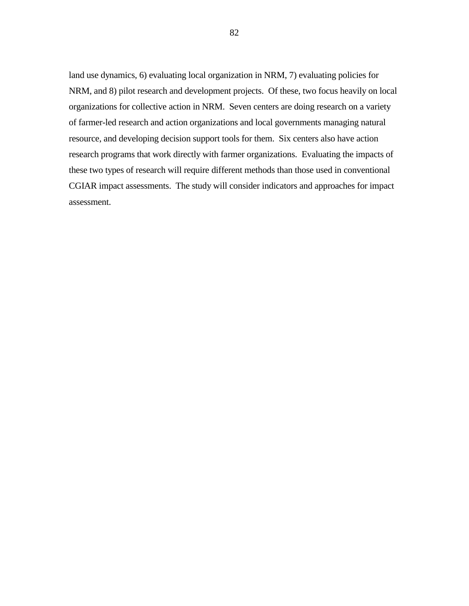land use dynamics, 6) evaluating local organization in NRM, 7) evaluating policies for NRM, and 8) pilot research and development projects. Of these, two focus heavily on local organizations for collective action in NRM. Seven centers are doing research on a variety of farmer-led research and action organizations and local governments managing natural resource, and developing decision support tools for them. Six centers also have action research programs that work directly with farmer organizations. Evaluating the impacts of these two types of research will require different methods than those used in conventional CGIAR impact assessments. The study will consider indicators and approaches for impact assessment.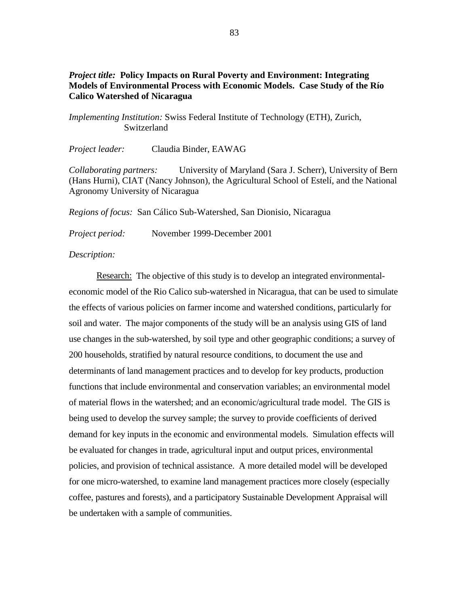## *Project title:* **Policy Impacts on Rural Poverty and Environment: Integrating Models of Environmental Process with Economic Models. Case Study of the Río Calico Watershed of Nicaragua**

*Implementing Institution:* Swiss Federal Institute of Technology (ETH), Zurich, Switzerland

*Project leader:* Claudia Binder, EAWAG

*Collaborating partners:* University of Maryland (Sara J. Scherr), University of Bern (Hans Hurni), CIAT (Nancy Johnson), the Agricultural School of Estelí, and the National Agronomy University of Nicaragua

*Regions of focus:* San Cálico Sub-Watershed, San Dionisio, Nicaragua

*Project period:* November 1999-December 2001

### *Description:*

Research:The objective of this study is to develop an integrated environmentaleconomic model of the Rio Calico sub-watershed in Nicaragua, that can be used to simulate the effects of various policies on farmer income and watershed conditions, particularly for soil and water. The major components of the study will be an analysis using GIS of land use changes in the sub-watershed, by soil type and other geographic conditions; a survey of 200 households, stratified by natural resource conditions, to document the use and determinants of land management practices and to develop for key products, production functions that include environmental and conservation variables; an environmental model of material flows in the watershed; and an economic/agricultural trade model. The GIS is being used to develop the survey sample; the survey to provide coefficients of derived demand for key inputs in the economic and environmental models. Simulation effects will be evaluated for changes in trade, agricultural input and output prices, environmental policies, and provision of technical assistance. A more detailed model will be developed for one micro-watershed, to examine land management practices more closely (especially coffee, pastures and forests), and a participatory Sustainable Development Appraisal will be undertaken with a sample of communities.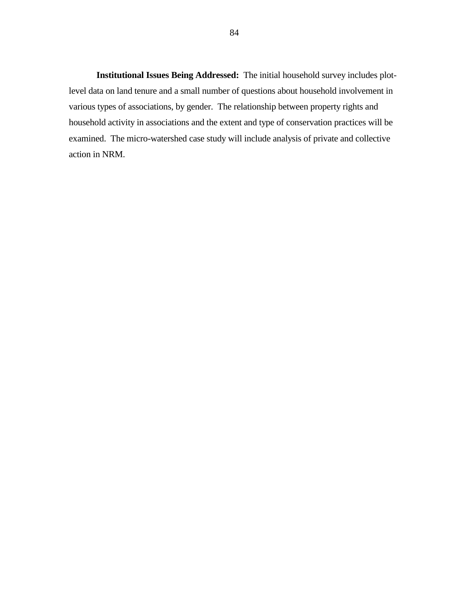**Institutional Issues Being Addressed:** The initial household survey includes plotlevel data on land tenure and a small number of questions about household involvement in various types of associations, by gender. The relationship between property rights and household activity in associations and the extent and type of conservation practices will be examined. The micro-watershed case study will include analysis of private and collective action in NRM.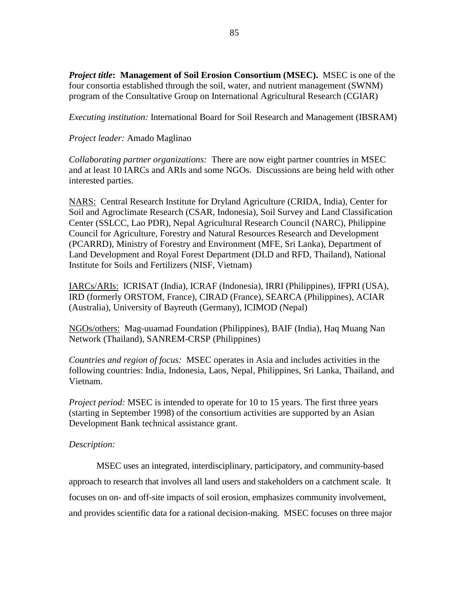*Project title***: Management of Soil Erosion Consortium (MSEC).**MSEC is one of the four consortia established through the soil, water, and nutrient management (SWNM) program of the Consultative Group on International Agricultural Research (CGIAR)

*Executing institution:* International Board for Soil Research and Management (IBSRAM)

## *Project leader:* Amado Maglinao

*Collaborating partner organizations:* There are now eight partner countries in MSEC and at least 10 IARCs and ARIs and some NGOs. Discussions are being held with other interested parties.

NARS:Central Research Institute for Dryland Agriculture (CRIDA, India), Center for Soil and Agroclimate Research (CSAR, Indonesia), Soil Survey and Land Classification Center (SSLCC, Lao PDR), Nepal Agricultural Research Council (NARC), Philippine Council for Agriculture, Forestry and Natural Resources Research and Development (PCARRD), Ministry of Forestry and Environment (MFE, Sri Lanka), Department of Land Development and Royal Forest Department (DLD and RFD, Thailand), National Institute for Soils and Fertilizers (NISF, Vietnam)

IARCs/ARIs:ICRISAT (India), ICRAF (Indonesia), IRRI (Philippines), IFPRI (USA), IRD (formerly ORSTOM, France), CIRAD (France), SEARCA (Philippines), ACIAR (Australia), University of Bayreuth (Germany), ICIMOD (Nepal)

NGOs/others:Mag-uuamad Foundation (Philippines), BAIF (India), Haq Muang Nan Network (Thailand), SANREM-CRSP (Philippines)

*Countries and region of focus:*MSEC operates in Asia and includes activities in the following countries: India, Indonesia, Laos, Nepal, Philippines, Sri Lanka, Thailand, and Vietnam.

*Project period:* MSEC is intended to operate for 10 to 15 years. The first three years (starting in September 1998) of the consortium activities are supported by an Asian Development Bank technical assistance grant.

### *Description:*

MSEC uses an integrated, interdisciplinary, participatory, and community-based approach to research that involves all land users and stakeholders on a catchment scale. It focuses on on- and off-site impacts of soil erosion, emphasizes community involvement, and provides scientific data for a rational decision-making. MSEC focuses on three major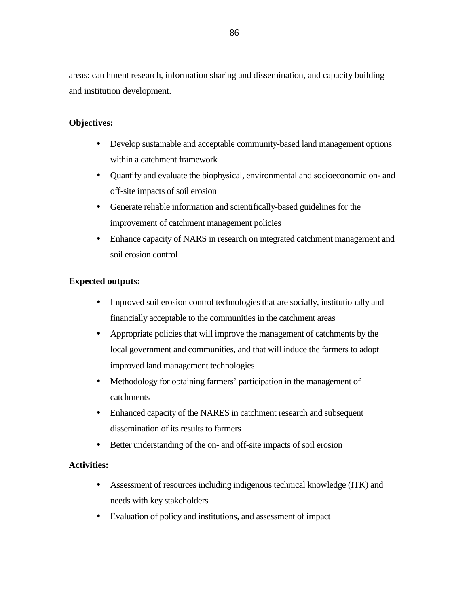areas: catchment research, information sharing and dissemination, and capacity building and institution development.

## **Objectives:**

- ! Develop sustainable and acceptable community-based land management options within a catchment framework
- ! Quantify and evaluate the biophysical, environmental and socioeconomic on- and off-site impacts of soil erosion
- ! Generate reliable information and scientifically-based guidelines for the improvement of catchment management policies
- ! Enhance capacity of NARS in research on integrated catchment management and soil erosion control

## **Expected outputs:**

- ! Improved soil erosion control technologies that are socially, institutionally and financially acceptable to the communities in the catchment areas
- ! Appropriate policies that will improve the management of catchments by the local government and communities, and that will induce the farmers to adopt improved land management technologies
- ! Methodology for obtaining farmers' participation in the management of catchments
- Enhanced capacity of the NARES in catchment research and subsequent dissemination of its results to farmers
- Better understanding of the on- and off-site impacts of soil erosion

### **Activities:**

- ! Assessment of resources including indigenous technical knowledge (ITK) and needs with key stakeholders
- ! Evaluation of policy and institutions, and assessment of impact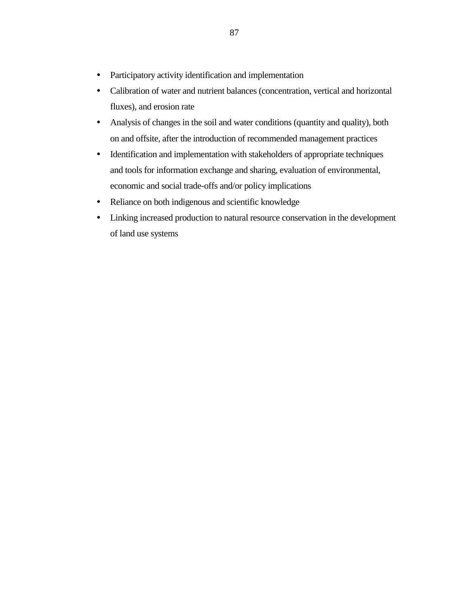- ! Participatory activity identification and implementation
- ! Calibration of water and nutrient balances (concentration, vertical and horizontal fluxes), and erosion rate
- ! Analysis of changes in the soil and water conditions (quantity and quality), both on and offsite, after the introduction of recommended management practices
- ! Identification and implementation with stakeholders of appropriate techniques and tools for information exchange and sharing, evaluation of environmental, economic and social trade-offs and/or policy implications
- ! Reliance on both indigenous and scientific knowledge
- ! Linking increased production to natural resource conservation in the development of land use systems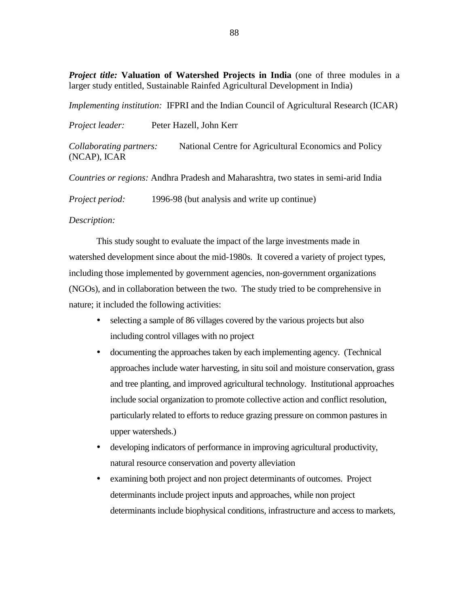*Project title:* **Valuation of Watershed Projects in India** (one of three modules in a larger study entitled, Sustainable Rainfed Agricultural Development in India)

*Implementing institution:* IFPRI and the Indian Council of Agricultural Research (ICAR)

*Project leader:* Peter Hazell, John Kerr

*Collaborating partners:* National Centre for Agricultural Economics and Policy (NCAP), ICAR

*Countries or regions:* Andhra Pradesh and Maharashtra, two states in semi-arid India

*Project period:* 1996-98 (but analysis and write up continue)

### *Description:*

This study sought to evaluate the impact of the large investments made in watershed development since about the mid-1980s. It covered a variety of project types, including those implemented by government agencies, non-government organizations (NGOs), and in collaboration between the two. The study tried to be comprehensive in nature; it included the following activities:

- selecting a sample of 86 villages covered by the various projects but also including control villages with no project
- ! documenting the approaches taken by each implementing agency. (Technical approaches include water harvesting, in situ soil and moisture conservation, grass and tree planting, and improved agricultural technology. Institutional approaches include social organization to promote collective action and conflict resolution, particularly related to efforts to reduce grazing pressure on common pastures in upper watersheds.)
- ! developing indicators of performance in improving agricultural productivity, natural resource conservation and poverty alleviation
- ! examining both project and non project determinants of outcomes. Project determinants include project inputs and approaches, while non project determinants include biophysical conditions, infrastructure and access to markets,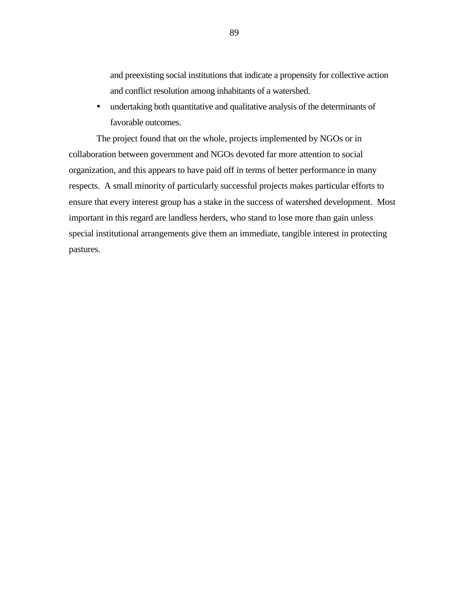and preexisting social institutions that indicate a propensity for collective action and conflict resolution among inhabitants of a watershed.

! undertaking both quantitative and qualitative analysis of the determinants of favorable outcomes.

The project found that on the whole, projects implemented by NGOs or in collaboration between government and NGOs devoted far more attention to social organization, and this appears to have paid off in terms of better performance in many respects. A small minority of particularly successful projects makes particular efforts to ensure that every interest group has a stake in the success of watershed development. Most important in this regard are landless herders, who stand to lose more than gain unless special institutional arrangements give them an immediate, tangible interest in protecting pastures.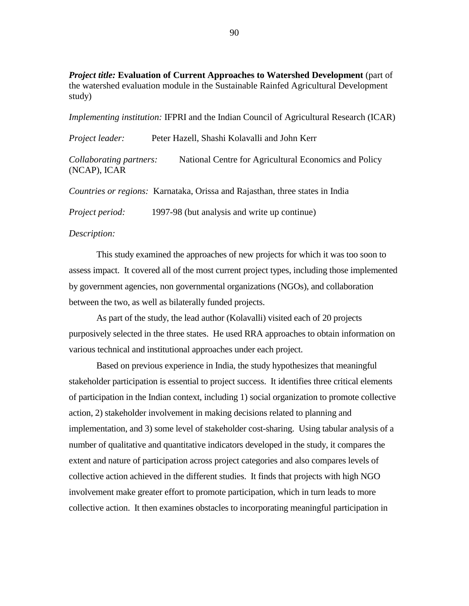*Project title:* **Evaluation of Current Approaches to Watershed Development** (part of the watershed evaluation module in the Sustainable Rainfed Agricultural Development study)

*Implementing institution:* IFPRI and the Indian Council of Agricultural Research (ICAR)

| Project leader:                         | Peter Hazell, Shashi Kolavalli and John Kerr |                                                                                     |
|-----------------------------------------|----------------------------------------------|-------------------------------------------------------------------------------------|
| Collaborating partners:<br>(NCAP), ICAR |                                              | National Centre for Agricultural Economics and Policy                               |
|                                         |                                              | <i>Countries or regions:</i> Karnataka, Orissa and Rajasthan, three states in India |

*Project period:* 1997-98 (but analysis and write up continue)

### *Description:*

This study examined the approaches of new projects for which it was too soon to assess impact. It covered all of the most current project types, including those implemented by government agencies, non governmental organizations (NGOs), and collaboration between the two, as well as bilaterally funded projects.

As part of the study, the lead author (Kolavalli) visited each of 20 projects purposively selected in the three states. He used RRA approaches to obtain information on various technical and institutional approaches under each project.

Based on previous experience in India, the study hypothesizes that meaningful stakeholder participation is essential to project success. It identifies three critical elements of participation in the Indian context, including 1) social organization to promote collective action, 2) stakeholder involvement in making decisions related to planning and implementation, and 3) some level of stakeholder cost-sharing. Using tabular analysis of a number of qualitative and quantitative indicators developed in the study, it compares the extent and nature of participation across project categories and also compares levels of collective action achieved in the different studies. It finds that projects with high NGO involvement make greater effort to promote participation, which in turn leads to more collective action. It then examines obstacles to incorporating meaningful participation in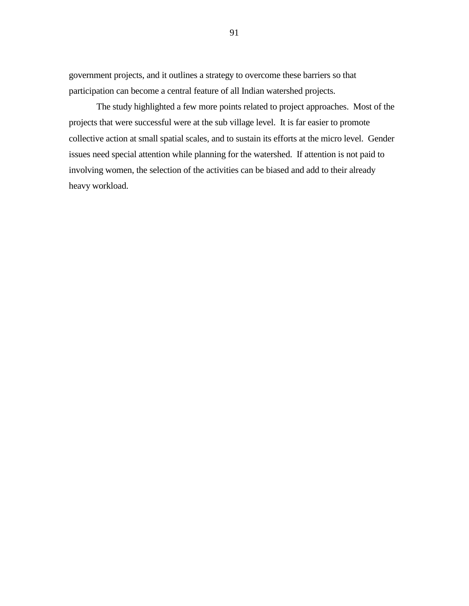government projects, and it outlines a strategy to overcome these barriers so that participation can become a central feature of all Indian watershed projects.

The study highlighted a few more points related to project approaches. Most of the projects that were successful were at the sub village level. It is far easier to promote collective action at small spatial scales, and to sustain its efforts at the micro level. Gender issues need special attention while planning for the watershed. If attention is not paid to involving women, the selection of the activities can be biased and add to their already heavy workload.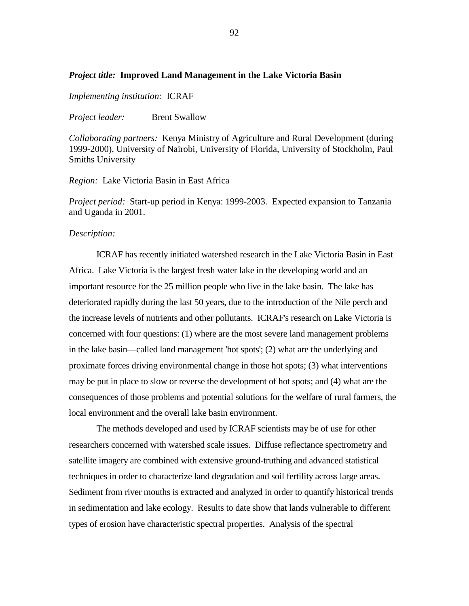### *Project title:* **Improved Land Management in the Lake Victoria Basin**

*Implementing institution:*ICRAF

*Project leader:* Brent Swallow

*Collaborating partners:*Kenya Ministry of Agriculture and Rural Development (during 1999-2000), University of Nairobi, University of Florida, University of Stockholm, Paul Smiths University

*Region:* Lake Victoria Basin in East Africa

*Project period:* Start-up period in Kenya: 1999-2003. Expected expansion to Tanzania and Uganda in 2001.

#### *Description:*

ICRAF has recently initiated watershed research in the Lake Victoria Basin in East Africa. Lake Victoria is the largest fresh water lake in the developing world and an important resource for the 25 million people who live in the lake basin. The lake has deteriorated rapidly during the last 50 years, due to the introduction of the Nile perch and the increase levels of nutrients and other pollutants. ICRAF's research on Lake Victoria is concerned with four questions: (1) where are the most severe land management problems in the lake basin—called land management 'hot spots'; (2) what are the underlying and proximate forces driving environmental change in those hot spots; (3) what interventions may be put in place to slow or reverse the development of hot spots; and (4) what are the consequences of those problems and potential solutions for the welfare of rural farmers, the local environment and the overall lake basin environment.

The methods developed and used by ICRAF scientists may be of use for other researchers concerned with watershed scale issues. Diffuse reflectance spectrometry and satellite imagery are combined with extensive ground-truthing and advanced statistical techniques in order to characterize land degradation and soil fertility across large areas. Sediment from river mouths is extracted and analyzed in order to quantify historical trends in sedimentation and lake ecology. Results to date show that lands vulnerable to different types of erosion have characteristic spectral properties. Analysis of the spectral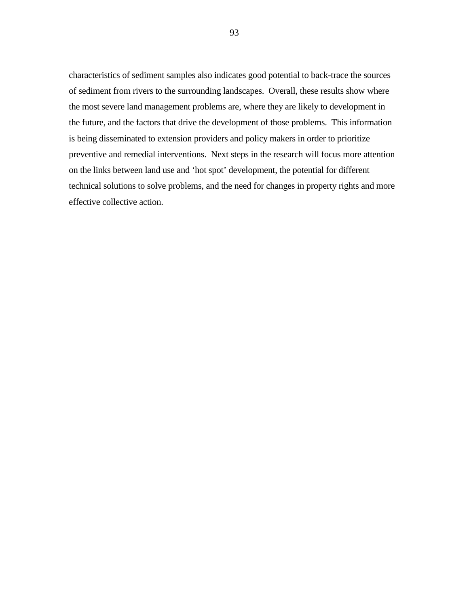characteristics of sediment samples also indicates good potential to back-trace the sources of sediment from rivers to the surrounding landscapes. Overall, these results show where the most severe land management problems are, where they are likely to development in the future, and the factors that drive the development of those problems. This information is being disseminated to extension providers and policy makers in order to prioritize preventive and remedial interventions. Next steps in the research will focus more attention on the links between land use and 'hot spot' development, the potential for different technical solutions to solve problems, and the need for changes in property rights and more effective collective action.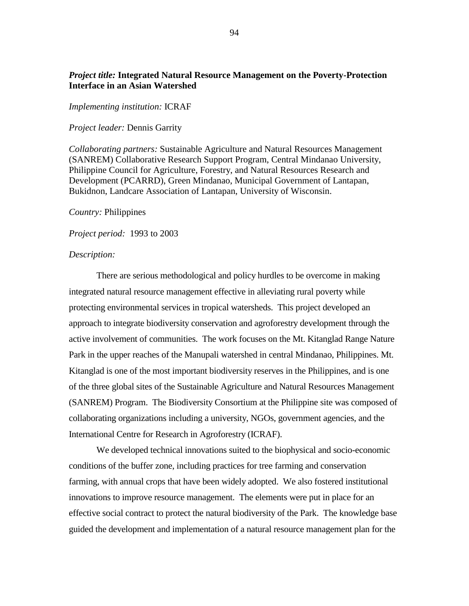## *Project title:* **Integrated Natural Resource Management on the Poverty-Protection Interface in an Asian Watershed**

#### *Implementing institution:* ICRAF

#### *Project leader:* Dennis Garrity

*Collaborating partners:* Sustainable Agriculture and Natural Resources Management (SANREM) Collaborative Research Support Program, Central Mindanao University, Philippine Council for Agriculture, Forestry, and Natural Resources Research and Development (PCARRD), Green Mindanao, Municipal Government of Lantapan, Bukidnon, Landcare Association of Lantapan, University of Wisconsin.

#### *Country:* Philippines

*Project period:* 1993 to 2003

#### *Description:*

There are serious methodological and policy hurdles to be overcome in making integrated natural resource management effective in alleviating rural poverty while protecting environmental services in tropical watersheds. This project developed an approach to integrate biodiversity conservation and agroforestry development through the active involvement of communities. The work focuses on the Mt. Kitanglad Range Nature Park in the upper reaches of the Manupali watershed in central Mindanao, Philippines. Mt. Kitanglad is one of the most important biodiversity reserves in the Philippines, and is one of the three global sites of the Sustainable Agriculture and Natural Resources Management (SANREM) Program. The Biodiversity Consortium at the Philippine site was composed of collaborating organizations including a university, NGOs, government agencies, and the International Centre for Research in Agroforestry (ICRAF).

We developed technical innovations suited to the biophysical and socio-economic conditions of the buffer zone, including practices for tree farming and conservation farming, with annual crops that have been widely adopted. We also fostered institutional innovations to improve resource management. The elements were put in place for an effective social contract to protect the natural biodiversity of the Park. The knowledge base guided the development and implementation of a natural resource management plan for the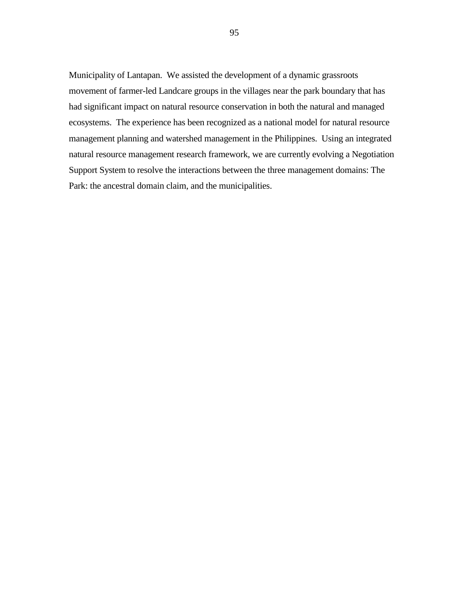Municipality of Lantapan. We assisted the development of a dynamic grassroots movement of farmer-led Landcare groups in the villages near the park boundary that has had significant impact on natural resource conservation in both the natural and managed ecosystems. The experience has been recognized as a national model for natural resource management planning and watershed management in the Philippines. Using an integrated natural resource management research framework, we are currently evolving a Negotiation Support System to resolve the interactions between the three management domains: The Park: the ancestral domain claim, and the municipalities.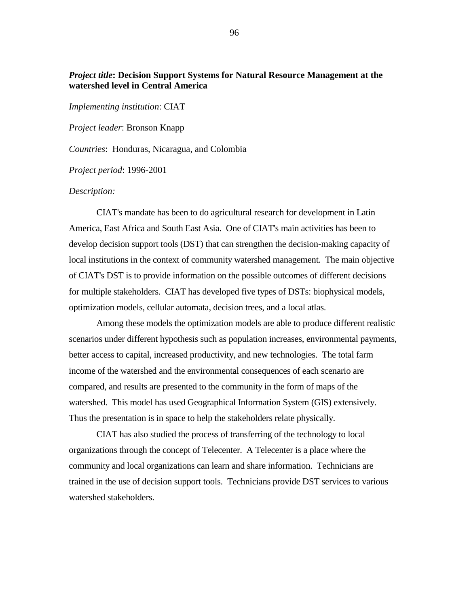## *Project title***: Decision Support Systems for Natural Resource Management at the watershed level in Central America**

*Implementing institution*: CIAT

*Project leader*: Bronson Knapp

*Countries*: Honduras, Nicaragua, and Colombia

*Project period*: 1996-2001

### *Description:*

CIAT's mandate has been to do agricultural research for development in Latin America, East Africa and South East Asia. One of CIAT's main activities has been to develop decision support tools (DST) that can strengthen the decision-making capacity of local institutions in the context of community watershed management. The main objective of CIAT's DST is to provide information on the possible outcomes of different decisions for multiple stakeholders. CIAT has developed five types of DSTs: biophysical models, optimization models, cellular automata, decision trees, and a local atlas.

Among these models the optimization models are able to produce different realistic scenarios under different hypothesis such as population increases, environmental payments, better access to capital, increased productivity, and new technologies. The total farm income of the watershed and the environmental consequences of each scenario are compared, and results are presented to the community in the form of maps of the watershed. This model has used Geographical Information System (GIS) extensively. Thus the presentation is in space to help the stakeholders relate physically.

CIAT has also studied the process of transferring of the technology to local organizations through the concept of Telecenter. A Telecenter is a place where the community and local organizations can learn and share information. Technicians are trained in the use of decision support tools. Technicians provide DST services to various watershed stakeholders.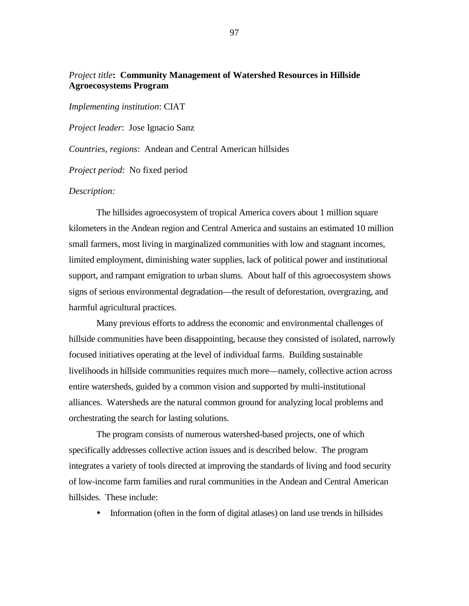## *Project title***: Community Management of Watershed Resources in Hillside Agroecosystems Program**

*Implementing institution*: CIAT

*Project leader*: Jose Ignacio Sanz

*Countries, regions*: Andean and Central American hillsides

*Project period*: No fixed period

### *Description:*

The hillsides agroecosystem of tropical America covers about 1 million square kilometers in the Andean region and Central America and sustains an estimated 10 million small farmers, most living in marginalized communities with low and stagnant incomes, limited employment, diminishing water supplies, lack of political power and institutional support, and rampant emigration to urban slums. About half of this agroecosystem shows signs of serious environmental degradation—the result of deforestation, overgrazing, and harmful agricultural practices.

Many previous efforts to address the economic and environmental challenges of hillside communities have been disappointing, because they consisted of isolated, narrowly focused initiatives operating at the level of individual farms. Building sustainable livelihoods in hillside communities requires much more—namely, collective action across entire watersheds, guided by a common vision and supported by multi-institutional alliances. Watersheds are the natural common ground for analyzing local problems and orchestrating the search for lasting solutions.

The program consists of numerous watershed-based projects, one of which specifically addresses collective action issues and is described below. The program integrates a variety of tools directed at improving the standards of living and food security of low-income farm families and rural communities in the Andean and Central American hillsides. These include:

! Information (often in the form of digital atlases) on land use trends in hillsides

97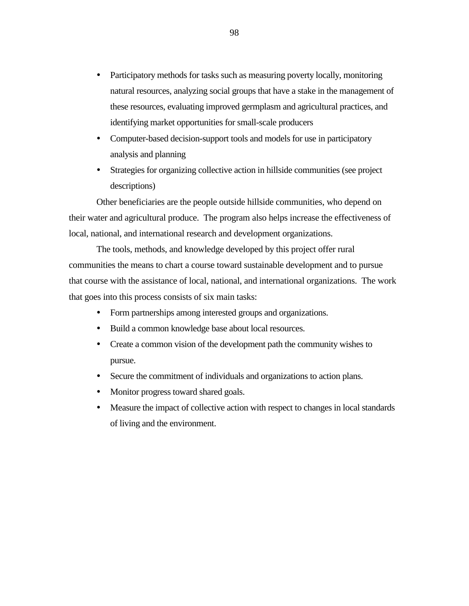- ! Participatory methods for tasks such as measuring poverty locally, monitoring natural resources, analyzing social groups that have a stake in the management of these resources, evaluating improved germplasm and agricultural practices, and identifying market opportunities for small-scale producers
- ! Computer-based decision-support tools and models for use in participatory analysis and planning
- ! Strategies for organizing collective action in hillside communities (see project descriptions)

Other beneficiaries are the people outside hillside communities, who depend on their water and agricultural produce. The program also helps increase the effectiveness of local, national, and international research and development organizations.

The tools, methods, and knowledge developed by this project offer rural communities the means to chart a course toward sustainable development and to pursue that course with the assistance of local, national, and international organizations. The work that goes into this process consists of six main tasks:

- ! Form partnerships among interested groups and organizations.
- ! Build a common knowledge base about local resources.
- ! Create a common vision of the development path the community wishes to pursue.
- ! Secure the commitment of individuals and organizations to action plans.
- Monitor progress toward shared goals.
- ! Measure the impact of collective action with respect to changes in local standards of living and the environment.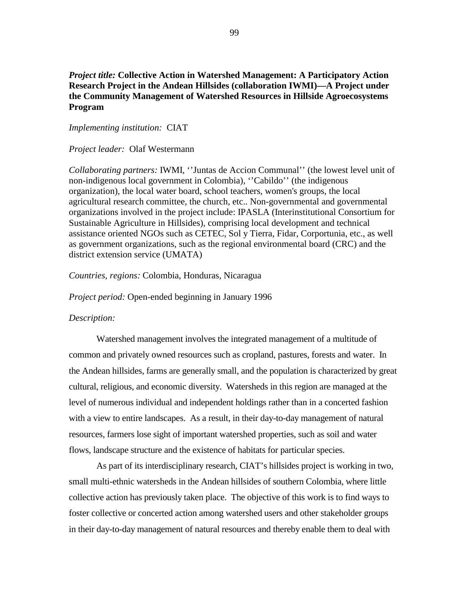## *Project title:* **Collective Action in Watershed Management: A Participatory Action Research Project in the Andean Hillsides (collaboration IWMI)—A Project under the Community Management of Watershed Resources in Hillside Agroecosystems Program**

### *Implementing institution:* CIAT

#### *Project leader:* Olaf Westermann

*Collaborating partners:* IWMI, ''Juntas de Accion Communal'' (the lowest level unit of non-indigenous local government in Colombia), ''Cabildo'' (the indigenous organization), the local water board, school teachers, women's groups, the local agricultural research committee, the church, etc.. Non-governmental and governmental organizations involved in the project include: IPASLA (Interinstitutional Consortium for Sustainable Agriculture in Hillsides), comprising local development and technical assistance oriented NGOs such as CETEC, Sol y Tierra, Fidar, Corportunia, etc., as well as government organizations, such as the regional environmental board (CRC) and the district extension service (UMATA)

#### *Countries, regions:* Colombia, Honduras, Nicaragua

*Project period:* Open-ended beginning in January 1996

### *Description:*

Watershed management involves the integrated management of a multitude of common and privately owned resources such as cropland, pastures, forests and water. In the Andean hillsides, farms are generally small, and the population is characterized by great cultural, religious, and economic diversity. Watersheds in this region are managed at the level of numerous individual and independent holdings rather than in a concerted fashion with a view to entire landscapes. As a result, in their day-to-day management of natural resources, farmers lose sight of important watershed properties, such as soil and water flows, landscape structure and the existence of habitats for particular species.

As part of its interdisciplinary research, CIAT's hillsides project is working in two, small multi-ethnic watersheds in the Andean hillsides of southern Colombia, where little collective action has previously taken place. The objective of this work is to find ways to foster collective or concerted action among watershed users and other stakeholder groups in their day-to-day management of natural resources and thereby enable them to deal with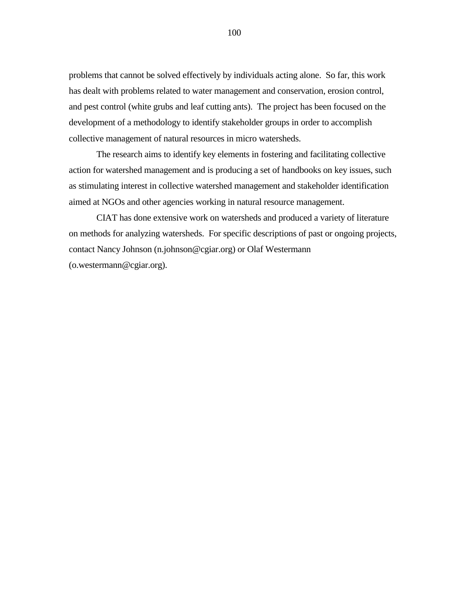problems that cannot be solved effectively by individuals acting alone. So far, this work has dealt with problems related to water management and conservation, erosion control, and pest control (white grubs and leaf cutting ants). The project has been focused on the development of a methodology to identify stakeholder groups in order to accomplish collective management of natural resources in micro watersheds.

The research aims to identify key elements in fostering and facilitating collective action for watershed management and is producing a set of handbooks on key issues, such as stimulating interest in collective watershed management and stakeholder identification aimed at NGOs and other agencies working in natural resource management.

CIAT has done extensive work on watersheds and produced a variety of literature on methods for analyzing watersheds. For specific descriptions of past or ongoing projects, contact Nancy Johnson (n.johnson@cgiar.org) or Olaf Westermann (o.westermann@cgiar.org).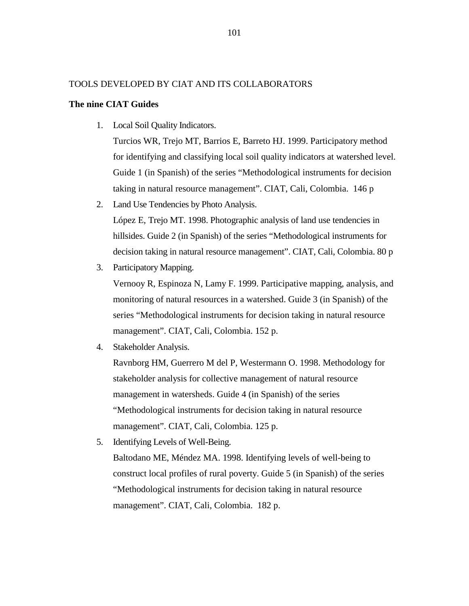## TOOLS DEVELOPED BY CIAT AND ITS COLLABORATORS

### **The nine CIAT Guides**

1. Local Soil Quality Indicators.

Turcios WR, Trejo MT, Barrios E, Barreto HJ. 1999. Participatory method for identifying and classifying local soil quality indicators at watershed level. Guide 1 (in Spanish) of the series "Methodological instruments for decision taking in natural resource management". CIAT, Cali, Colombia. 146 p

- 2. Land Use Tendencies by Photo Analysis. López E, Trejo MT. 1998. Photographic analysis of land use tendencies in hillsides. Guide 2 (in Spanish) of the series "Methodological instruments for decision taking in natural resource management". CIAT, Cali, Colombia. 80 p
- 3. Participatory Mapping.

Vernooy R, Espinoza N, Lamy F. 1999. Participative mapping, analysis, and monitoring of natural resources in a watershed. Guide 3 (in Spanish) of the series "Methodological instruments for decision taking in natural resource management". CIAT, Cali, Colombia. 152 p.

4. Stakeholder Analysis.

Ravnborg HM, Guerrero M del P, Westermann O. 1998. Methodology for stakeholder analysis for collective management of natural resource management in watersheds. Guide 4 (in Spanish) of the series "Methodological instruments for decision taking in natural resource management". CIAT, Cali, Colombia. 125 p.

5. Identifying Levels of Well-Being.

Baltodano ME, Méndez MA. 1998. Identifying levels of well-being to construct local profiles of rural poverty. Guide 5 (in Spanish) of the series "Methodological instruments for decision taking in natural resource management". CIAT, Cali, Colombia. 182 p.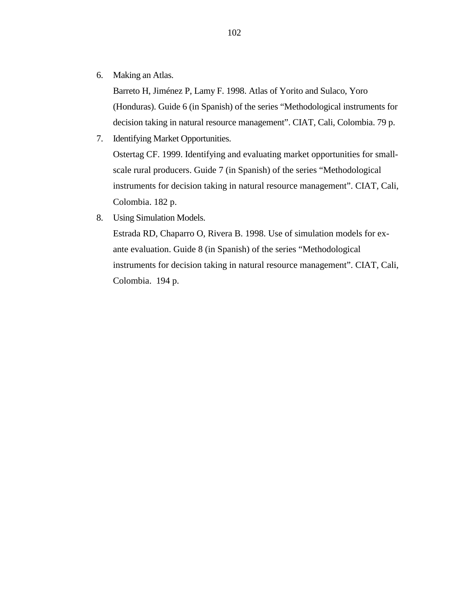6. Making an Atlas.

Barreto H, Jiménez P, Lamy F. 1998. Atlas of Yorito and Sulaco, Yoro (Honduras). Guide 6 (in Spanish) of the series "Methodological instruments for decision taking in natural resource management". CIAT, Cali, Colombia. 79 p.

- 7. Identifying Market Opportunities. Ostertag CF. 1999. Identifying and evaluating market opportunities for smallscale rural producers. Guide 7 (in Spanish) of the series "Methodological instruments for decision taking in natural resource management". CIAT, Cali, Colombia. 182 p.
- 8. Using Simulation Models.

Estrada RD, Chaparro O, Rivera B. 1998. Use of simulation models for exante evaluation. Guide 8 (in Spanish) of the series "Methodological instruments for decision taking in natural resource management". CIAT, Cali, Colombia. 194 p.